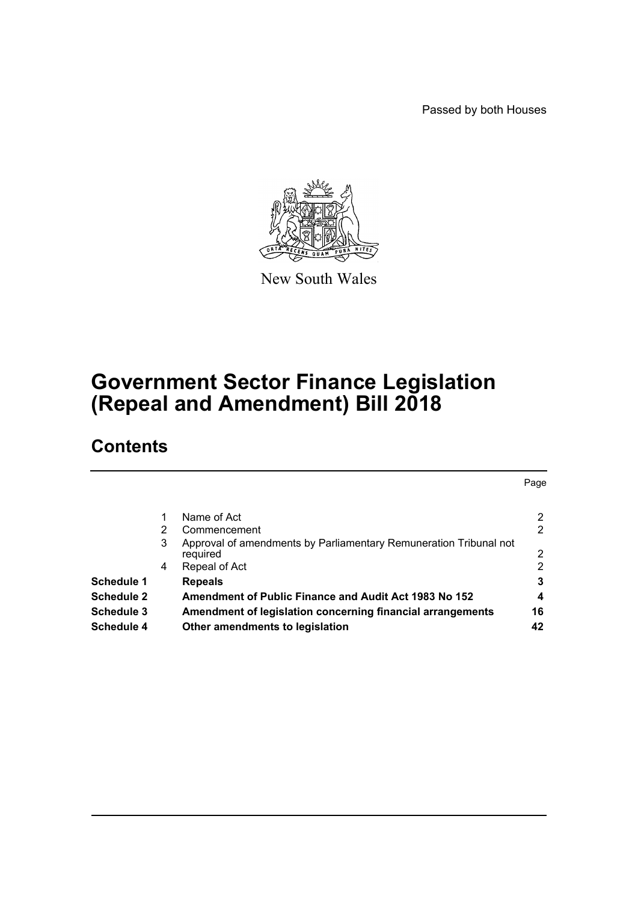Passed by both Houses

Page



New South Wales

# **Government Sector Finance Legislation (Repeal and Amendment) Bill 2018**

# **Contents**

|                   | 2 | Name of Act<br>Commencement                                                   | 2<br>2 |
|-------------------|---|-------------------------------------------------------------------------------|--------|
|                   | 3 | Approval of amendments by Parliamentary Remuneration Tribunal not<br>required | 2      |
|                   | 4 | Repeal of Act                                                                 | 2      |
| <b>Schedule 1</b> |   | <b>Repeals</b>                                                                | 3      |
| <b>Schedule 2</b> |   | Amendment of Public Finance and Audit Act 1983 No 152                         | 4      |
| <b>Schedule 3</b> |   | Amendment of legislation concerning financial arrangements                    | 16     |
| <b>Schedule 4</b> |   | Other amendments to legislation                                               | 42     |
|                   |   |                                                                               |        |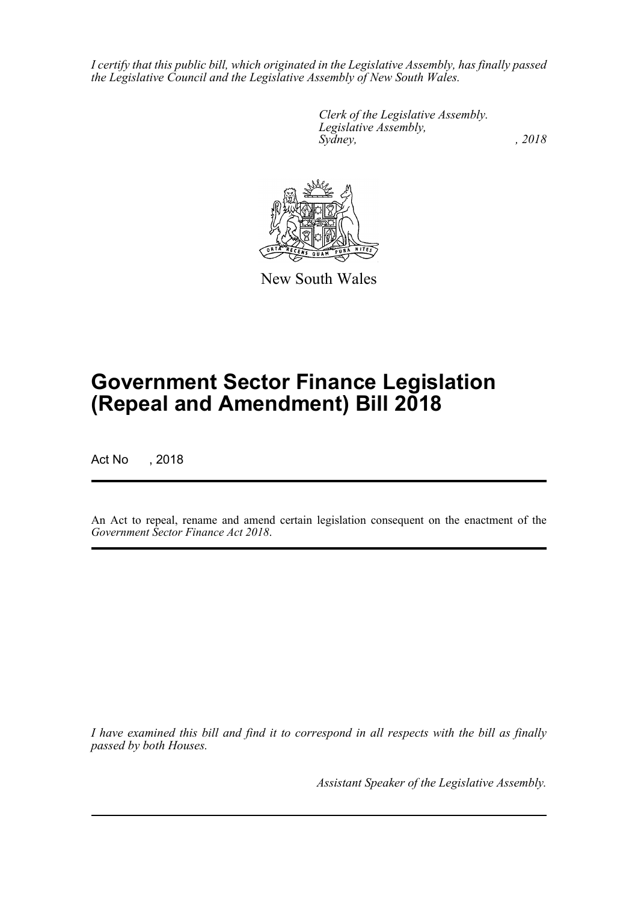*I certify that this public bill, which originated in the Legislative Assembly, has finally passed the Legislative Council and the Legislative Assembly of New South Wales.*

> *Clerk of the Legislative Assembly. Legislative Assembly, Sydney, , 2018*



New South Wales

# **Government Sector Finance Legislation (Repeal and Amendment) Bill 2018**

Act No , 2018

An Act to repeal, rename and amend certain legislation consequent on the enactment of the *Government Sector Finance Act 2018*.

*I have examined this bill and find it to correspond in all respects with the bill as finally passed by both Houses.*

*Assistant Speaker of the Legislative Assembly.*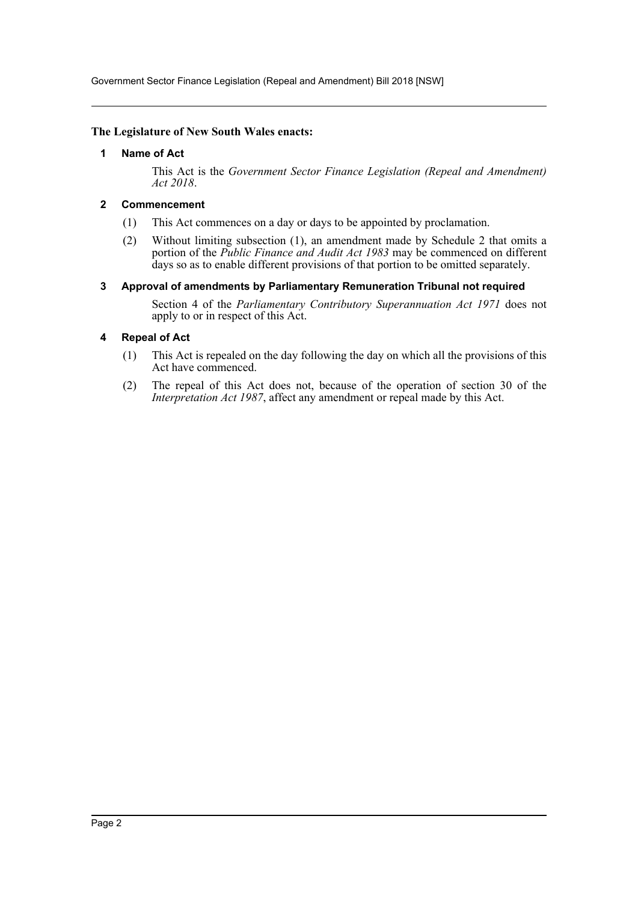Government Sector Finance Legislation (Repeal and Amendment) Bill 2018 [NSW]

#### <span id="page-2-0"></span>**The Legislature of New South Wales enacts:**

#### **1 Name of Act**

This Act is the *Government Sector Finance Legislation (Repeal and Amendment) Act 2018*.

#### <span id="page-2-1"></span>**2 Commencement**

- (1) This Act commences on a day or days to be appointed by proclamation.
- (2) Without limiting subsection (1), an amendment made by Schedule 2 that omits a portion of the *Public Finance and Audit Act 1983* may be commenced on different days so as to enable different provisions of that portion to be omitted separately.

#### <span id="page-2-2"></span>**3 Approval of amendments by Parliamentary Remuneration Tribunal not required**

Section 4 of the *Parliamentary Contributory Superannuation Act 1971* does not apply to or in respect of this Act.

#### <span id="page-2-3"></span>**4 Repeal of Act**

- (1) This Act is repealed on the day following the day on which all the provisions of this Act have commenced.
- (2) The repeal of this Act does not, because of the operation of section 30 of the *Interpretation Act 1987*, affect any amendment or repeal made by this Act.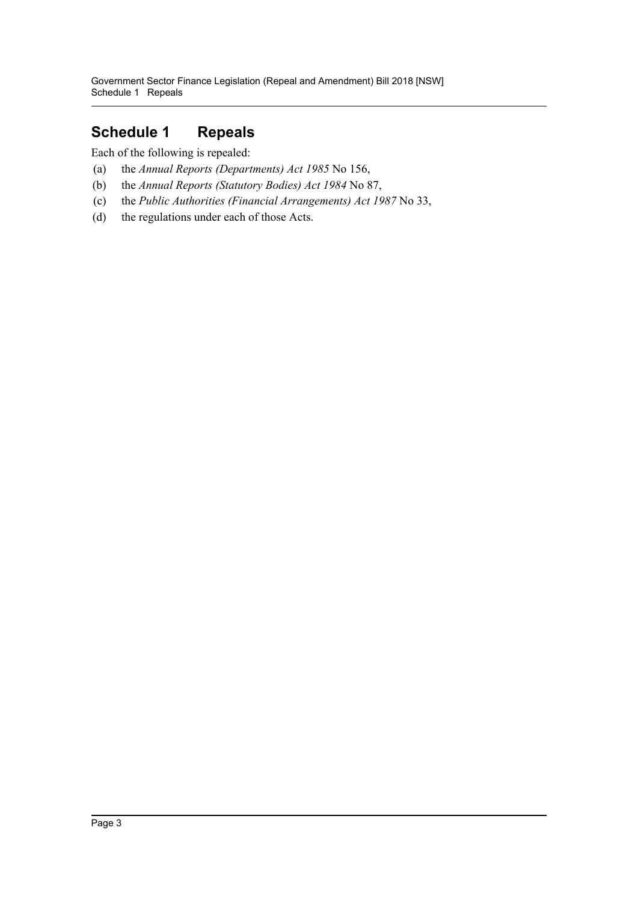# <span id="page-3-0"></span>**Schedule 1 Repeals**

Each of the following is repealed:

- (a) the *Annual Reports (Departments) Act 1985* No 156,
- (b) the *Annual Reports (Statutory Bodies) Act 1984* No 87,
- (c) the *Public Authorities (Financial Arrangements) Act 1987* No 33,
- (d) the regulations under each of those Acts.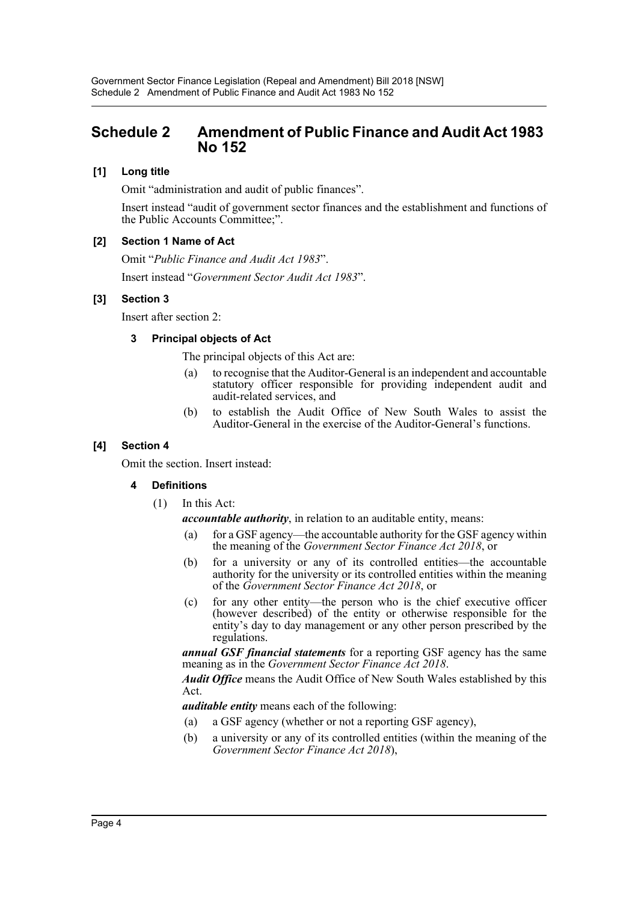# <span id="page-4-0"></span>**Schedule 2 Amendment of Public Finance and Audit Act 1983 No 152**

# **[1] Long title**

Omit "administration and audit of public finances".

Insert instead "audit of government sector finances and the establishment and functions of the Public Accounts Committee;".

# **[2] Section 1 Name of Act**

Omit "*Public Finance and Audit Act 1983*".

Insert instead "*Government Sector Audit Act 1983*".

### **[3] Section 3**

Insert after section 2:

### **3 Principal objects of Act**

The principal objects of this Act are:

- (a) to recognise that the Auditor-General is an independent and accountable statutory officer responsible for providing independent audit and audit-related services, and
- (b) to establish the Audit Office of New South Wales to assist the Auditor-General in the exercise of the Auditor-General's functions.

# **[4] Section 4**

Omit the section. Insert instead:

# **4 Definitions**

(1) In this Act:

*accountable authority*, in relation to an auditable entity, means:

- (a) for a GSF agency—the accountable authority for the GSF agency within the meaning of the *Government Sector Finance Act 2018*, or
- (b) for a university or any of its controlled entities—the accountable authority for the university or its controlled entities within the meaning of the *Government Sector Finance Act 2018*, or
- (c) for any other entity—the person who is the chief executive officer (however described) of the entity or otherwise responsible for the entity's day to day management or any other person prescribed by the regulations.

*annual GSF financial statements* for a reporting GSF agency has the same meaning as in the *Government Sector Finance Act 2018*.

*Audit Office* means the Audit Office of New South Wales established by this Act.

*auditable entity* means each of the following:

- (a) a GSF agency (whether or not a reporting GSF agency),
- (b) a university or any of its controlled entities (within the meaning of the *Government Sector Finance Act 2018*),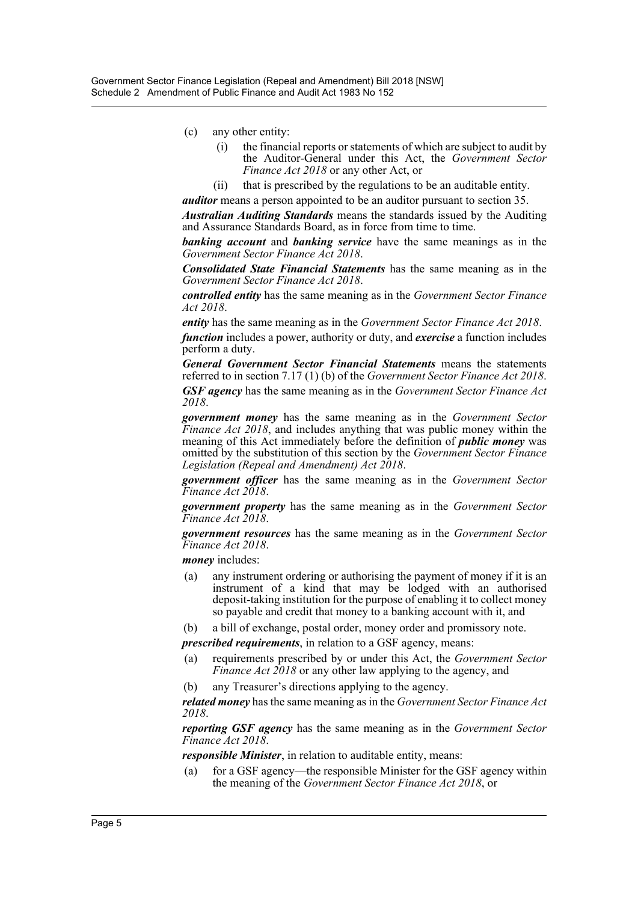- (c) any other entity:
	- (i) the financial reports or statements of which are subject to audit by the Auditor-General under this Act, the *Government Sector Finance Act 2018* or any other Act, or
	- (ii) that is prescribed by the regulations to be an auditable entity.

*auditor* means a person appointed to be an auditor pursuant to section 35.

*Australian Auditing Standards* means the standards issued by the Auditing and Assurance Standards Board, as in force from time to time.

*banking account* and *banking service* have the same meanings as in the *Government Sector Finance Act 2018*.

*Consolidated State Financial Statements* has the same meaning as in the *Government Sector Finance Act 2018*.

*controlled entity* has the same meaning as in the *Government Sector Finance Act 2018*.

*entity* has the same meaning as in the *Government Sector Finance Act 2018*.

*function* includes a power, authority or duty, and *exercise* a function includes perform a duty.

*General Government Sector Financial Statements* means the statements referred to in section 7.17 (1) (b) of the *Government Sector Finance Act 2018*. *GSF agency* has the same meaning as in the *Government Sector Finance Act 2018*.

*government money* has the same meaning as in the *Government Sector Finance Act 2018*, and includes anything that was public money within the meaning of this Act immediately before the definition of *public money* was omitted by the substitution of this section by the *Government Sector Finance Legislation (Repeal and Amendment) Act 2018*.

*government officer* has the same meaning as in the *Government Sector Finance Act 2018*.

*government property* has the same meaning as in the *Government Sector Finance Act 2018*.

*government resources* has the same meaning as in the *Government Sector Finance Act 2018*.

*money* includes:

- (a) any instrument ordering or authorising the payment of money if it is an instrument of a kind that may be lodged with an authorised deposit-taking institution for the purpose of enabling it to collect money so payable and credit that money to a banking account with it, and
- (b) a bill of exchange, postal order, money order and promissory note.

*prescribed requirements*, in relation to a GSF agency, means:

- (a) requirements prescribed by or under this Act, the *Government Sector Finance Act 2018* or any other law applying to the agency, and
- (b) any Treasurer's directions applying to the agency.

*related money* has the same meaning as in the *Government Sector Finance Act 2018*.

*reporting GSF agency* has the same meaning as in the *Government Sector Finance Act 2018*.

*responsible Minister*, in relation to auditable entity, means:

(a) for a GSF agency—the responsible Minister for the GSF agency within the meaning of the *Government Sector Finance Act 2018*, or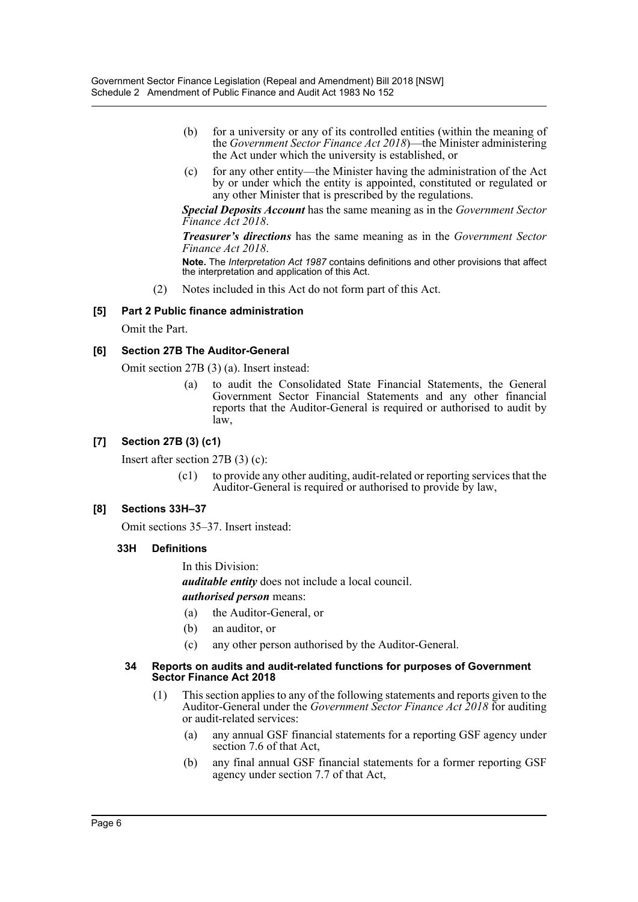- (b) for a university or any of its controlled entities (within the meaning of the *Government Sector Finance Act 2018*)—the Minister administering the Act under which the university is established, or
- (c) for any other entity—the Minister having the administration of the Act by or under which the entity is appointed, constituted or regulated or any other Minister that is prescribed by the regulations.

*Special Deposits Account* has the same meaning as in the *Government Sector Finance Act 2018*.

*Treasurer's directions* has the same meaning as in the *Government Sector Finance Act 2018*.

**Note.** The *Interpretation Act 1987* contains definitions and other provisions that affect the interpretation and application of this Act.

(2) Notes included in this Act do not form part of this Act.

# **[5] Part 2 Public finance administration**

Omit the Part.

### **[6] Section 27B The Auditor-General**

Omit section 27B (3) (a). Insert instead:

(a) to audit the Consolidated State Financial Statements, the General Government Sector Financial Statements and any other financial reports that the Auditor-General is required or authorised to audit by law,

# **[7] Section 27B (3) (c1)**

Insert after section 27B (3) (c):

(c1) to provide any other auditing, audit-related or reporting services that the Auditor-General is required or authorised to provide by law,

#### **[8] Sections 33H–37**

Omit sections 35–37. Insert instead:

#### **33H Definitions**

In this Division:

*auditable entity* does not include a local council.

*authorised person* means:

- (a) the Auditor-General, or
- (b) an auditor, or
- (c) any other person authorised by the Auditor-General.

#### **34 Reports on audits and audit-related functions for purposes of Government Sector Finance Act 2018**

- (1) This section applies to any of the following statements and reports given to the Auditor-General under the *Government Sector Finance Act 2018* for auditing or audit-related services:
	- (a) any annual GSF financial statements for a reporting GSF agency under section 7.6 of that Act,
	- (b) any final annual GSF financial statements for a former reporting GSF agency under section 7.7 of that Act,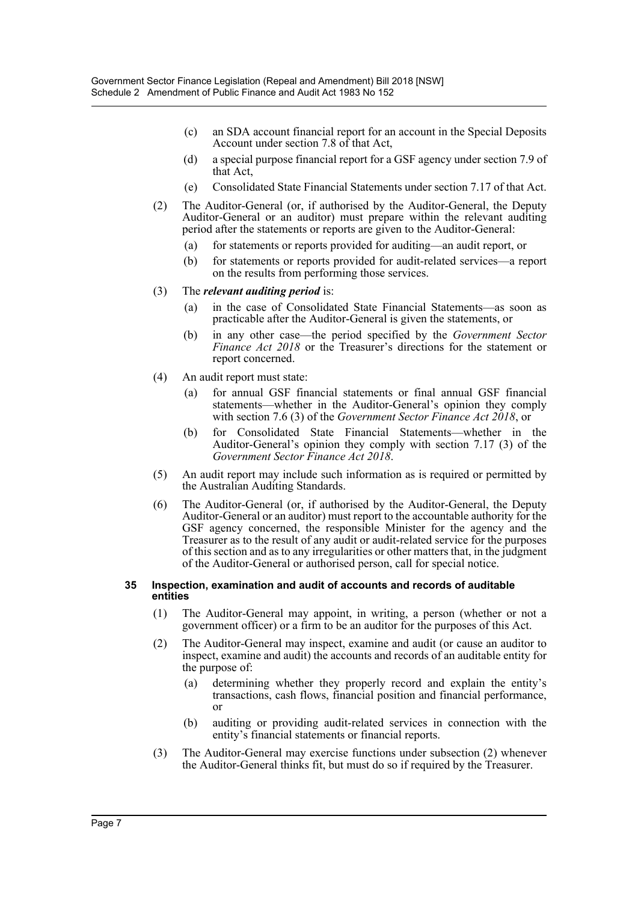- (c) an SDA account financial report for an account in the Special Deposits Account under section 7.8 of that Act,
- (d) a special purpose financial report for a GSF agency under section 7.9 of that Act,
- (e) Consolidated State Financial Statements under section 7.17 of that Act.
- (2) The Auditor-General (or, if authorised by the Auditor-General, the Deputy Auditor-General or an auditor) must prepare within the relevant auditing period after the statements or reports are given to the Auditor-General:
	- (a) for statements or reports provided for auditing—an audit report, or
	- (b) for statements or reports provided for audit-related services—a report on the results from performing those services.

#### (3) The *relevant auditing period* is:

- (a) in the case of Consolidated State Financial Statements—as soon as practicable after the Auditor-General is given the statements, or
- (b) in any other case—the period specified by the *Government Sector Finance Act 2018* or the Treasurer's directions for the statement or report concerned.
- (4) An audit report must state:
	- (a) for annual GSF financial statements or final annual GSF financial statements—whether in the Auditor-General's opinion they comply with section 7.6 (3) of the *Government Sector Finance Act 2018*, or
	- (b) for Consolidated State Financial Statements—whether in the Auditor-General's opinion they comply with section 7.17 (3) of the *Government Sector Finance Act 2018*.
- (5) An audit report may include such information as is required or permitted by the Australian Auditing Standards.
- (6) The Auditor-General (or, if authorised by the Auditor-General, the Deputy Auditor-General or an auditor) must report to the accountable authority for the GSF agency concerned, the responsible Minister for the agency and the Treasurer as to the result of any audit or audit-related service for the purposes of this section and as to any irregularities or other matters that, in the judgment of the Auditor-General or authorised person, call for special notice.

#### **35 Inspection, examination and audit of accounts and records of auditable entities**

- (1) The Auditor-General may appoint, in writing, a person (whether or not a government officer) or a firm to be an auditor for the purposes of this Act.
- (2) The Auditor-General may inspect, examine and audit (or cause an auditor to inspect, examine and audit) the accounts and records of an auditable entity for the purpose of:
	- (a) determining whether they properly record and explain the entity's transactions, cash flows, financial position and financial performance, or
	- (b) auditing or providing audit-related services in connection with the entity's financial statements or financial reports.
- (3) The Auditor-General may exercise functions under subsection (2) whenever the Auditor-General thinks fit, but must do so if required by the Treasurer.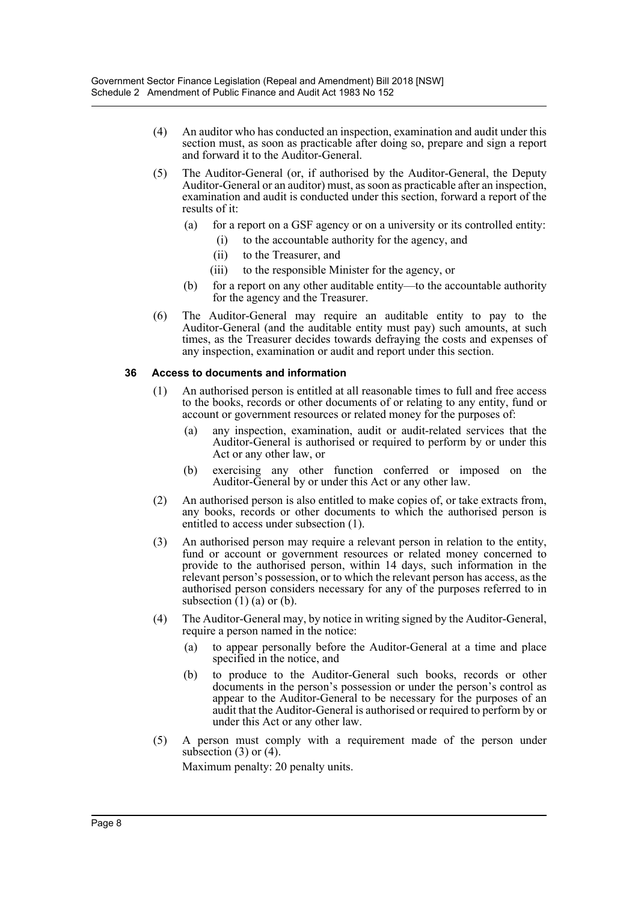- (4) An auditor who has conducted an inspection, examination and audit under this section must, as soon as practicable after doing so, prepare and sign a report and forward it to the Auditor-General.
- (5) The Auditor-General (or, if authorised by the Auditor-General, the Deputy Auditor-General or an auditor) must, as soon as practicable after an inspection, examination and audit is conducted under this section, forward a report of the results of it:
	- (a) for a report on a GSF agency or on a university or its controlled entity:
		- (i) to the accountable authority for the agency, and
		- (ii) to the Treasurer, and
		- (iii) to the responsible Minister for the agency, or
	- (b) for a report on any other auditable entity—to the accountable authority for the agency and the Treasurer.
- (6) The Auditor-General may require an auditable entity to pay to the Auditor-General (and the auditable entity must pay) such amounts, at such times, as the Treasurer decides towards defraying the costs and expenses of any inspection, examination or audit and report under this section.

# **36 Access to documents and information**

- (1) An authorised person is entitled at all reasonable times to full and free access to the books, records or other documents of or relating to any entity, fund or account or government resources or related money for the purposes of:
	- (a) any inspection, examination, audit or audit-related services that the Auditor-General is authorised or required to perform by or under this Act or any other law, or
	- (b) exercising any other function conferred or imposed on the Auditor-General by or under this Act or any other law.
- (2) An authorised person is also entitled to make copies of, or take extracts from, any books, records or other documents to which the authorised person is entitled to access under subsection (1).
- (3) An authorised person may require a relevant person in relation to the entity, fund or account or government resources or related money concerned to provide to the authorised person, within 14 days, such information in the relevant person's possession, or to which the relevant person has access, as the authorised person considers necessary for any of the purposes referred to in subsection  $(1)$   $(a)$  or  $(b)$ .
- (4) The Auditor-General may, by notice in writing signed by the Auditor-General, require a person named in the notice:
	- (a) to appear personally before the Auditor-General at a time and place specified in the notice, and
	- (b) to produce to the Auditor-General such books, records or other documents in the person's possession or under the person's control as appear to the Auditor-General to be necessary for the purposes of an audit that the Auditor-General is authorised or required to perform by or under this Act or any other law.
- (5) A person must comply with a requirement made of the person under subsection  $(3)$  or  $(4)$ .

Maximum penalty: 20 penalty units.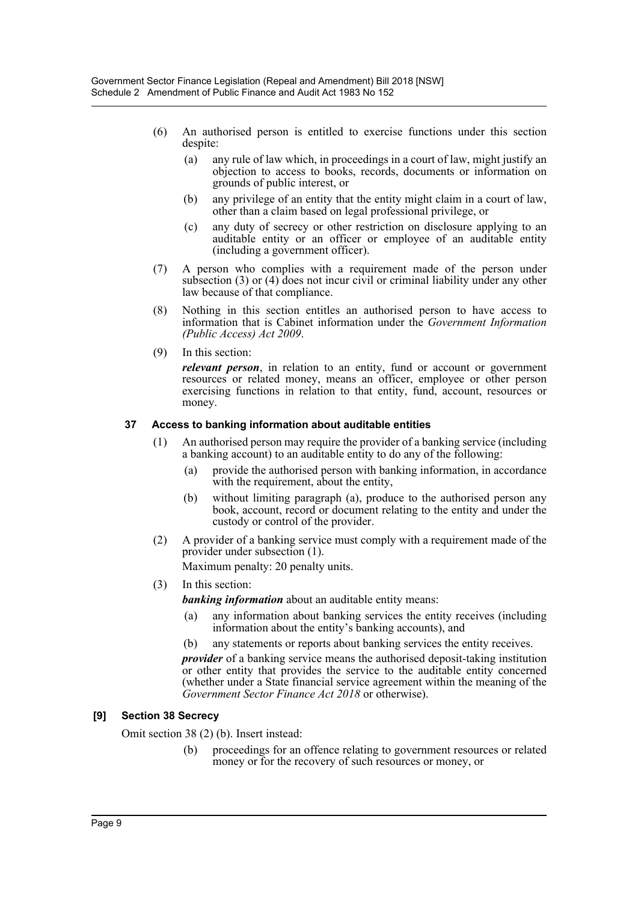- (6) An authorised person is entitled to exercise functions under this section despite:
	- (a) any rule of law which, in proceedings in a court of law, might justify an objection to access to books, records, documents or information on grounds of public interest, or
	- (b) any privilege of an entity that the entity might claim in a court of law, other than a claim based on legal professional privilege, or
	- (c) any duty of secrecy or other restriction on disclosure applying to an auditable entity or an officer or employee of an auditable entity (including a government officer).
- (7) A person who complies with a requirement made of the person under subsection (3) or (4) does not incur civil or criminal liability under any other law because of that compliance.
- (8) Nothing in this section entitles an authorised person to have access to information that is Cabinet information under the *Government Information (Public Access) Act 2009*.
- (9) In this section:

*relevant person*, in relation to an entity, fund or account or government resources or related money, means an officer, employee or other person exercising functions in relation to that entity, fund, account, resources or money.

### **37 Access to banking information about auditable entities**

- (1) An authorised person may require the provider of a banking service (including a banking account) to an auditable entity to do any of the following:
	- (a) provide the authorised person with banking information, in accordance with the requirement, about the entity,
	- (b) without limiting paragraph (a), produce to the authorised person any book, account, record or document relating to the entity and under the custody or control of the provider.
- (2) A provider of a banking service must comply with a requirement made of the provider under subsection (1).

Maximum penalty: 20 penalty units.

(3) In this section:

*banking information* about an auditable entity means:

- (a) any information about banking services the entity receives (including information about the entity's banking accounts), and
- (b) any statements or reports about banking services the entity receives.

*provider* of a banking service means the authorised deposit-taking institution or other entity that provides the service to the auditable entity concerned (whether under a State financial service agreement within the meaning of the *Government Sector Finance Act 2018* or otherwise).

# **[9] Section 38 Secrecy**

Omit section 38 (2) (b). Insert instead:

(b) proceedings for an offence relating to government resources or related money or for the recovery of such resources or money, or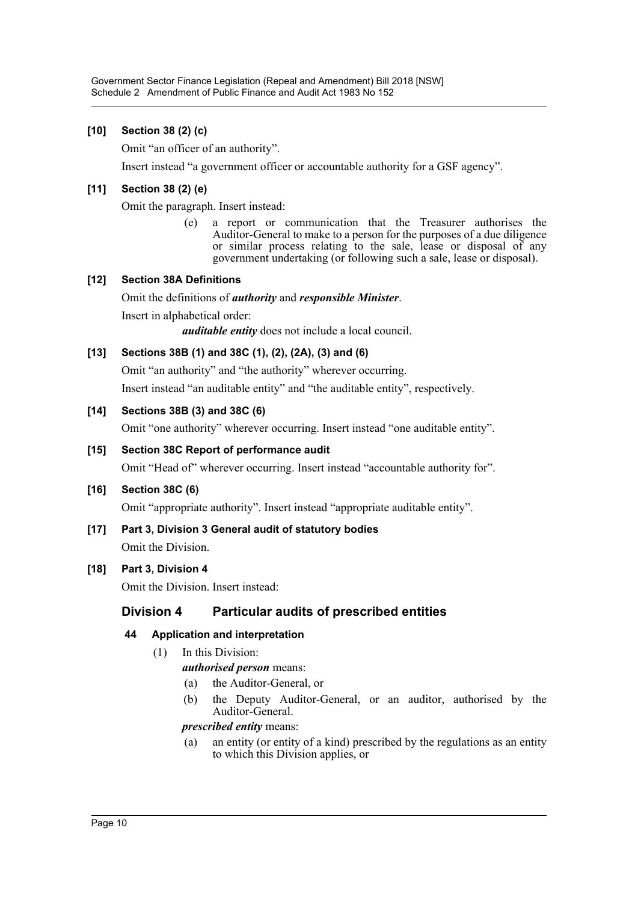# **[10] Section 38 (2) (c)**

Omit "an officer of an authority".

Insert instead "a government officer or accountable authority for a GSF agency".

# **[11] Section 38 (2) (e)**

Omit the paragraph. Insert instead:

(e) a report or communication that the Treasurer authorises the Auditor-General to make to a person for the purposes of a due diligence or similar process relating to the sale, lease or disposal of any government undertaking (or following such a sale, lease or disposal).

# **[12] Section 38A Definitions**

Omit the definitions of *authority* and *responsible Minister*.

Insert in alphabetical order:

*auditable entity* does not include a local council.

# **[13] Sections 38B (1) and 38C (1), (2), (2A), (3) and (6)**

Omit "an authority" and "the authority" wherever occurring.

Insert instead "an auditable entity" and "the auditable entity", respectively.

# **[14] Sections 38B (3) and 38C (6)**

Omit "one authority" wherever occurring. Insert instead "one auditable entity".

### **[15] Section 38C Report of performance audit**

Omit "Head of" wherever occurring. Insert instead "accountable authority for".

# **[16] Section 38C (6)**

Omit "appropriate authority". Insert instead "appropriate auditable entity".

**[17] Part 3, Division 3 General audit of statutory bodies** Omit the Division.

# **[18] Part 3, Division 4**

Omit the Division. Insert instead:

# **Division 4 Particular audits of prescribed entities**

# **44 Application and interpretation**

(1) In this Division:

*authorised person* means:

- (a) the Auditor-General, or
- (b) the Deputy Auditor-General, or an auditor, authorised by the Auditor-General.

### *prescribed entity* means:

(a) an entity (or entity of a kind) prescribed by the regulations as an entity to which this Division applies, or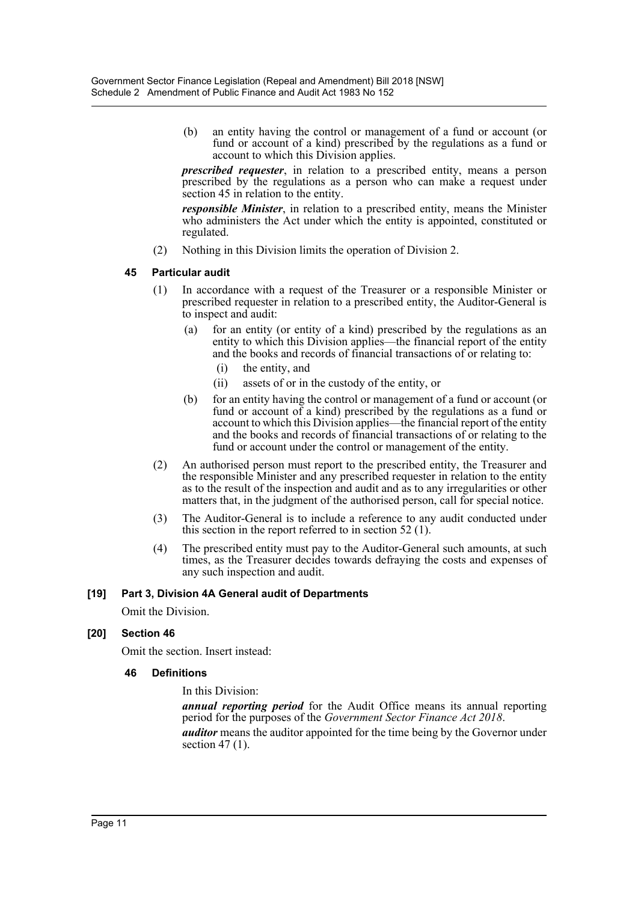(b) an entity having the control or management of a fund or account (or fund or account of a kind) prescribed by the regulations as a fund or account to which this Division applies.

*prescribed requester*, in relation to a prescribed entity, means a person prescribed by the regulations as a person who can make a request under section 45 in relation to the entity.

*responsible Minister*, in relation to a prescribed entity, means the Minister who administers the Act under which the entity is appointed, constituted or regulated.

(2) Nothing in this Division limits the operation of Division 2.

### **45 Particular audit**

- (1) In accordance with a request of the Treasurer or a responsible Minister or prescribed requester in relation to a prescribed entity, the Auditor-General is to inspect and audit:
	- (a) for an entity (or entity of a kind) prescribed by the regulations as an entity to which this Division applies—the financial report of the entity and the books and records of financial transactions of or relating to:
		- (i) the entity, and
		- (ii) assets of or in the custody of the entity, or
	- (b) for an entity having the control or management of a fund or account (or fund or account of a kind) prescribed by the regulations as a fund or account to which this Division applies—the financial report of the entity and the books and records of financial transactions of or relating to the fund or account under the control or management of the entity.
- (2) An authorised person must report to the prescribed entity, the Treasurer and the responsible Minister and any prescribed requester in relation to the entity as to the result of the inspection and audit and as to any irregularities or other matters that, in the judgment of the authorised person, call for special notice.
- (3) The Auditor-General is to include a reference to any audit conducted under this section in the report referred to in section 52 (1).
- (4) The prescribed entity must pay to the Auditor-General such amounts, at such times, as the Treasurer decides towards defraying the costs and expenses of any such inspection and audit.

#### **[19] Part 3, Division 4A General audit of Departments**

Omit the Division.

#### **[20] Section 46**

Omit the section. Insert instead:

# **46 Definitions**

In this Division:

*annual reporting period* for the Audit Office means its annual reporting period for the purposes of the *Government Sector Finance Act 2018*. *auditor* means the auditor appointed for the time being by the Governor under section  $47(1)$ .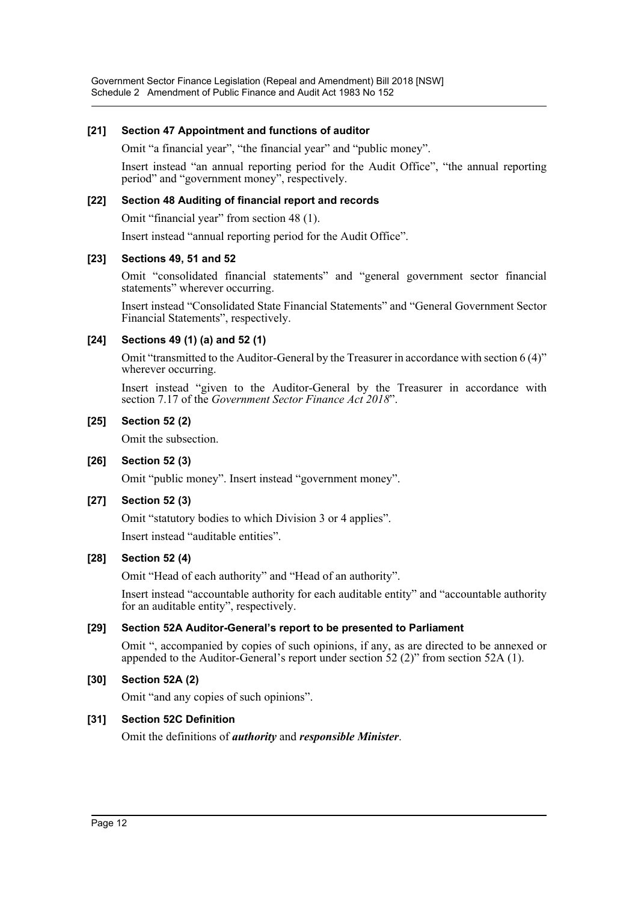### **[21] Section 47 Appointment and functions of auditor**

Omit "a financial year", "the financial year" and "public money".

Insert instead "an annual reporting period for the Audit Office", "the annual reporting period" and "government money", respectively.

### **[22] Section 48 Auditing of financial report and records**

Omit "financial year" from section 48 (1).

Insert instead "annual reporting period for the Audit Office".

#### **[23] Sections 49, 51 and 52**

Omit "consolidated financial statements" and "general government sector financial statements" wherever occurring.

Insert instead "Consolidated State Financial Statements" and "General Government Sector Financial Statements", respectively.

### **[24] Sections 49 (1) (a) and 52 (1)**

Omit "transmitted to the Auditor-General by the Treasurer in accordance with section 6 (4)" wherever occurring.

Insert instead "given to the Auditor-General by the Treasurer in accordance with section 7.17 of the *Government Sector Finance Act 2018*".

#### **[25] Section 52 (2)**

Omit the subsection.

#### **[26] Section 52 (3)**

Omit "public money". Insert instead "government money".

#### **[27] Section 52 (3)**

Omit "statutory bodies to which Division 3 or 4 applies".

Insert instead "auditable entities".

#### **[28] Section 52 (4)**

Omit "Head of each authority" and "Head of an authority".

Insert instead "accountable authority for each auditable entity" and "accountable authority for an auditable entity", respectively.

### **[29] Section 52A Auditor-General's report to be presented to Parliament**

Omit ", accompanied by copies of such opinions, if any, as are directed to be annexed or appended to the Auditor-General's report under section 52 (2)" from section 52A (1).

#### **[30] Section 52A (2)**

Omit "and any copies of such opinions".

#### **[31] Section 52C Definition**

Omit the definitions of *authority* and *responsible Minister*.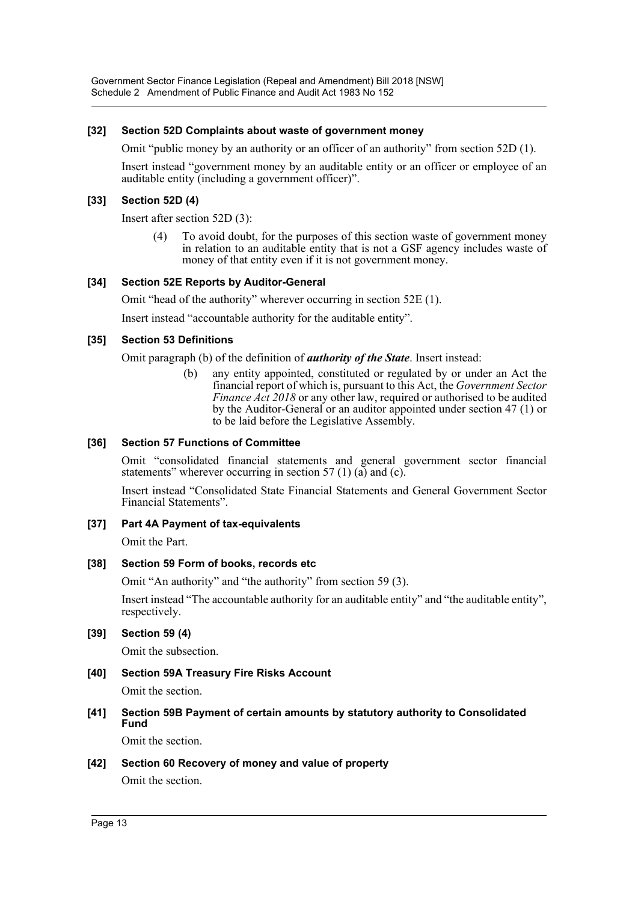### **[32] Section 52D Complaints about waste of government money**

Omit "public money by an authority or an officer of an authority" from section 52D (1).

Insert instead "government money by an auditable entity or an officer or employee of an auditable entity (including a government officer)".

### **[33] Section 52D (4)**

Insert after section 52D (3):

(4) To avoid doubt, for the purposes of this section waste of government money in relation to an auditable entity that is not a GSF agency includes waste of money of that entity even if it is not government money.

#### **[34] Section 52E Reports by Auditor-General**

Omit "head of the authority" wherever occurring in section 52E (1).

Insert instead "accountable authority for the auditable entity".

#### **[35] Section 53 Definitions**

Omit paragraph (b) of the definition of *authority of the State*. Insert instead:

(b) any entity appointed, constituted or regulated by or under an Act the financial report of which is, pursuant to this Act, the *Government Sector Finance Act 2018* or any other law, required or authorised to be audited by the Auditor-General or an auditor appointed under section 47 (1) or to be laid before the Legislative Assembly.

### **[36] Section 57 Functions of Committee**

Omit "consolidated financial statements and general government sector financial statements" wherever occurring in section 57 (1) (a) and (c).

Insert instead "Consolidated State Financial Statements and General Government Sector Financial Statements".

#### **[37] Part 4A Payment of tax-equivalents**

Omit the Part.

#### **[38] Section 59 Form of books, records etc**

Omit "An authority" and "the authority" from section 59 (3).

Insert instead "The accountable authority for an auditable entity" and "the auditable entity", respectively.

#### **[39] Section 59 (4)**

Omit the subsection.

# **[40] Section 59A Treasury Fire Risks Account**

Omit the section.

**[41] Section 59B Payment of certain amounts by statutory authority to Consolidated Fund**

Omit the section.

#### **[42] Section 60 Recovery of money and value of property**

Omit the section.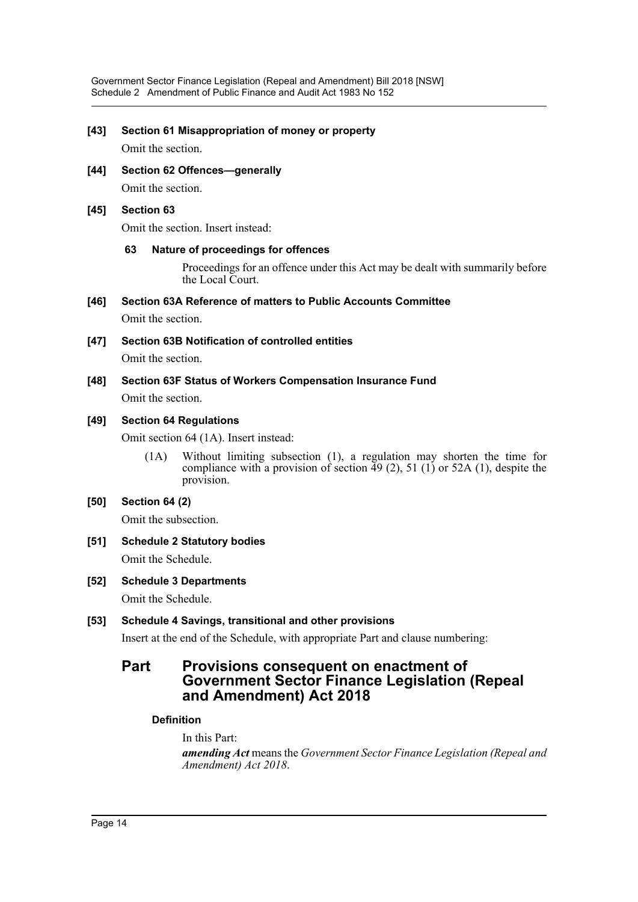### **[43] Section 61 Misappropriation of money or property**

Omit the section.

**[44] Section 62 Offences—generally** Omit the section.

#### **[45] Section 63**

Omit the section. Insert instead:

#### **63 Nature of proceedings for offences**

Proceedings for an offence under this Act may be dealt with summarily before the Local Court.

**[46] Section 63A Reference of matters to Public Accounts Committee**

Omit the section.

**[47] Section 63B Notification of controlled entities**

Omit the section.

**[48] Section 63F Status of Workers Compensation Insurance Fund** Omit the section.

# **[49] Section 64 Regulations**

Omit section 64 (1A). Insert instead:

(1A) Without limiting subsection (1), a regulation may shorten the time for compliance with a provision of section  $\overline{49}$  (2), 51 (1) or 52A (1), despite the provision.

#### **[50] Section 64 (2)**

Omit the subsection.

- **[51] Schedule 2 Statutory bodies** Omit the Schedule.
- **[52] Schedule 3 Departments** Omit the Schedule.

# **[53] Schedule 4 Savings, transitional and other provisions**

Insert at the end of the Schedule, with appropriate Part and clause numbering:

# **Part Provisions consequent on enactment of Government Sector Finance Legislation (Repeal and Amendment) Act 2018**

### **Definition**

In this Part: *amending Act* means the *Government Sector Finance Legislation (Repeal and Amendment) Act 2018*.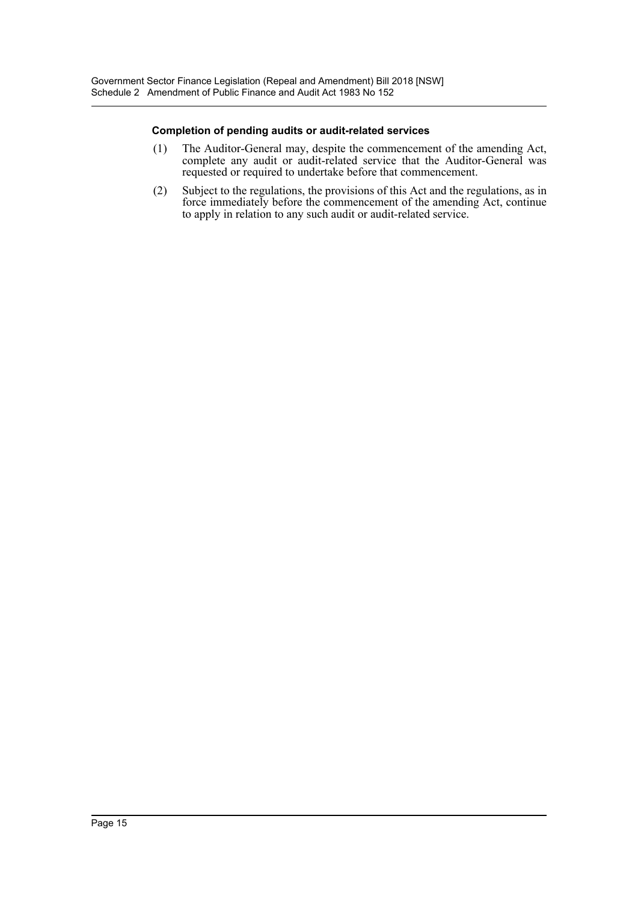#### **Completion of pending audits or audit-related services**

- (1) The Auditor-General may, despite the commencement of the amending Act, complete any audit or audit-related service that the Auditor-General was requested or required to undertake before that commencement.
- (2) Subject to the regulations, the provisions of this Act and the regulations, as in force immediately before the commencement of the amending Act, continue to apply in relation to any such audit or audit-related service.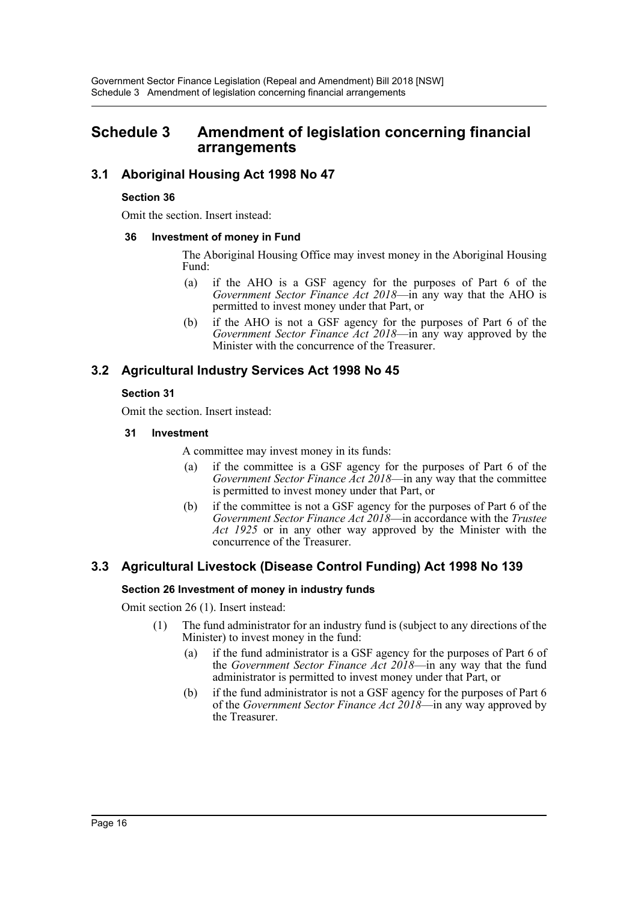# <span id="page-16-0"></span>**Schedule 3 Amendment of legislation concerning financial arrangements**

# **3.1 Aboriginal Housing Act 1998 No 47**

### **Section 36**

Omit the section. Insert instead:

### **36 Investment of money in Fund**

The Aboriginal Housing Office may invest money in the Aboriginal Housing Fund:

- (a) if the AHO is a GSF agency for the purposes of Part 6 of the *Government Sector Finance Act 2018*—in any way that the AHO is permitted to invest money under that Part, or
- (b) if the AHO is not a GSF agency for the purposes of Part 6 of the *Government Sector Finance Act 2018*—in any way approved by the Minister with the concurrence of the Treasurer.

# **3.2 Agricultural Industry Services Act 1998 No 45**

# **Section 31**

Omit the section. Insert instead:

**31 Investment**

A committee may invest money in its funds:

- (a) if the committee is a GSF agency for the purposes of Part 6 of the *Government Sector Finance Act 2018*—in any way that the committee is permitted to invest money under that Part, or
- (b) if the committee is not a GSF agency for the purposes of Part 6 of the *Government Sector Finance Act 2018*—in accordance with the *Trustee Act 1925* or in any other way approved by the Minister with the concurrence of the Treasurer.

# **3.3 Agricultural Livestock (Disease Control Funding) Act 1998 No 139**

# **Section 26 Investment of money in industry funds**

Omit section 26 (1). Insert instead:

- (1) The fund administrator for an industry fund is (subject to any directions of the Minister) to invest money in the fund:
	- (a) if the fund administrator is a GSF agency for the purposes of Part 6 of the *Government Sector Finance Act 2018*—in any way that the fund administrator is permitted to invest money under that Part, or
	- (b) if the fund administrator is not a GSF agency for the purposes of Part 6 of the *Government Sector Finance Act 2018*—in any way approved by the Treasurer.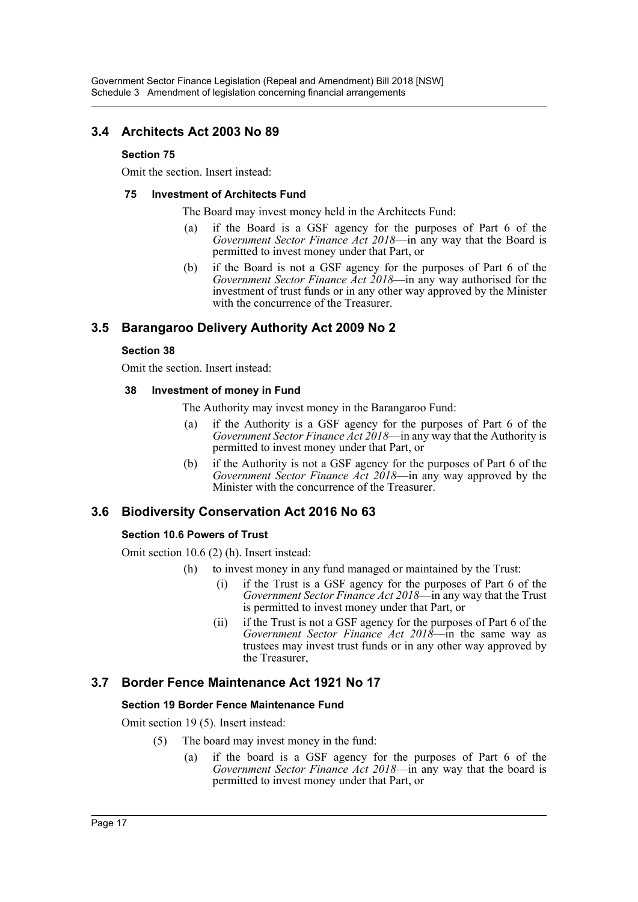# **3.4 Architects Act 2003 No 89**

# **Section 75**

Omit the section. Insert instead:

# **75 Investment of Architects Fund**

The Board may invest money held in the Architects Fund:

- (a) if the Board is a GSF agency for the purposes of Part 6 of the *Government Sector Finance Act 2018*—in any way that the Board is permitted to invest money under that Part, or
- (b) if the Board is not a GSF agency for the purposes of Part 6 of the *Government Sector Finance Act 2018*—in any way authorised for the investment of trust funds or in any other way approved by the Minister with the concurrence of the Treasurer.

# **3.5 Barangaroo Delivery Authority Act 2009 No 2**

# **Section 38**

Omit the section. Insert instead:

### **38 Investment of money in Fund**

The Authority may invest money in the Barangaroo Fund:

- (a) if the Authority is a GSF agency for the purposes of Part 6 of the *Government Sector Finance Act 2018*—in any way that the Authority is permitted to invest money under that Part, or
- (b) if the Authority is not a GSF agency for the purposes of Part 6 of the *Government Sector Finance Act 2018*—in any way approved by the Minister with the concurrence of the Treasurer.

# **3.6 Biodiversity Conservation Act 2016 No 63**

# **Section 10.6 Powers of Trust**

Omit section 10.6 (2) (h). Insert instead:

- (h) to invest money in any fund managed or maintained by the Trust:
	- (i) if the Trust is a GSF agency for the purposes of Part 6 of the *Government Sector Finance Act 2018*—in any way that the Trust is permitted to invest money under that Part, or
	- (ii) if the Trust is not a GSF agency for the purposes of Part 6 of the *Government Sector Finance Act 2018*—in the same way as trustees may invest trust funds or in any other way approved by the Treasurer,

# **3.7 Border Fence Maintenance Act 1921 No 17**

# **Section 19 Border Fence Maintenance Fund**

Omit section 19 (5). Insert instead:

- (5) The board may invest money in the fund:
	- (a) if the board is a GSF agency for the purposes of Part 6 of the *Government Sector Finance Act 2018*—in any way that the board is permitted to invest money under that Part, or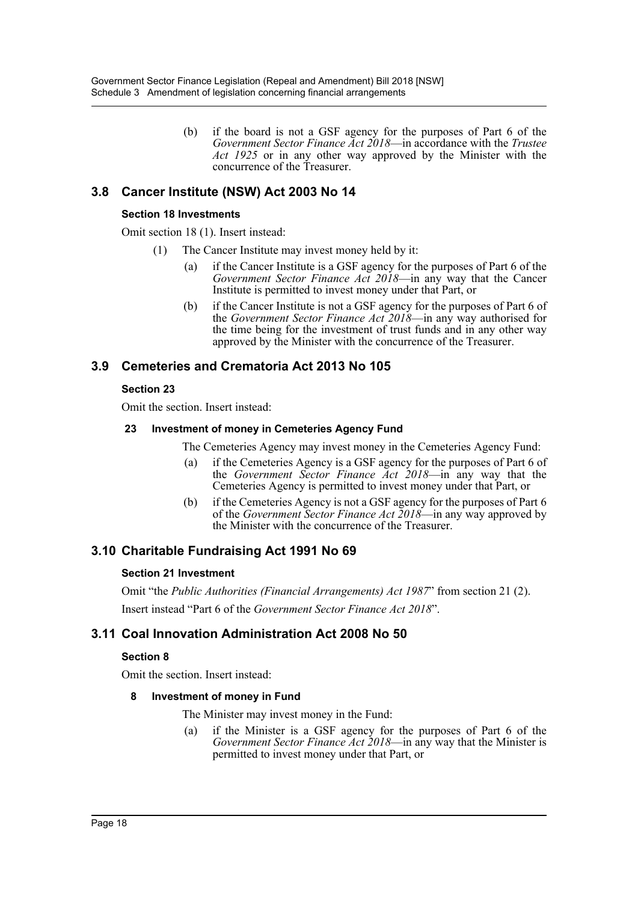(b) if the board is not a GSF agency for the purposes of Part 6 of the *Government Sector Finance Act 2018*—in accordance with the *Trustee Act 1925* or in any other way approved by the Minister with the concurrence of the Treasurer.

# **3.8 Cancer Institute (NSW) Act 2003 No 14**

### **Section 18 Investments**

Omit section 18 (1). Insert instead:

- (1) The Cancer Institute may invest money held by it:
	- (a) if the Cancer Institute is a GSF agency for the purposes of Part 6 of the *Government Sector Finance Act 2018*—in any way that the Cancer Institute is permitted to invest money under that Part, or
	- (b) if the Cancer Institute is not a GSF agency for the purposes of Part 6 of the *Government Sector Finance Act 2018*—in any way authorised for the time being for the investment of trust funds and in any other way approved by the Minister with the concurrence of the Treasurer.

# **3.9 Cemeteries and Crematoria Act 2013 No 105**

# **Section 23**

Omit the section. Insert instead:

### **23 Investment of money in Cemeteries Agency Fund**

The Cemeteries Agency may invest money in the Cemeteries Agency Fund:

- (a) if the Cemeteries Agency is a GSF agency for the purposes of Part 6 of the *Government Sector Finance Act 2018*—in any way that the Cemeteries Agency is permitted to invest money under that Part, or
- (b) if the Cemeteries Agency is not a GSF agency for the purposes of Part 6 of the *Government Sector Finance Act 2018*—in any way approved by the Minister with the concurrence of the Treasurer.

# **3.10 Charitable Fundraising Act 1991 No 69**

# **Section 21 Investment**

Omit "the *Public Authorities (Financial Arrangements) Act 1987*" from section 21 (2). Insert instead "Part 6 of the *Government Sector Finance Act 2018*".

# **3.11 Coal Innovation Administration Act 2008 No 50**

# **Section 8**

Omit the section. Insert instead:

# **8 Investment of money in Fund**

The Minister may invest money in the Fund:

(a) if the Minister is a GSF agency for the purposes of Part 6 of the *Government Sector Finance Act 2018*—in any way that the Minister is permitted to invest money under that Part, or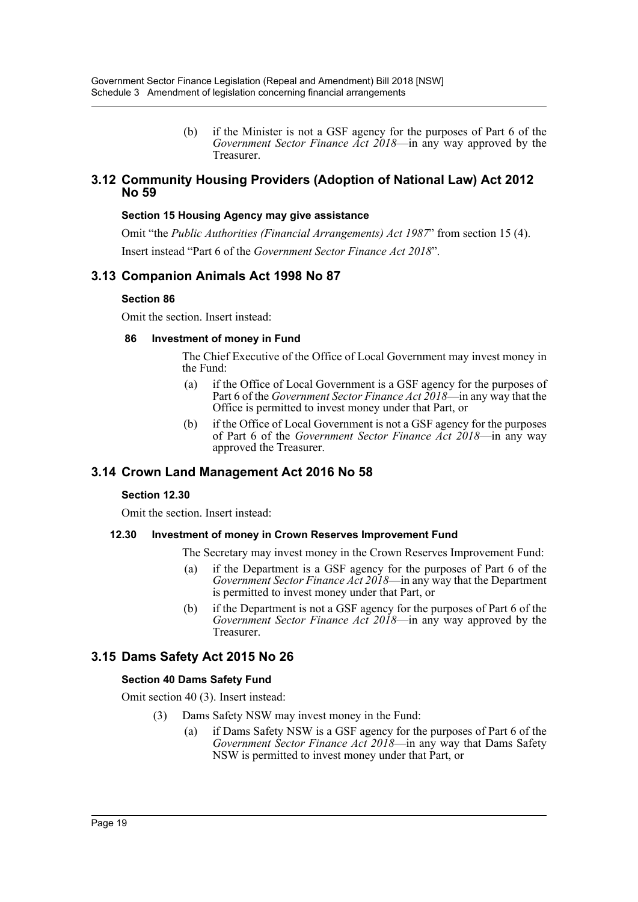(b) if the Minister is not a GSF agency for the purposes of Part 6 of the *Government Sector Finance Act 2018*—in any way approved by the Treasurer.

# **3.12 Community Housing Providers (Adoption of National Law) Act 2012 No 59**

### **Section 15 Housing Agency may give assistance**

Omit "the *Public Authorities (Financial Arrangements) Act 1987*" from section 15 (4). Insert instead "Part 6 of the *Government Sector Finance Act 2018*".

# **3.13 Companion Animals Act 1998 No 87**

### **Section 86**

Omit the section. Insert instead:

### **86 Investment of money in Fund**

The Chief Executive of the Office of Local Government may invest money in the Fund:

- (a) if the Office of Local Government is a GSF agency for the purposes of Part 6 of the *Government Sector Finance Act 2018*—in any way that the Office is permitted to invest money under that Part, or
- (b) if the Office of Local Government is not a GSF agency for the purposes of Part 6 of the *Government Sector Finance Act 2018*—in any way approved the Treasurer.

# **3.14 Crown Land Management Act 2016 No 58**

# **Section 12.30**

Omit the section. Insert instead:

# **12.30 Investment of money in Crown Reserves Improvement Fund**

The Secretary may invest money in the Crown Reserves Improvement Fund:

- (a) if the Department is a GSF agency for the purposes of Part 6 of the *Government Sector Finance Act 2018*—in any way that the Department is permitted to invest money under that Part, or
- (b) if the Department is not a GSF agency for the purposes of Part 6 of the *Government Sector Finance Act 2018*—in any way approved by the Treasurer.

# **3.15 Dams Safety Act 2015 No 26**

# **Section 40 Dams Safety Fund**

Omit section 40 (3). Insert instead:

- (3) Dams Safety NSW may invest money in the Fund:
	- (a) if Dams Safety NSW is a GSF agency for the purposes of Part 6 of the *Government Sector Finance Act 2018*—in any way that Dams Safety NSW is permitted to invest money under that Part, or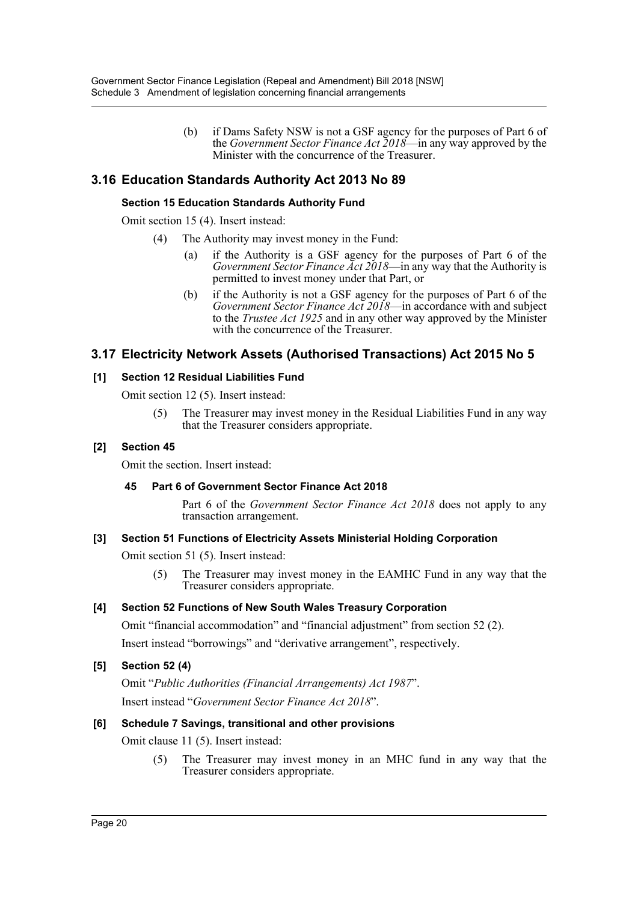(b) if Dams Safety NSW is not a GSF agency for the purposes of Part 6 of the *Government Sector Finance Act 2018*—in any way approved by the Minister with the concurrence of the Treasurer.

# **3.16 Education Standards Authority Act 2013 No 89**

# **Section 15 Education Standards Authority Fund**

Omit section 15 (4). Insert instead:

- (4) The Authority may invest money in the Fund:
	- if the Authority is a GSF agency for the purposes of Part 6 of the *Government Sector Finance Act 2018*—in any way that the Authority is permitted to invest money under that Part, or
	- (b) if the Authority is not a GSF agency for the purposes of Part 6 of the *Government Sector Finance Act 2018*—in accordance with and subject to the *Trustee Act 1925* and in any other way approved by the Minister with the concurrence of the Treasurer.

# **3.17 Electricity Network Assets (Authorised Transactions) Act 2015 No 5**

### **[1] Section 12 Residual Liabilities Fund**

Omit section 12 (5). Insert instead:

(5) The Treasurer may invest money in the Residual Liabilities Fund in any way that the Treasurer considers appropriate.

# **[2] Section 45**

Omit the section. Insert instead:

#### **45 Part 6 of Government Sector Finance Act 2018**

Part 6 of the *Government Sector Finance Act 2018* does not apply to any transaction arrangement.

# **[3] Section 51 Functions of Electricity Assets Ministerial Holding Corporation**

Omit section 51 (5). Insert instead:

(5) The Treasurer may invest money in the EAMHC Fund in any way that the Treasurer considers appropriate.

# **[4] Section 52 Functions of New South Wales Treasury Corporation**

Omit "financial accommodation" and "financial adjustment" from section 52 (2). Insert instead "borrowings" and "derivative arrangement", respectively.

# **[5] Section 52 (4)**

Omit "*Public Authorities (Financial Arrangements) Act 1987*". Insert instead "*Government Sector Finance Act 2018*".

# **[6] Schedule 7 Savings, transitional and other provisions**

Omit clause 11 (5). Insert instead:

(5) The Treasurer may invest money in an MHC fund in any way that the Treasurer considers appropriate.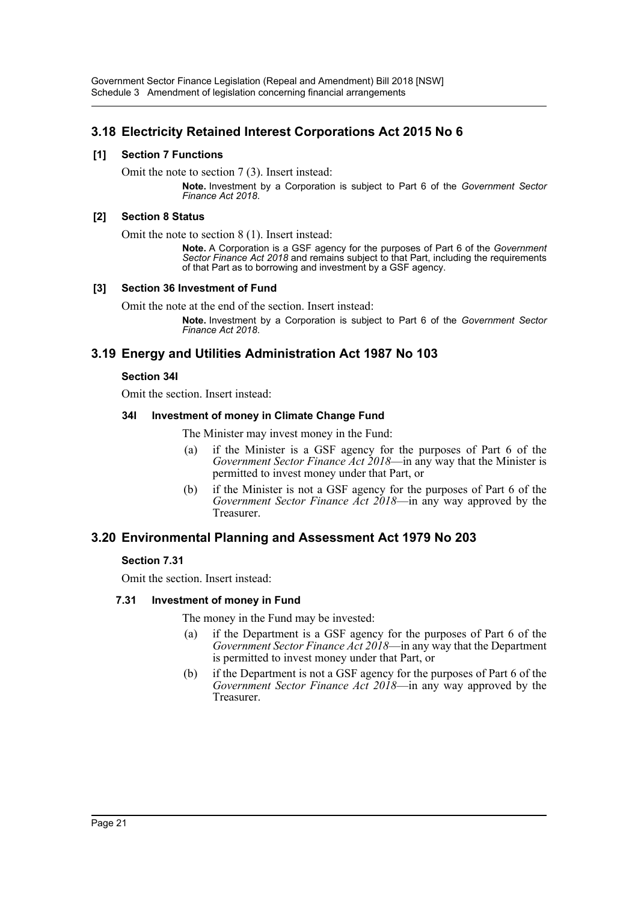Government Sector Finance Legislation (Repeal and Amendment) Bill 2018 [NSW] Schedule 3 Amendment of legislation concerning financial arrangements

# **3.18 Electricity Retained Interest Corporations Act 2015 No 6**

#### **[1] Section 7 Functions**

Omit the note to section 7 (3). Insert instead:

**Note.** Investment by a Corporation is subject to Part 6 of the *Government Sector Finance Act 2018*.

#### **[2] Section 8 Status**

Omit the note to section 8 (1). Insert instead:

**Note.** A Corporation is a GSF agency for the purposes of Part 6 of the *Government Sector Finance Act 2018* and remains subject to that Part, including the requirements of that Part as to borrowing and investment by a GSF agency.

#### **[3] Section 36 Investment of Fund**

Omit the note at the end of the section. Insert instead:

**Note.** Investment by a Corporation is subject to Part 6 of the *Government Sector Finance Act 2018*.

# **3.19 Energy and Utilities Administration Act 1987 No 103**

#### **Section 34I**

Omit the section. Insert instead:

### **34I Investment of money in Climate Change Fund**

The Minister may invest money in the Fund:

- (a) if the Minister is a GSF agency for the purposes of Part 6 of the *Government Sector Finance Act 2018*—in any way that the Minister is permitted to invest money under that Part, or
- (b) if the Minister is not a GSF agency for the purposes of Part 6 of the *Government Sector Finance Act 2018*—in any way approved by the Treasurer.

# **3.20 Environmental Planning and Assessment Act 1979 No 203**

#### **Section 7.31**

Omit the section. Insert instead:

#### **7.31 Investment of money in Fund**

The money in the Fund may be invested:

- (a) if the Department is a GSF agency for the purposes of Part 6 of the *Government Sector Finance Act 2018*—in any way that the Department is permitted to invest money under that Part, or
- (b) if the Department is not a GSF agency for the purposes of Part 6 of the *Government Sector Finance Act 2018*—in any way approved by the Treasurer.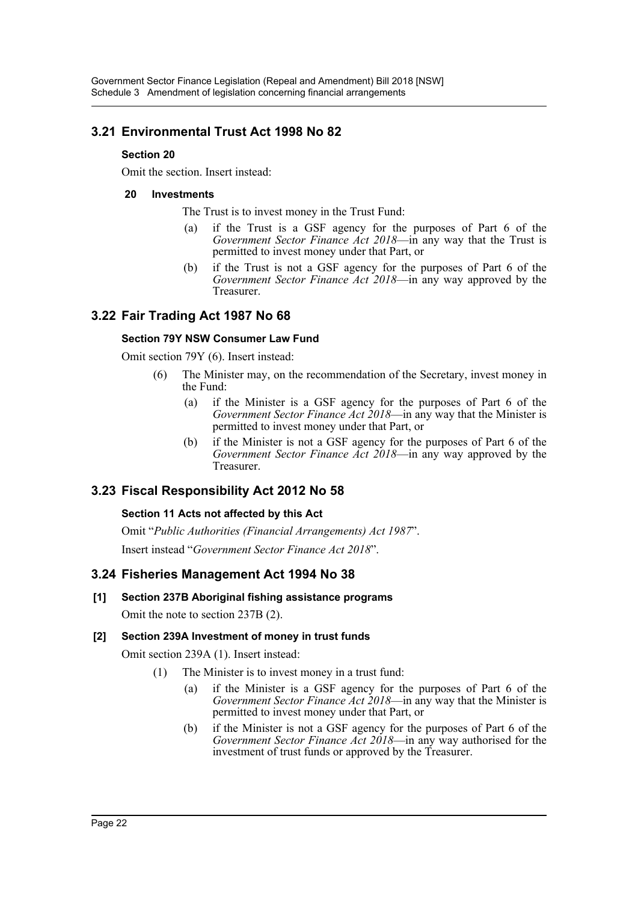# **3.21 Environmental Trust Act 1998 No 82**

# **Section 20**

Omit the section. Insert instead:

### **20 Investments**

The Trust is to invest money in the Trust Fund:

- (a) if the Trust is a GSF agency for the purposes of Part 6 of the *Government Sector Finance Act 2018*—in any way that the Trust is permitted to invest money under that Part, or
- (b) if the Trust is not a GSF agency for the purposes of Part 6 of the *Government Sector Finance Act 2018*—in any way approved by the Treasurer.

# **3.22 Fair Trading Act 1987 No 68**

# **Section 79Y NSW Consumer Law Fund**

Omit section 79Y (6). Insert instead:

- (6) The Minister may, on the recommendation of the Secretary, invest money in the Fund:
	- (a) if the Minister is a GSF agency for the purposes of Part 6 of the *Government Sector Finance Act 2018*—in any way that the Minister is permitted to invest money under that Part, or
	- (b) if the Minister is not a GSF agency for the purposes of Part 6 of the *Government Sector Finance Act 2018*—in any way approved by the Treasurer.

# **3.23 Fiscal Responsibility Act 2012 No 58**

# **Section 11 Acts not affected by this Act**

Omit "*Public Authorities (Financial Arrangements) Act 1987*". Insert instead "*Government Sector Finance Act 2018*".

# **3.24 Fisheries Management Act 1994 No 38**

# **[1] Section 237B Aboriginal fishing assistance programs**

Omit the note to section 237B (2).

# **[2] Section 239A Investment of money in trust funds**

Omit section 239A (1). Insert instead:

- (1) The Minister is to invest money in a trust fund:
	- (a) if the Minister is a GSF agency for the purposes of Part 6 of the *Government Sector Finance Act 2018*—in any way that the Minister is permitted to invest money under that Part, or
	- (b) if the Minister is not a GSF agency for the purposes of Part 6 of the *Government Sector Finance Act 2018*—in any way authorised for the investment of trust funds or approved by the Treasurer.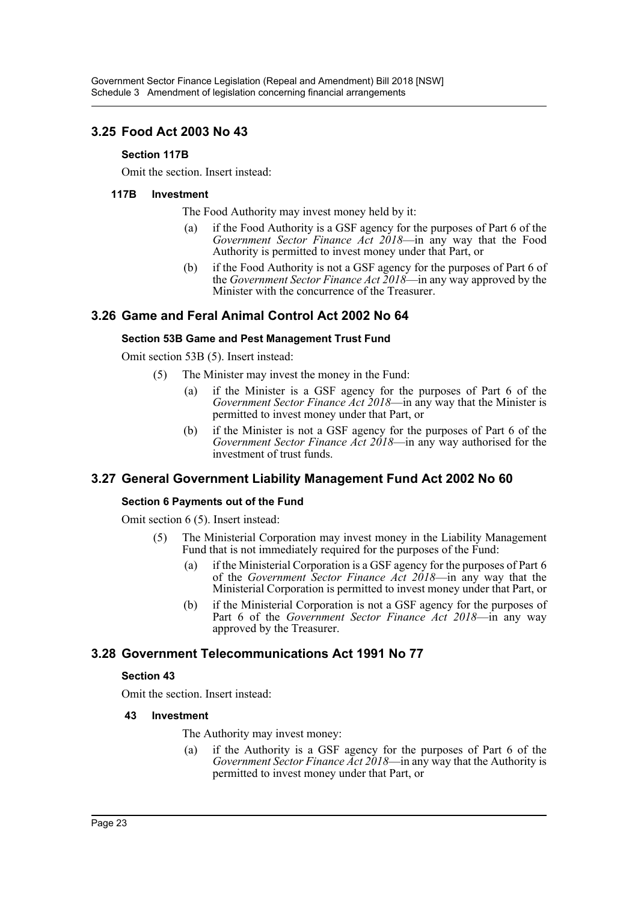# **3.25 Food Act 2003 No 43**

### **Section 117B**

Omit the section. Insert instead:

### **117B Investment**

The Food Authority may invest money held by it:

- (a) if the Food Authority is a GSF agency for the purposes of Part 6 of the *Government Sector Finance Act 2018*—in any way that the Food Authority is permitted to invest money under that Part, or
- (b) if the Food Authority is not a GSF agency for the purposes of Part 6 of the *Government Sector Finance Act 2018*—in any way approved by the Minister with the concurrence of the Treasurer.

# **3.26 Game and Feral Animal Control Act 2002 No 64**

#### **Section 53B Game and Pest Management Trust Fund**

Omit section 53B (5). Insert instead:

- (5) The Minister may invest the money in the Fund:
	- (a) if the Minister is a GSF agency for the purposes of Part 6 of the *Government Sector Finance Act 2018*—in any way that the Minister is permitted to invest money under that Part, or
	- (b) if the Minister is not a GSF agency for the purposes of Part 6 of the *Government Sector Finance Act 2018*—in any way authorised for the investment of trust funds.

# **3.27 General Government Liability Management Fund Act 2002 No 60**

# **Section 6 Payments out of the Fund**

Omit section 6 (5). Insert instead:

- (5) The Ministerial Corporation may invest money in the Liability Management Fund that is not immediately required for the purposes of the Fund:
	- (a) if the Ministerial Corporation is a GSF agency for the purposes of Part 6 of the *Government Sector Finance Act 2018*—in any way that the Ministerial Corporation is permitted to invest money under that Part, or
	- (b) if the Ministerial Corporation is not a GSF agency for the purposes of Part 6 of the *Government Sector Finance Act 2018*—in any way approved by the Treasurer.

# **3.28 Government Telecommunications Act 1991 No 77**

# **Section 43**

Omit the section. Insert instead:

#### **43 Investment**

The Authority may invest money:

(a) if the Authority is a GSF agency for the purposes of Part 6 of the *Government Sector Finance Act 2018*—in any way that the Authority is permitted to invest money under that Part, or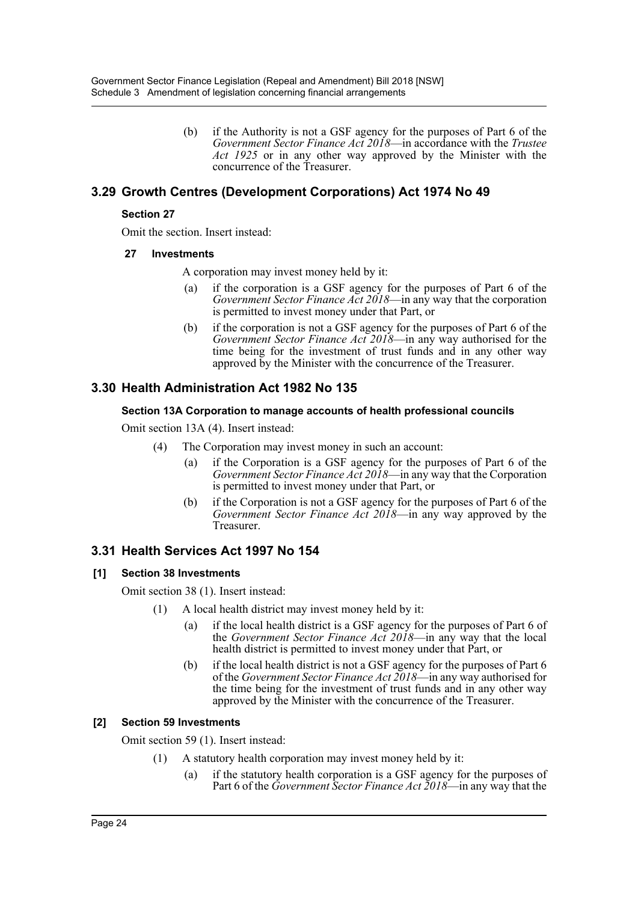(b) if the Authority is not a GSF agency for the purposes of Part 6 of the *Government Sector Finance Act 2018*—in accordance with the *Trustee Act 1925* or in any other way approved by the Minister with the concurrence of the Treasurer.

# **3.29 Growth Centres (Development Corporations) Act 1974 No 49**

### **Section 27**

Omit the section. Insert instead:

### **27 Investments**

A corporation may invest money held by it:

- (a) if the corporation is a GSF agency for the purposes of Part 6 of the *Government Sector Finance Act 2018*—in any way that the corporation is permitted to invest money under that Part, or
- (b) if the corporation is not a GSF agency for the purposes of Part 6 of the *Government Sector Finance Act 2018*—in any way authorised for the time being for the investment of trust funds and in any other way approved by the Minister with the concurrence of the Treasurer.

# **3.30 Health Administration Act 1982 No 135**

### **Section 13A Corporation to manage accounts of health professional councils**

Omit section 13A (4). Insert instead:

- (4) The Corporation may invest money in such an account:
	- (a) if the Corporation is a GSF agency for the purposes of Part 6 of the *Government Sector Finance Act 2018*—in any way that the Corporation is permitted to invest money under that Part, or
	- (b) if the Corporation is not a GSF agency for the purposes of Part 6 of the *Government Sector Finance Act 2018*—in any way approved by the Treasurer.

# **3.31 Health Services Act 1997 No 154**

# **[1] Section 38 Investments**

Omit section 38 (1). Insert instead:

- (1) A local health district may invest money held by it:
	- (a) if the local health district is a GSF agency for the purposes of Part 6 of the *Government Sector Finance Act 2018*—in any way that the local health district is permitted to invest money under that Part, or
	- (b) if the local health district is not a GSF agency for the purposes of Part 6 of the *Government Sector Finance Act 2018*—in any way authorised for the time being for the investment of trust funds and in any other way approved by the Minister with the concurrence of the Treasurer.

# **[2] Section 59 Investments**

Omit section 59 (1). Insert instead:

- (1) A statutory health corporation may invest money held by it:
	- (a) if the statutory health corporation is a GSF agency for the purposes of Part 6 of the *Government Sector Finance Act 2018*—in any way that the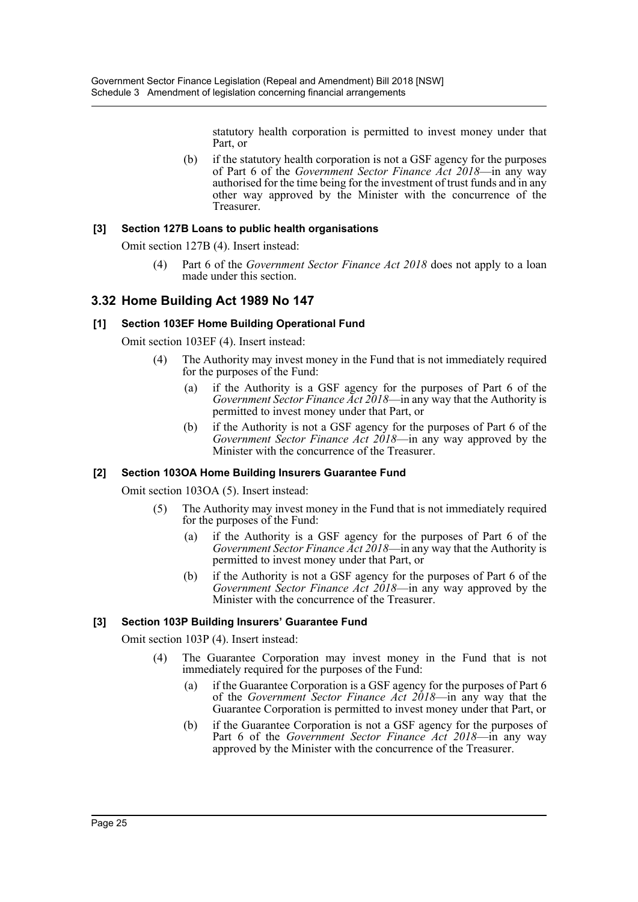statutory health corporation is permitted to invest money under that Part, or

(b) if the statutory health corporation is not a GSF agency for the purposes of Part 6 of the *Government Sector Finance Act 2018*—in any way authorised for the time being for the investment of trust funds and in any other way approved by the Minister with the concurrence of the Treasurer.

### **[3] Section 127B Loans to public health organisations**

Omit section 127B (4). Insert instead:

(4) Part 6 of the *Government Sector Finance Act 2018* does not apply to a loan made under this section.

# **3.32 Home Building Act 1989 No 147**

### **[1] Section 103EF Home Building Operational Fund**

Omit section 103EF (4). Insert instead:

- (4) The Authority may invest money in the Fund that is not immediately required for the purposes of the Fund:
	- (a) if the Authority is a GSF agency for the purposes of Part 6 of the *Government Sector Finance Act 2018*—in any way that the Authority is permitted to invest money under that Part, or
	- (b) if the Authority is not a GSF agency for the purposes of Part 6 of the *Government Sector Finance Act 2018*—in any way approved by the Minister with the concurrence of the Treasurer.

# **[2] Section 103OA Home Building Insurers Guarantee Fund**

Omit section 103OA (5). Insert instead:

- (5) The Authority may invest money in the Fund that is not immediately required for the purposes of the Fund:
	- (a) if the Authority is a GSF agency for the purposes of Part 6 of the *Government Sector Finance Act 2018*—in any way that the Authority is permitted to invest money under that Part, or
	- (b) if the Authority is not a GSF agency for the purposes of Part 6 of the *Government Sector Finance Act 2018*—in any way approved by the Minister with the concurrence of the Treasurer.

# **[3] Section 103P Building Insurers' Guarantee Fund**

Omit section 103P (4). Insert instead:

- (4) The Guarantee Corporation may invest money in the Fund that is not immediately required for the purposes of the Fund:
	- (a) if the Guarantee Corporation is a GSF agency for the purposes of Part 6 of the *Government Sector Finance Act 2018*—in any way that the Guarantee Corporation is permitted to invest money under that Part, or
	- (b) if the Guarantee Corporation is not a GSF agency for the purposes of Part 6 of the *Government Sector Finance Act 2018*—in any way approved by the Minister with the concurrence of the Treasurer.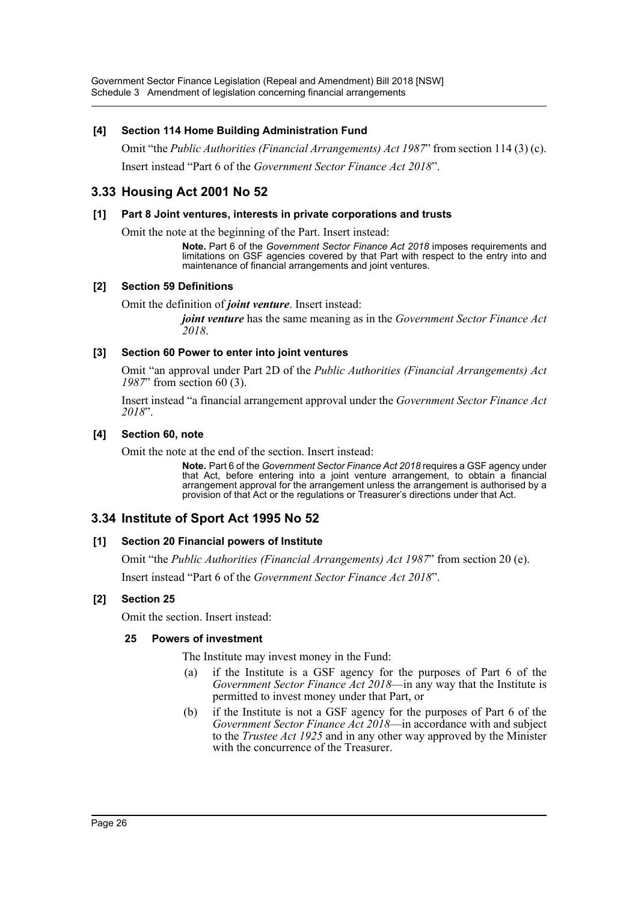Government Sector Finance Legislation (Repeal and Amendment) Bill 2018 [NSW] Schedule 3 Amendment of legislation concerning financial arrangements

#### **[4] Section 114 Home Building Administration Fund**

Omit "the *Public Authorities (Financial Arrangements) Act 1987*" from section 114 (3) (c). Insert instead "Part 6 of the *Government Sector Finance Act 2018*".

# **3.33 Housing Act 2001 No 52**

#### **[1] Part 8 Joint ventures, interests in private corporations and trusts**

Omit the note at the beginning of the Part. Insert instead:

**Note.** Part 6 of the *Government Sector Finance Act 2018* imposes requirements and limitations on GSF agencies covered by that Part with respect to the entry into and maintenance of financial arrangements and joint ventures.

#### **[2] Section 59 Definitions**

Omit the definition of *joint venture*. Insert instead:

*joint venture* has the same meaning as in the *Government Sector Finance Act 2018*.

#### **[3] Section 60 Power to enter into joint ventures**

Omit "an approval under Part 2D of the *Public Authorities (Financial Arrangements) Act 1987*" from section 60 (3).

Insert instead "a financial arrangement approval under the *Government Sector Finance Act 2018*".

#### **[4] Section 60, note**

Omit the note at the end of the section. Insert instead:

**Note.** Part 6 of the *Government Sector Finance Act 2018* requires a GSF agency under that Act, before entering into a joint venture arrangement, to obtain a financial arrangement approval for the arrangement unless the arrangement is authorised by a provision of that Act or the regulations or Treasurer's directions under that Act.

# **3.34 Institute of Sport Act 1995 No 52**

#### **[1] Section 20 Financial powers of Institute**

Omit "the *Public Authorities (Financial Arrangements) Act 1987*" from section 20 (e).

Insert instead "Part 6 of the *Government Sector Finance Act 2018*".

#### **[2] Section 25**

Omit the section. Insert instead:

### **25 Powers of investment**

The Institute may invest money in the Fund:

- (a) if the Institute is a GSF agency for the purposes of Part 6 of the *Government Sector Finance Act 2018*—in any way that the Institute is permitted to invest money under that Part, or
- (b) if the Institute is not a GSF agency for the purposes of Part 6 of the *Government Sector Finance Act 2018*—in accordance with and subject to the *Trustee Act 1925* and in any other way approved by the Minister with the concurrence of the Treasurer.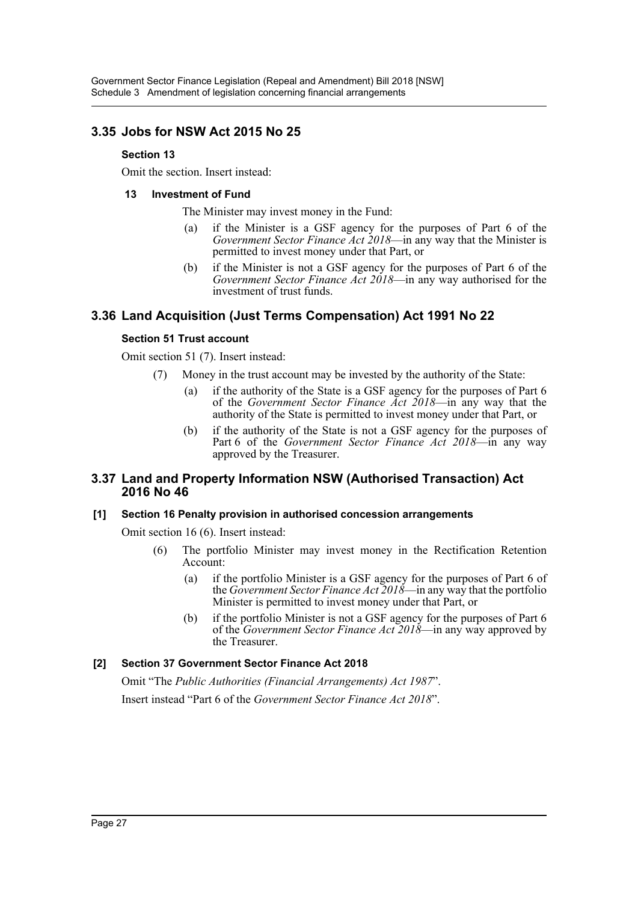# **3.35 Jobs for NSW Act 2015 No 25**

### **Section 13**

Omit the section. Insert instead:

### **13 Investment of Fund**

The Minister may invest money in the Fund:

- (a) if the Minister is a GSF agency for the purposes of Part 6 of the *Government Sector Finance Act 2018*—in any way that the Minister is permitted to invest money under that Part, or
- (b) if the Minister is not a GSF agency for the purposes of Part 6 of the *Government Sector Finance Act 2018*—in any way authorised for the investment of trust funds.

# **3.36 Land Acquisition (Just Terms Compensation) Act 1991 No 22**

# **Section 51 Trust account**

Omit section 51 (7). Insert instead:

- (7) Money in the trust account may be invested by the authority of the State:
	- (a) if the authority of the State is a GSF agency for the purposes of Part 6 of the *Government Sector Finance Act 2018*—in any way that the authority of the State is permitted to invest money under that Part, or
	- (b) if the authority of the State is not a GSF agency for the purposes of Part 6 of the *Government Sector Finance Act 2018*—in any way approved by the Treasurer.

# **3.37 Land and Property Information NSW (Authorised Transaction) Act 2016 No 46**

# **[1] Section 16 Penalty provision in authorised concession arrangements**

Omit section 16 (6). Insert instead:

- (6) The portfolio Minister may invest money in the Rectification Retention Account:
	- (a) if the portfolio Minister is a GSF agency for the purposes of Part 6 of the *Government Sector Finance Act 2018*—in any way that the portfolio Minister is permitted to invest money under that Part, or
	- (b) if the portfolio Minister is not a GSF agency for the purposes of Part 6 of the *Government Sector Finance Act 2018*—in any way approved by the Treasurer.

# **[2] Section 37 Government Sector Finance Act 2018**

Omit "The *Public Authorities (Financial Arrangements) Act 1987*". Insert instead "Part 6 of the *Government Sector Finance Act 2018*".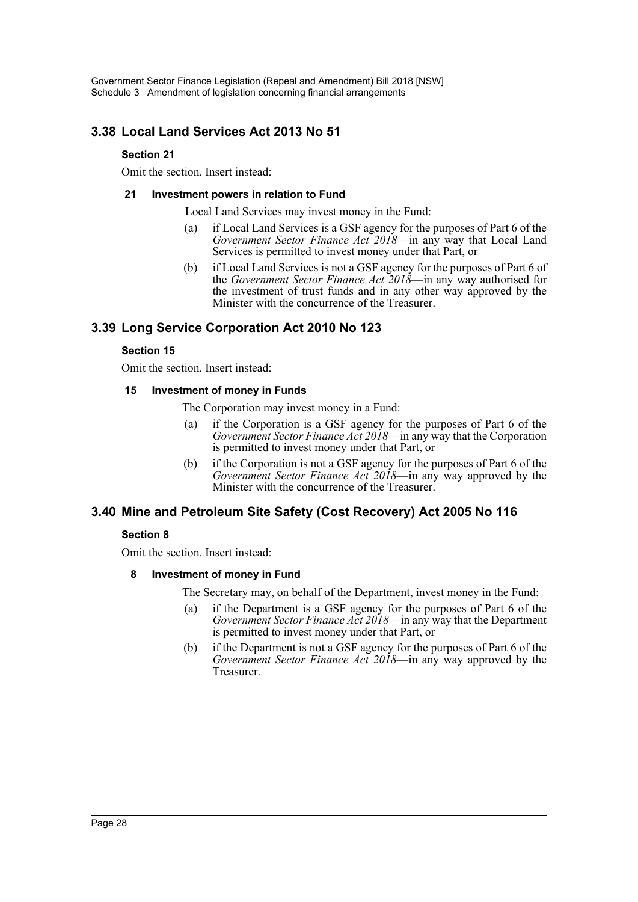# **3.38 Local Land Services Act 2013 No 51**

# **Section 21**

Omit the section. Insert instead:

### **21 Investment powers in relation to Fund**

Local Land Services may invest money in the Fund:

- (a) if Local Land Services is a GSF agency for the purposes of Part 6 of the *Government Sector Finance Act 2018*—in any way that Local Land Services is permitted to invest money under that Part, or
- (b) if Local Land Services is not a GSF agency for the purposes of Part 6 of the *Government Sector Finance Act 2018*—in any way authorised for the investment of trust funds and in any other way approved by the Minister with the concurrence of the Treasurer.

# **3.39 Long Service Corporation Act 2010 No 123**

# **Section 15**

Omit the section. Insert instead:

### **15 Investment of money in Funds**

The Corporation may invest money in a Fund:

- (a) if the Corporation is a GSF agency for the purposes of Part 6 of the *Government Sector Finance Act 2018*—in any way that the Corporation is permitted to invest money under that Part, or
- (b) if the Corporation is not a GSF agency for the purposes of Part 6 of the *Government Sector Finance Act 2018*—in any way approved by the Minister with the concurrence of the Treasurer.

# **3.40 Mine and Petroleum Site Safety (Cost Recovery) Act 2005 No 116**

# **Section 8**

Omit the section. Insert instead:

# **8 Investment of money in Fund**

The Secretary may, on behalf of the Department, invest money in the Fund:

- (a) if the Department is a GSF agency for the purposes of Part 6 of the *Government Sector Finance Act 2018*—in any way that the Department is permitted to invest money under that Part, or
- (b) if the Department is not a GSF agency for the purposes of Part 6 of the *Government Sector Finance Act 2018*—in any way approved by the Treasurer.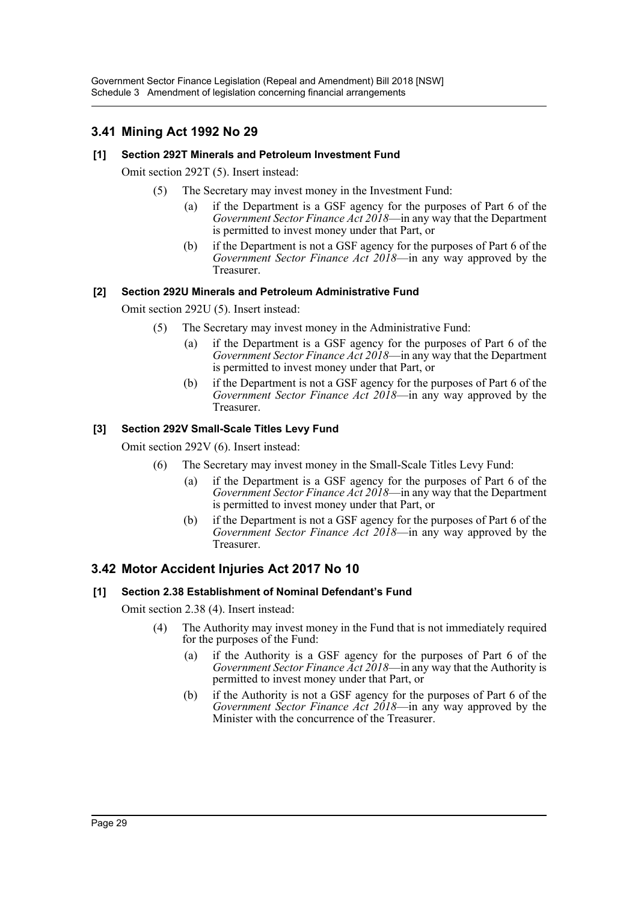# **3.41 Mining Act 1992 No 29**

# **[1] Section 292T Minerals and Petroleum Investment Fund**

Omit section 292T (5). Insert instead:

- (5) The Secretary may invest money in the Investment Fund:
	- if the Department is a GSF agency for the purposes of Part 6 of the *Government Sector Finance Act 2018*—in any way that the Department is permitted to invest money under that Part, or
	- (b) if the Department is not a GSF agency for the purposes of Part 6 of the *Government Sector Finance Act 2018*—in any way approved by the Treasurer.

### **[2] Section 292U Minerals and Petroleum Administrative Fund**

Omit section 292U (5). Insert instead:

- (5) The Secretary may invest money in the Administrative Fund:
	- (a) if the Department is a GSF agency for the purposes of Part 6 of the *Government Sector Finance Act 2018*—in any way that the Department is permitted to invest money under that Part, or
	- (b) if the Department is not a GSF agency for the purposes of Part 6 of the *Government Sector Finance Act 2018*—in any way approved by the Treasurer.

# **[3] Section 292V Small-Scale Titles Levy Fund**

Omit section 292V (6). Insert instead:

- (6) The Secretary may invest money in the Small-Scale Titles Levy Fund:
	- (a) if the Department is a GSF agency for the purposes of Part 6 of the *Government Sector Finance Act 2018*—in any way that the Department is permitted to invest money under that Part, or
	- (b) if the Department is not a GSF agency for the purposes of Part 6 of the *Government Sector Finance Act 2018*—in any way approved by the Treasurer.

# **3.42 Motor Accident Injuries Act 2017 No 10**

# **[1] Section 2.38 Establishment of Nominal Defendant's Fund**

Omit section 2.38 (4). Insert instead:

- (4) The Authority may invest money in the Fund that is not immediately required for the purposes of the Fund:
	- (a) if the Authority is a GSF agency for the purposes of Part 6 of the *Government Sector Finance Act 2018*—in any way that the Authority is permitted to invest money under that Part, or
	- (b) if the Authority is not a GSF agency for the purposes of Part 6 of the *Government Sector Finance Act 2018*—in any way approved by the Minister with the concurrence of the Treasurer.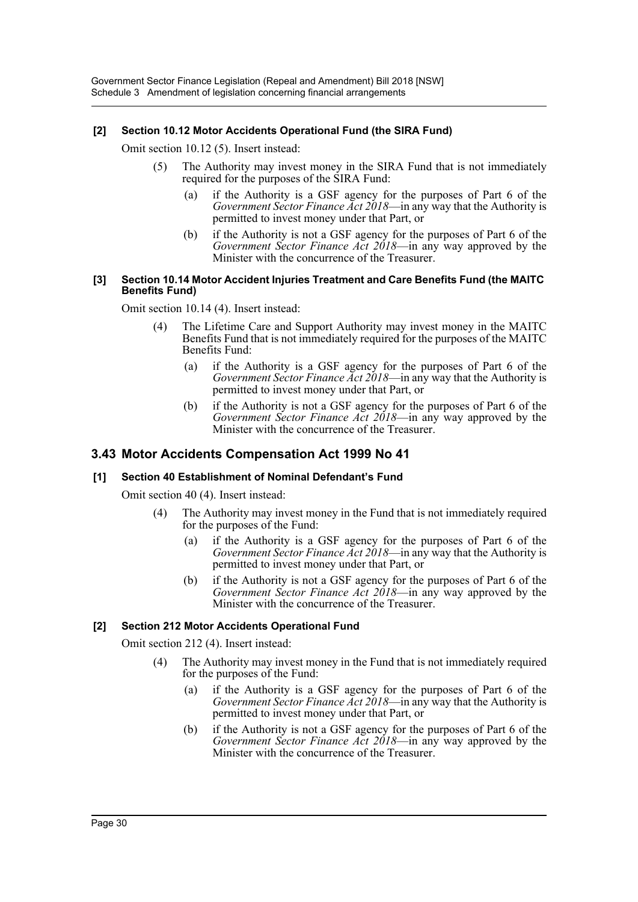# **[2] Section 10.12 Motor Accidents Operational Fund (the SIRA Fund)**

Omit section 10.12 (5). Insert instead:

- (5) The Authority may invest money in the SIRA Fund that is not immediately required for the purposes of the SIRA Fund:
	- (a) if the Authority is a GSF agency for the purposes of Part 6 of the *Government Sector Finance Act 2018*—in any way that the Authority is permitted to invest money under that Part, or
	- (b) if the Authority is not a GSF agency for the purposes of Part 6 of the *Government Sector Finance Act 2018*—in any way approved by the Minister with the concurrence of the Treasurer.

#### **[3] Section 10.14 Motor Accident Injuries Treatment and Care Benefits Fund (the MAITC Benefits Fund)**

Omit section 10.14 (4). Insert instead:

- (4) The Lifetime Care and Support Authority may invest money in the MAITC Benefits Fund that is not immediately required for the purposes of the MAITC Benefits Fund:
	- (a) if the Authority is a GSF agency for the purposes of Part 6 of the *Government Sector Finance Act 2018*—in any way that the Authority is permitted to invest money under that Part, or
	- (b) if the Authority is not a GSF agency for the purposes of Part 6 of the *Government Sector Finance Act 2018*—in any way approved by the Minister with the concurrence of the Treasurer.

# **3.43 Motor Accidents Compensation Act 1999 No 41**

### **[1] Section 40 Establishment of Nominal Defendant's Fund**

Omit section 40 (4). Insert instead:

- (4) The Authority may invest money in the Fund that is not immediately required for the purposes of the Fund:
	- (a) if the Authority is a GSF agency for the purposes of Part 6 of the *Government Sector Finance Act 2018*—in any way that the Authority is permitted to invest money under that Part, or
	- (b) if the Authority is not a GSF agency for the purposes of Part 6 of the *Government Sector Finance Act 2018*—in any way approved by the Minister with the concurrence of the Treasurer.

# **[2] Section 212 Motor Accidents Operational Fund**

Omit section 212 (4). Insert instead:

- (4) The Authority may invest money in the Fund that is not immediately required for the purposes of the Fund:
	- (a) if the Authority is a GSF agency for the purposes of Part 6 of the *Government Sector Finance Act 2018*—in any way that the Authority is permitted to invest money under that Part, or
	- (b) if the Authority is not a GSF agency for the purposes of Part 6 of the *Government Sector Finance Act 2018*—in any way approved by the Minister with the concurrence of the Treasurer.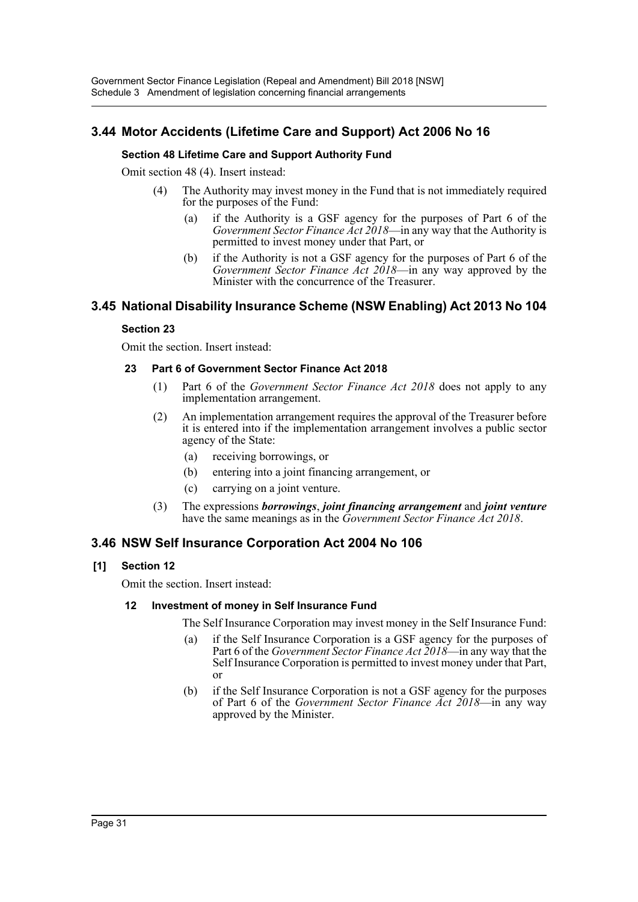# **3.44 Motor Accidents (Lifetime Care and Support) Act 2006 No 16**

# **Section 48 Lifetime Care and Support Authority Fund**

Omit section 48 (4). Insert instead:

- (4) The Authority may invest money in the Fund that is not immediately required for the purposes of the Fund:
	- (a) if the Authority is a GSF agency for the purposes of Part 6 of the *Government Sector Finance Act 2018*—in any way that the Authority is permitted to invest money under that Part, or
	- (b) if the Authority is not a GSF agency for the purposes of Part 6 of the *Government Sector Finance Act 2018*—in any way approved by the Minister with the concurrence of the Treasurer.

# **3.45 National Disability Insurance Scheme (NSW Enabling) Act 2013 No 104**

### **Section 23**

Omit the section. Insert instead:

### **23 Part 6 of Government Sector Finance Act 2018**

- (1) Part 6 of the *Government Sector Finance Act 2018* does not apply to any implementation arrangement.
- (2) An implementation arrangement requires the approval of the Treasurer before it is entered into if the implementation arrangement involves a public sector agency of the State:
	- (a) receiving borrowings, or
	- (b) entering into a joint financing arrangement, or
	- (c) carrying on a joint venture.
- (3) The expressions *borrowings*, *joint financing arrangement* and *joint venture* have the same meanings as in the *Government Sector Finance Act 2018*.

# **3.46 NSW Self Insurance Corporation Act 2004 No 106**

# **[1] Section 12**

Omit the section. Insert instead:

#### **12 Investment of money in Self Insurance Fund**

The Self Insurance Corporation may invest money in the Self Insurance Fund:

- (a) if the Self Insurance Corporation is a GSF agency for the purposes of Part 6 of the *Government Sector Finance Act 2018*—in any way that the Self Insurance Corporation is permitted to invest money under that Part, or
- (b) if the Self Insurance Corporation is not a GSF agency for the purposes of Part 6 of the *Government Sector Finance Act 2018*—in any way approved by the Minister.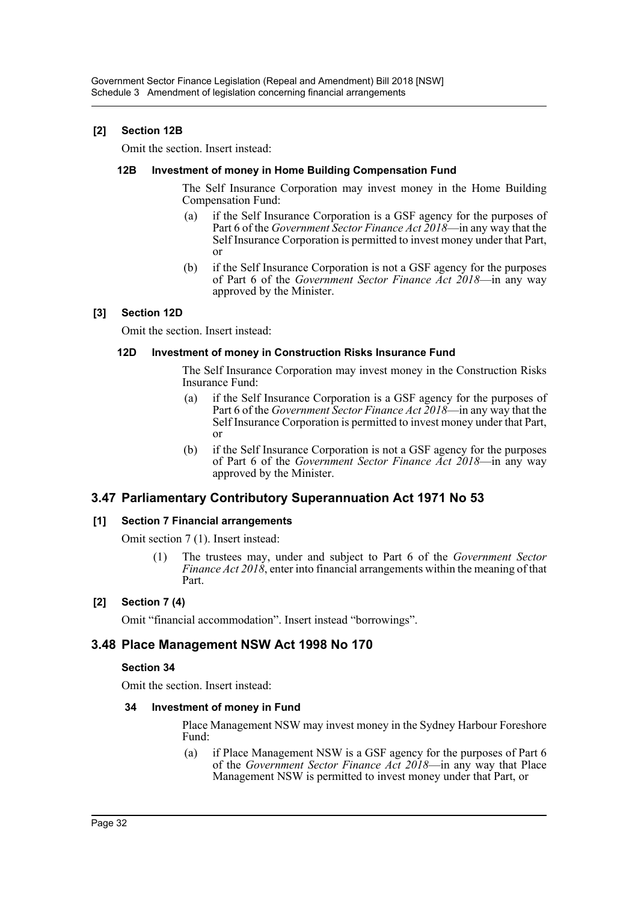# **[2] Section 12B**

Omit the section. Insert instead:

### **12B Investment of money in Home Building Compensation Fund**

The Self Insurance Corporation may invest money in the Home Building Compensation Fund:

- (a) if the Self Insurance Corporation is a GSF agency for the purposes of Part 6 of the *Government Sector Finance Act 2018*—in any way that the Self Insurance Corporation is permitted to invest money under that Part, or
- (b) if the Self Insurance Corporation is not a GSF agency for the purposes of Part 6 of the *Government Sector Finance Act 2018*—in any way approved by the Minister.

# **[3] Section 12D**

Omit the section. Insert instead:

# **12D Investment of money in Construction Risks Insurance Fund**

The Self Insurance Corporation may invest money in the Construction Risks Insurance Fund:

- (a) if the Self Insurance Corporation is a GSF agency for the purposes of Part 6 of the *Government Sector Finance Act 2018*—in any way that the Self Insurance Corporation is permitted to invest money under that Part, or
- (b) if the Self Insurance Corporation is not a GSF agency for the purposes of Part 6 of the *Government Sector Finance Act 2018*—in any way approved by the Minister.

# **3.47 Parliamentary Contributory Superannuation Act 1971 No 53**

# **[1] Section 7 Financial arrangements**

Omit section 7 (1). Insert instead:

(1) The trustees may, under and subject to Part 6 of the *Government Sector Finance Act 2018*, enter into financial arrangements within the meaning of that Part.

# **[2] Section 7 (4)**

Omit "financial accommodation". Insert instead "borrowings".

# **3.48 Place Management NSW Act 1998 No 170**

#### **Section 34**

Omit the section. Insert instead:

#### **34 Investment of money in Fund**

Place Management NSW may invest money in the Sydney Harbour Foreshore Fund:

(a) if Place Management NSW is a GSF agency for the purposes of Part 6 of the *Government Sector Finance Act 2018*—in any way that Place Management NSW is permitted to invest money under that Part, or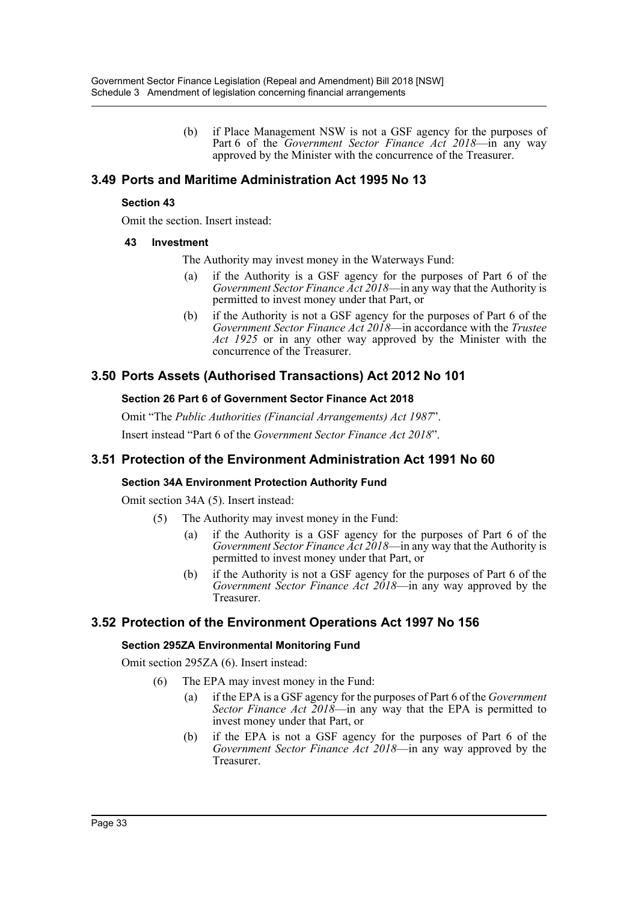(b) if Place Management NSW is not a GSF agency for the purposes of Part 6 of the *Government Sector Finance Act 2018*—in any way approved by the Minister with the concurrence of the Treasurer.

# **3.49 Ports and Maritime Administration Act 1995 No 13**

### **Section 43**

Omit the section. Insert instead:

### **43 Investment**

The Authority may invest money in the Waterways Fund:

- (a) if the Authority is a GSF agency for the purposes of Part 6 of the *Government Sector Finance Act 2018*—in any way that the Authority is permitted to invest money under that Part, or
- (b) if the Authority is not a GSF agency for the purposes of Part 6 of the *Government Sector Finance Act 2018*—in accordance with the *Trustee Act 1925* or in any other way approved by the Minister with the concurrence of the Treasurer.

# **3.50 Ports Assets (Authorised Transactions) Act 2012 No 101**

### **Section 26 Part 6 of Government Sector Finance Act 2018**

Omit "The *Public Authorities (Financial Arrangements) Act 1987*". Insert instead "Part 6 of the *Government Sector Finance Act 2018*".

# **3.51 Protection of the Environment Administration Act 1991 No 60**

# **Section 34A Environment Protection Authority Fund**

Omit section 34A (5). Insert instead:

- (5) The Authority may invest money in the Fund:
	- (a) if the Authority is a GSF agency for the purposes of Part 6 of the *Government Sector Finance Act 2018*—in any way that the Authority is permitted to invest money under that Part, or
	- (b) if the Authority is not a GSF agency for the purposes of Part 6 of the *Government Sector Finance Act 2018*—in any way approved by the Treasurer.

# **3.52 Protection of the Environment Operations Act 1997 No 156**

# **Section 295ZA Environmental Monitoring Fund**

Omit section 295ZA (6). Insert instead:

- (6) The EPA may invest money in the Fund:
	- (a) if the EPA is a GSF agency for the purposes of Part 6 of the *Government Sector Finance Act 2018*—in any way that the EPA is permitted to invest money under that Part, or
	- (b) if the EPA is not a GSF agency for the purposes of Part 6 of the *Government Sector Finance Act 2018*—in any way approved by the Treasurer.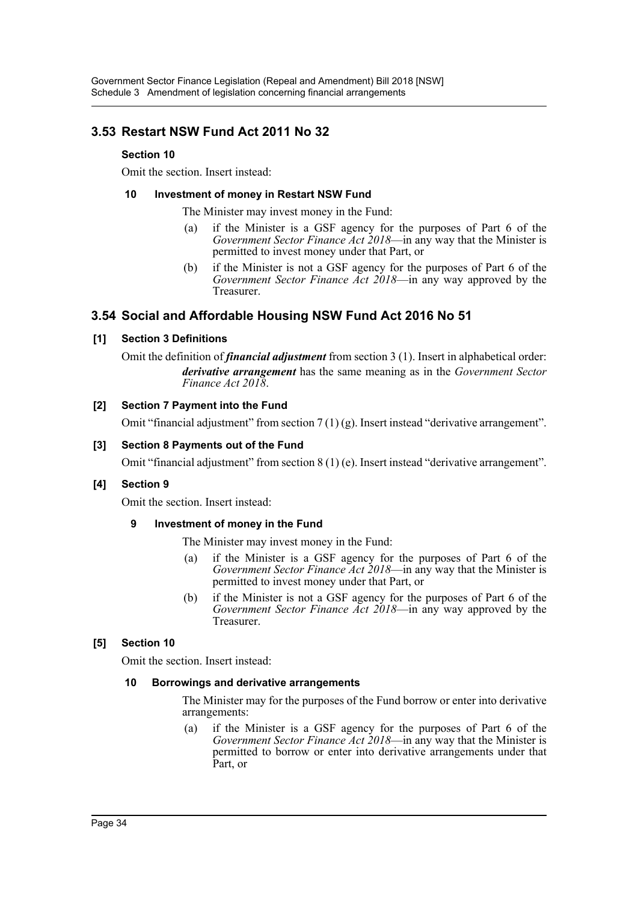# **3.53 Restart NSW Fund Act 2011 No 32**

# **Section 10**

Omit the section. Insert instead:

### **10 Investment of money in Restart NSW Fund**

The Minister may invest money in the Fund:

- (a) if the Minister is a GSF agency for the purposes of Part 6 of the *Government Sector Finance Act 2018*—in any way that the Minister is permitted to invest money under that Part, or
- (b) if the Minister is not a GSF agency for the purposes of Part 6 of the *Government Sector Finance Act 2018*—in any way approved by the Treasurer.

# **3.54 Social and Affordable Housing NSW Fund Act 2016 No 51**

# **[1] Section 3 Definitions**

Omit the definition of *financial adjustment* from section 3 (1). Insert in alphabetical order: *derivative arrangement* has the same meaning as in the *Government Sector Finance Act 2018*.

# **[2] Section 7 Payment into the Fund**

Omit "financial adjustment" from section  $7(1)(g)$ . Insert instead "derivative arrangement".

### **[3] Section 8 Payments out of the Fund**

Omit "financial adjustment" from section  $8(1)$  (e). Insert instead "derivative arrangement".

# **[4] Section 9**

Omit the section. Insert instead:

# **9 Investment of money in the Fund**

- The Minister may invest money in the Fund:
- (a) if the Minister is a GSF agency for the purposes of Part 6 of the *Government Sector Finance Act 2018*—in any way that the Minister is permitted to invest money under that Part, or
- (b) if the Minister is not a GSF agency for the purposes of Part 6 of the *Government Sector Finance Act 2018*—in any way approved by the Treasurer.

# **[5] Section 10**

Omit the section. Insert instead:

#### **10 Borrowings and derivative arrangements**

The Minister may for the purposes of the Fund borrow or enter into derivative arrangements:

(a) if the Minister is a GSF agency for the purposes of Part 6 of the *Government Sector Finance Act 2018*—in any way that the Minister is permitted to borrow or enter into derivative arrangements under that Part, or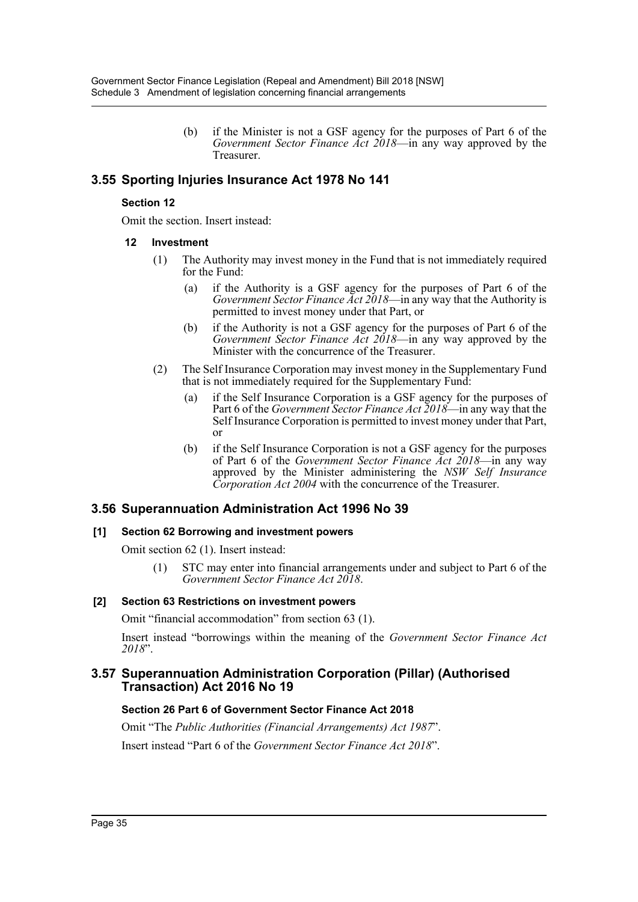(b) if the Minister is not a GSF agency for the purposes of Part 6 of the *Government Sector Finance Act 2018*—in any way approved by the Treasurer.

# **3.55 Sporting Injuries Insurance Act 1978 No 141**

# **Section 12**

Omit the section. Insert instead:

### **12 Investment**

- (1) The Authority may invest money in the Fund that is not immediately required for the Fund:
	- (a) if the Authority is a GSF agency for the purposes of Part 6 of the *Government Sector Finance Act 2018*—in any way that the Authority is permitted to invest money under that Part, or
	- (b) if the Authority is not a GSF agency for the purposes of Part 6 of the *Government Sector Finance Act 2018*—in any way approved by the Minister with the concurrence of the Treasurer.
- (2) The Self Insurance Corporation may invest money in the Supplementary Fund that is not immediately required for the Supplementary Fund:
	- (a) if the Self Insurance Corporation is a GSF agency for the purposes of Part 6 of the *Government Sector Finance Act 2018*—in any way that the Self Insurance Corporation is permitted to invest money under that Part, or
	- (b) if the Self Insurance Corporation is not a GSF agency for the purposes of Part 6 of the *Government Sector Finance Act 2018*—in any way approved by the Minister administering the *NSW Self Insurance Corporation Act 2004* with the concurrence of the Treasurer.

# **3.56 Superannuation Administration Act 1996 No 39**

# **[1] Section 62 Borrowing and investment powers**

Omit section 62 (1). Insert instead:

(1) STC may enter into financial arrangements under and subject to Part 6 of the *Government Sector Finance Act 2018*.

# **[2] Section 63 Restrictions on investment powers**

Omit "financial accommodation" from section 63 (1).

Insert instead "borrowings within the meaning of the *Government Sector Finance Act 2018*".

# **3.57 Superannuation Administration Corporation (Pillar) (Authorised Transaction) Act 2016 No 19**

# **Section 26 Part 6 of Government Sector Finance Act 2018**

Omit "The *Public Authorities (Financial Arrangements) Act 1987*".

Insert instead "Part 6 of the *Government Sector Finance Act 2018*".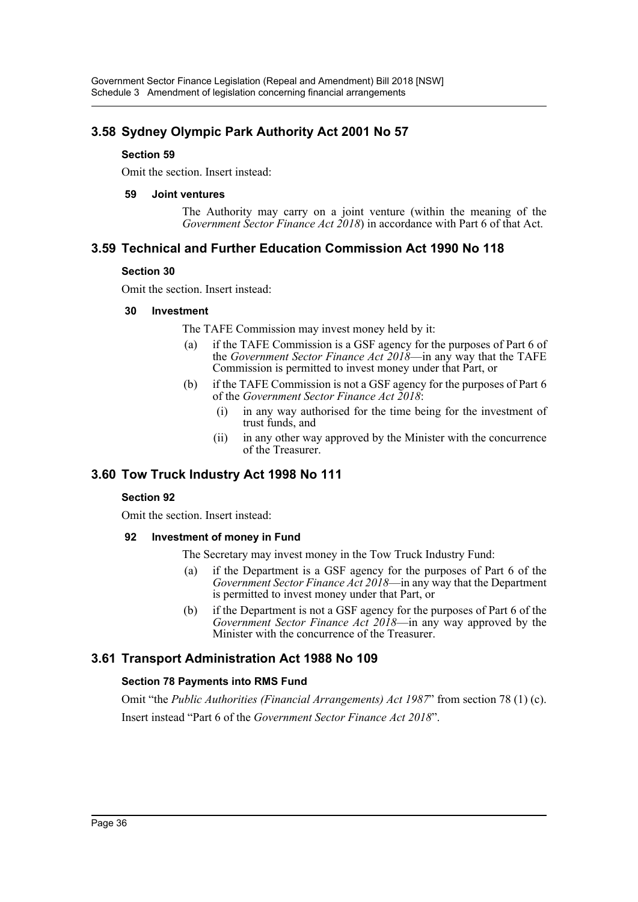# **3.58 Sydney Olympic Park Authority Act 2001 No 57**

### **Section 59**

Omit the section. Insert instead:

#### **59 Joint ventures**

The Authority may carry on a joint venture (within the meaning of the *Government Sector Finance Act 2018*) in accordance with Part 6 of that Act.

# **3.59 Technical and Further Education Commission Act 1990 No 118**

### **Section 30**

Omit the section. Insert instead:

### **30 Investment**

The TAFE Commission may invest money held by it:

- (a) if the TAFE Commission is a GSF agency for the purposes of Part 6 of the *Government Sector Finance Act 2018*—in any way that the TAFE Commission is permitted to invest money under that Part, or
- (b) if the TAFE Commission is not a GSF agency for the purposes of Part 6 of the *Government Sector Finance Act 2018*:
	- (i) in any way authorised for the time being for the investment of trust funds, and
	- (ii) in any other way approved by the Minister with the concurrence of the Treasurer.

# **3.60 Tow Truck Industry Act 1998 No 111**

## **Section 92**

Omit the section. Insert instead:

#### **92 Investment of money in Fund**

The Secretary may invest money in the Tow Truck Industry Fund:

- (a) if the Department is a GSF agency for the purposes of Part 6 of the *Government Sector Finance Act 2018*—in any way that the Department is permitted to invest money under that Part, or
- (b) if the Department is not a GSF agency for the purposes of Part 6 of the *Government Sector Finance Act 2018*—in any way approved by the Minister with the concurrence of the Treasurer.

# **3.61 Transport Administration Act 1988 No 109**

## **Section 78 Payments into RMS Fund**

Omit "the *Public Authorities (Financial Arrangements) Act 1987*" from section 78 (1) (c). Insert instead "Part 6 of the *Government Sector Finance Act 2018*".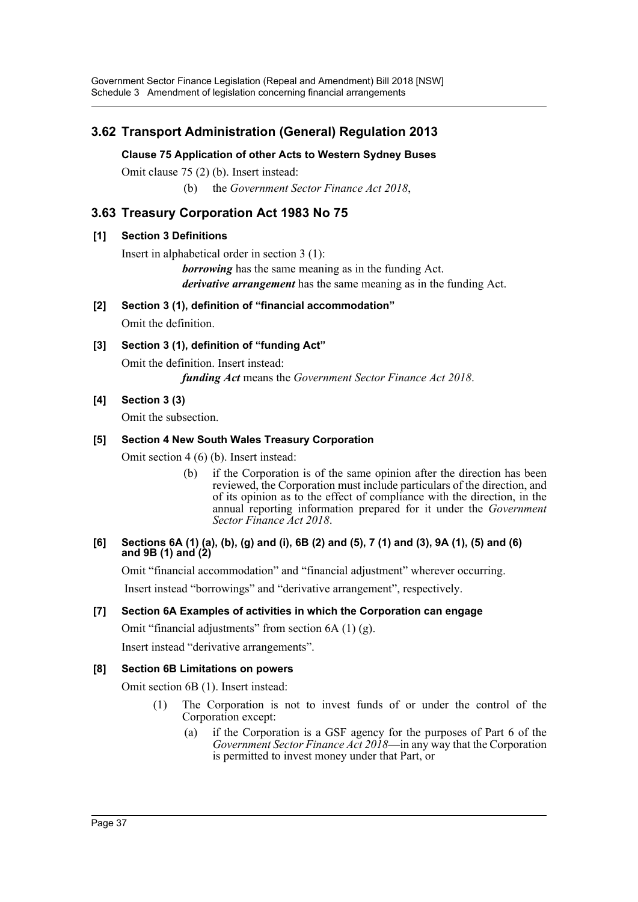Government Sector Finance Legislation (Repeal and Amendment) Bill 2018 [NSW] Schedule 3 Amendment of legislation concerning financial arrangements

# **3.62 Transport Administration (General) Regulation 2013**

### **Clause 75 Application of other Acts to Western Sydney Buses**

Omit clause 75 (2) (b). Insert instead:

(b) the *Government Sector Finance Act 2018*,

# **3.63 Treasury Corporation Act 1983 No 75**

### **[1] Section 3 Definitions**

Insert in alphabetical order in section 3 (1):

*borrowing* has the same meaning as in the funding Act. *derivative arrangement* has the same meaning as in the funding Act.

**[2] Section 3 (1), definition of "financial accommodation"**

Omit the definition.

## **[3] Section 3 (1), definition of "funding Act"**

Omit the definition. Insert instead: *funding Act* means the *Government Sector Finance Act 2018*.

**[4] Section 3 (3)**

Omit the subsection.

### **[5] Section 4 New South Wales Treasury Corporation**

Omit section 4 (6) (b). Insert instead:

(b) if the Corporation is of the same opinion after the direction has been reviewed, the Corporation must include particulars of the direction, and of its opinion as to the effect of compliance with the direction, in the annual reporting information prepared for it under the *Government Sector Finance Act 2018*.

#### **[6] Sections 6A (1) (a), (b), (g) and (i), 6B (2) and (5), 7 (1) and (3), 9A (1), (5) and (6) and 9B (1) and (2)**

Omit "financial accommodation" and "financial adjustment" wherever occurring.

Insert instead "borrowings" and "derivative arrangement", respectively.

## **[7] Section 6A Examples of activities in which the Corporation can engage**

Omit "financial adjustments" from section  $6A(1)(g)$ .

Insert instead "derivative arrangements".

#### **[8] Section 6B Limitations on powers**

Omit section 6B (1). Insert instead:

- (1) The Corporation is not to invest funds of or under the control of the Corporation except:
	- (a) if the Corporation is a GSF agency for the purposes of Part 6 of the *Government Sector Finance Act 2018*—in any way that the Corporation is permitted to invest money under that Part, or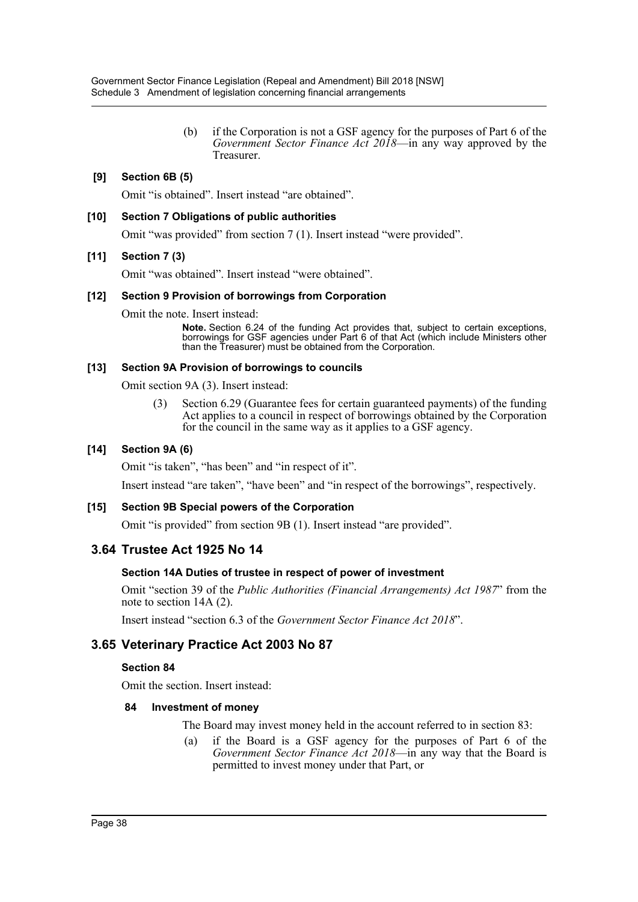(b) if the Corporation is not a GSF agency for the purposes of Part 6 of the *Government Sector Finance Act 2018*—in any way approved by the Treasurer.

## **[9] Section 6B (5)**

Omit "is obtained". Insert instead "are obtained".

### **[10] Section 7 Obligations of public authorities**

Omit "was provided" from section 7 (1). Insert instead "were provided".

### **[11] Section 7 (3)**

Omit "was obtained". Insert instead "were obtained".

### **[12] Section 9 Provision of borrowings from Corporation**

Omit the note. Insert instead:

**Note.** Section 6.24 of the funding Act provides that, subject to certain exceptions, borrowings for GSF agencies under Part 6 of that Act (which include Ministers other than the Treasurer) must be obtained from the Corporation.

### **[13] Section 9A Provision of borrowings to councils**

Omit section 9A (3). Insert instead:

(3) Section 6.29 (Guarantee fees for certain guaranteed payments) of the funding Act applies to a council in respect of borrowings obtained by the Corporation for the council in the same way as it applies to a GSF agency.

## **[14] Section 9A (6)**

Omit "is taken", "has been" and "in respect of it".

Insert instead "are taken", "have been" and "in respect of the borrowings", respectively.

#### **[15] Section 9B Special powers of the Corporation**

Omit "is provided" from section 9B (1). Insert instead "are provided".

# **3.64 Trustee Act 1925 No 14**

## **Section 14A Duties of trustee in respect of power of investment**

Omit "section 39 of the *Public Authorities (Financial Arrangements) Act 1987*" from the note to section 14A (2).

Insert instead "section 6.3 of the *Government Sector Finance Act 2018*".

# **3.65 Veterinary Practice Act 2003 No 87**

#### **Section 84**

Omit the section. Insert instead:

#### **84 Investment of money**

The Board may invest money held in the account referred to in section 83:

(a) if the Board is a GSF agency for the purposes of Part 6 of the *Government Sector Finance Act 2018*—in any way that the Board is permitted to invest money under that Part, or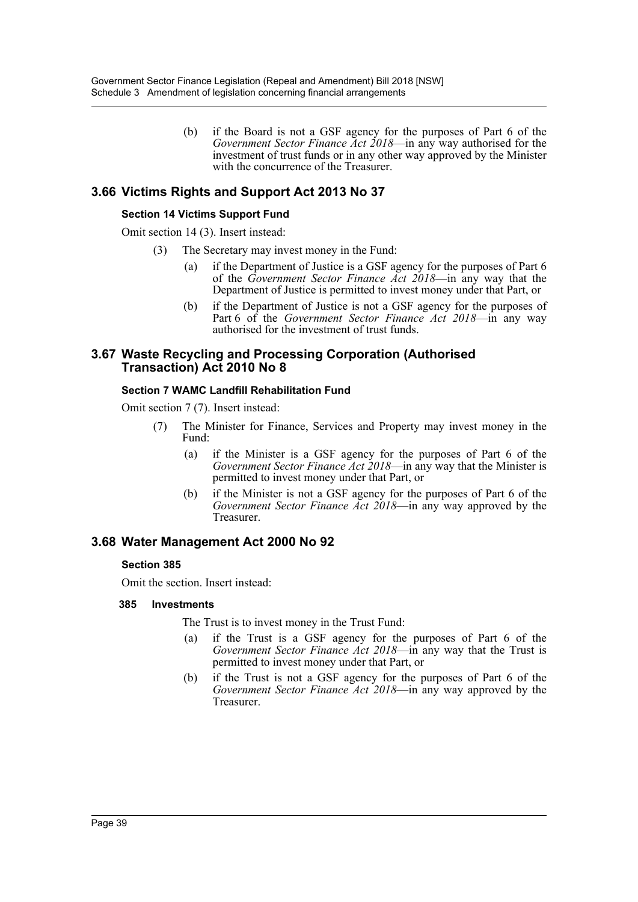(b) if the Board is not a GSF agency for the purposes of Part 6 of the *Government Sector Finance Act 2018*—in any way authorised for the investment of trust funds or in any other way approved by the Minister with the concurrence of the Treasurer.

# **3.66 Victims Rights and Support Act 2013 No 37**

### **Section 14 Victims Support Fund**

Omit section 14 (3). Insert instead:

- (3) The Secretary may invest money in the Fund:
	- (a) if the Department of Justice is a GSF agency for the purposes of Part 6 of the *Government Sector Finance Act 2018*—in any way that the Department of Justice is permitted to invest money under that Part, or
	- (b) if the Department of Justice is not a GSF agency for the purposes of Part 6 of the *Government Sector Finance Act 2018*—in any way authorised for the investment of trust funds.

## **3.67 Waste Recycling and Processing Corporation (Authorised Transaction) Act 2010 No 8**

#### **Section 7 WAMC Landfill Rehabilitation Fund**

Omit section 7 (7). Insert instead:

- (7) The Minister for Finance, Services and Property may invest money in the Fund:
	- (a) if the Minister is a GSF agency for the purposes of Part 6 of the *Government Sector Finance Act 2018*—in any way that the Minister is permitted to invest money under that Part, or
	- (b) if the Minister is not a GSF agency for the purposes of Part 6 of the *Government Sector Finance Act 2018*—in any way approved by the Treasurer.

# **3.68 Water Management Act 2000 No 92**

#### **Section 385**

Omit the section. Insert instead:

#### **385 Investments**

The Trust is to invest money in the Trust Fund:

- (a) if the Trust is a GSF agency for the purposes of Part 6 of the *Government Sector Finance Act 2018*—in any way that the Trust is permitted to invest money under that Part, or
- (b) if the Trust is not a GSF agency for the purposes of Part 6 of the *Government Sector Finance Act 2018*—in any way approved by the Treasurer.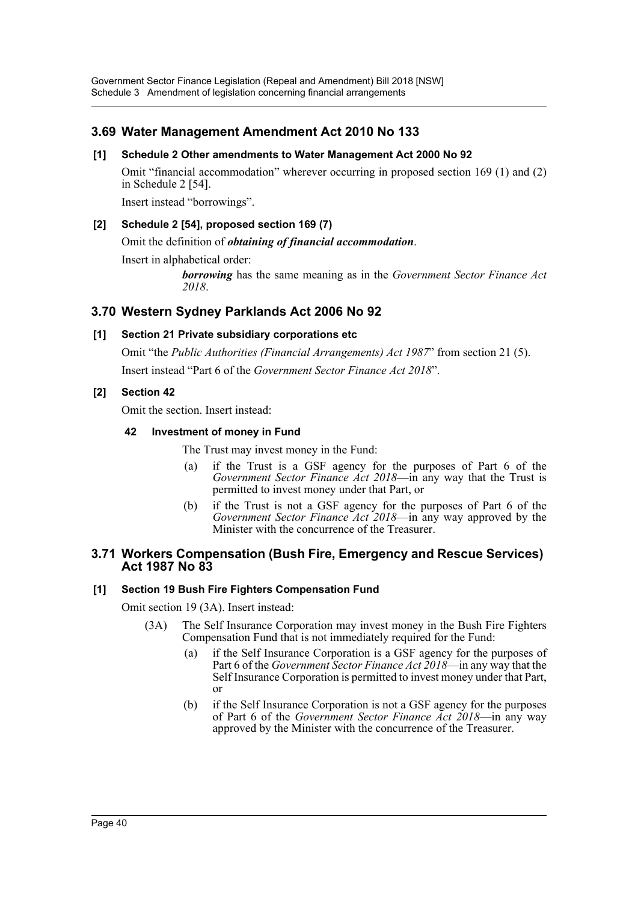Government Sector Finance Legislation (Repeal and Amendment) Bill 2018 [NSW] Schedule 3 Amendment of legislation concerning financial arrangements

# **3.69 Water Management Amendment Act 2010 No 133**

### **[1] Schedule 2 Other amendments to Water Management Act 2000 No 92**

Omit "financial accommodation" wherever occurring in proposed section 169 (1) and (2) in Schedule 2 [54].

Insert instead "borrowings".

#### **[2] Schedule 2 [54], proposed section 169 (7)**

Omit the definition of *obtaining of financial accommodation*.

Insert in alphabetical order:

*borrowing* has the same meaning as in the *Government Sector Finance Act 2018*.

## **3.70 Western Sydney Parklands Act 2006 No 92**

### **[1] Section 21 Private subsidiary corporations etc**

Omit "the *Public Authorities (Financial Arrangements) Act 1987*" from section 21 (5). Insert instead "Part 6 of the *Government Sector Finance Act 2018*".

### **[2] Section 42**

Omit the section. Insert instead:

#### **42 Investment of money in Fund**

The Trust may invest money in the Fund:

- (a) if the Trust is a GSF agency for the purposes of Part 6 of the *Government Sector Finance Act 2018*—in any way that the Trust is permitted to invest money under that Part, or
- (b) if the Trust is not a GSF agency for the purposes of Part 6 of the *Government Sector Finance Act 2018*—in any way approved by the Minister with the concurrence of the Treasurer.

### **3.71 Workers Compensation (Bush Fire, Emergency and Rescue Services) Act 1987 No 83**

#### **[1] Section 19 Bush Fire Fighters Compensation Fund**

Omit section 19 (3A). Insert instead:

- (3A) The Self Insurance Corporation may invest money in the Bush Fire Fighters Compensation Fund that is not immediately required for the Fund:
	- (a) if the Self Insurance Corporation is a GSF agency for the purposes of Part 6 of the *Government Sector Finance Act 2018*—in any way that the Self Insurance Corporation is permitted to invest money under that Part, or
	- (b) if the Self Insurance Corporation is not a GSF agency for the purposes of Part 6 of the *Government Sector Finance Act 2018*—in any way approved by the Minister with the concurrence of the Treasurer.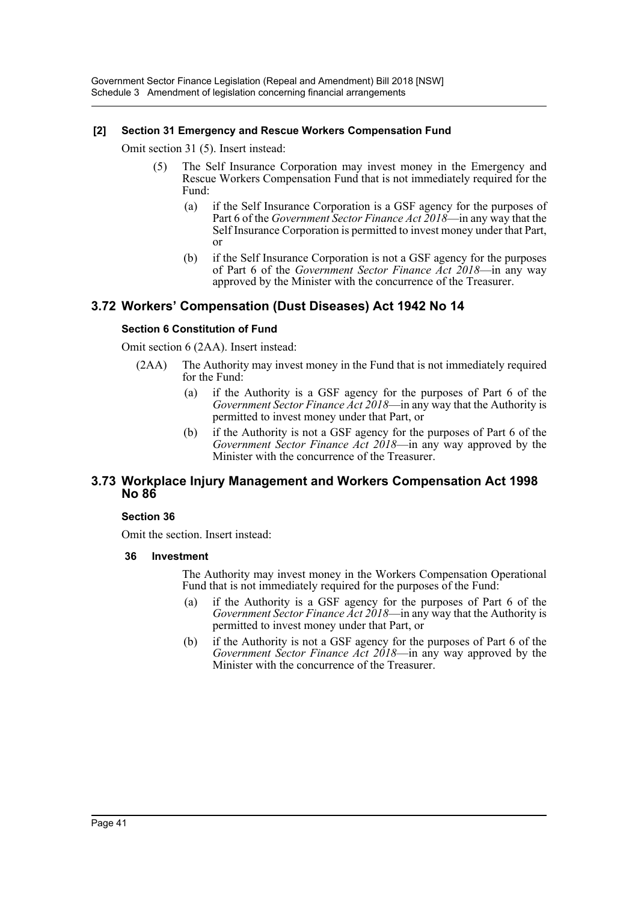## **[2] Section 31 Emergency and Rescue Workers Compensation Fund**

Omit section 31 (5). Insert instead:

- (5) The Self Insurance Corporation may invest money in the Emergency and Rescue Workers Compensation Fund that is not immediately required for the Fund:
	- (a) if the Self Insurance Corporation is a GSF agency for the purposes of Part 6 of the *Government Sector Finance Act 2018*—in any way that the Self Insurance Corporation is permitted to invest money under that Part, or
	- (b) if the Self Insurance Corporation is not a GSF agency for the purposes of Part 6 of the *Government Sector Finance Act 2018*—in any way approved by the Minister with the concurrence of the Treasurer.

# **3.72 Workers' Compensation (Dust Diseases) Act 1942 No 14**

### **Section 6 Constitution of Fund**

Omit section 6 (2AA). Insert instead:

- (2AA) The Authority may invest money in the Fund that is not immediately required for the Fund:
	- (a) if the Authority is a GSF agency for the purposes of Part 6 of the *Government Sector Finance Act 2018*—in any way that the Authority is permitted to invest money under that Part, or
	- (b) if the Authority is not a GSF agency for the purposes of Part 6 of the *Government Sector Finance Act 2018*—in any way approved by the Minister with the concurrence of the Treasurer.

## **3.73 Workplace Injury Management and Workers Compensation Act 1998 No 86**

#### **Section 36**

Omit the section. Insert instead:

#### **36 Investment**

The Authority may invest money in the Workers Compensation Operational Fund that is not immediately required for the purposes of the Fund:

- (a) if the Authority is a GSF agency for the purposes of Part 6 of the *Government Sector Finance Act 2018*—in any way that the Authority is permitted to invest money under that Part, or
- (b) if the Authority is not a GSF agency for the purposes of Part 6 of the *Government Sector Finance Act 2018*—in any way approved by the Minister with the concurrence of the Treasurer.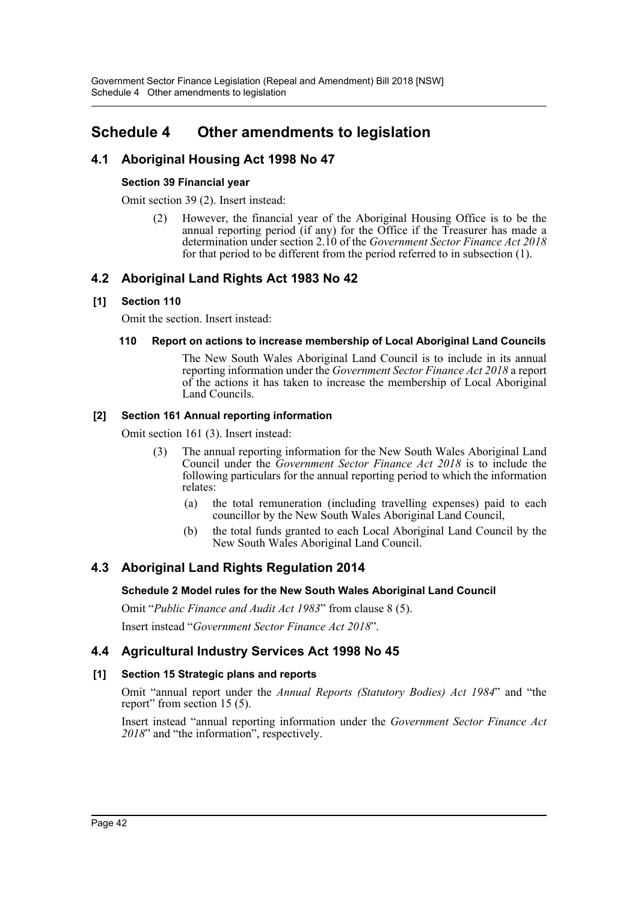# **Schedule 4 Other amendments to legislation**

# **4.1 Aboriginal Housing Act 1998 No 47**

## **Section 39 Financial year**

Omit section 39 (2). Insert instead:

(2) However, the financial year of the Aboriginal Housing Office is to be the annual reporting period (if any) for the Office if the Treasurer has made a determination under section 2.10 of the *Government Sector Finance Act 2018* for that period to be different from the period referred to in subsection (1).

# **4.2 Aboriginal Land Rights Act 1983 No 42**

## **[1] Section 110**

Omit the section. Insert instead:

## **110 Report on actions to increase membership of Local Aboriginal Land Councils**

The New South Wales Aboriginal Land Council is to include in its annual reporting information under the *Government Sector Finance Act 2018* a report of the actions it has taken to increase the membership of Local Aboriginal Land Councils.

## **[2] Section 161 Annual reporting information**

Omit section 161 (3). Insert instead:

- (3) The annual reporting information for the New South Wales Aboriginal Land Council under the *Government Sector Finance Act 2018* is to include the following particulars for the annual reporting period to which the information relates:
	- (a) the total remuneration (including travelling expenses) paid to each councillor by the New South Wales Aboriginal Land Council,
	- (b) the total funds granted to each Local Aboriginal Land Council by the New South Wales Aboriginal Land Council.

# **4.3 Aboriginal Land Rights Regulation 2014**

## **Schedule 2 Model rules for the New South Wales Aboriginal Land Council**

Omit "*Public Finance and Audit Act 1983*" from clause 8 (5).

Insert instead "*Government Sector Finance Act 2018*".

# **4.4 Agricultural Industry Services Act 1998 No 45**

## **[1] Section 15 Strategic plans and reports**

Omit "annual report under the *Annual Reports (Statutory Bodies) Act 1984*" and "the report" from section 15 (5).

Insert instead "annual reporting information under the *Government Sector Finance Act 2018*" and "the information", respectively.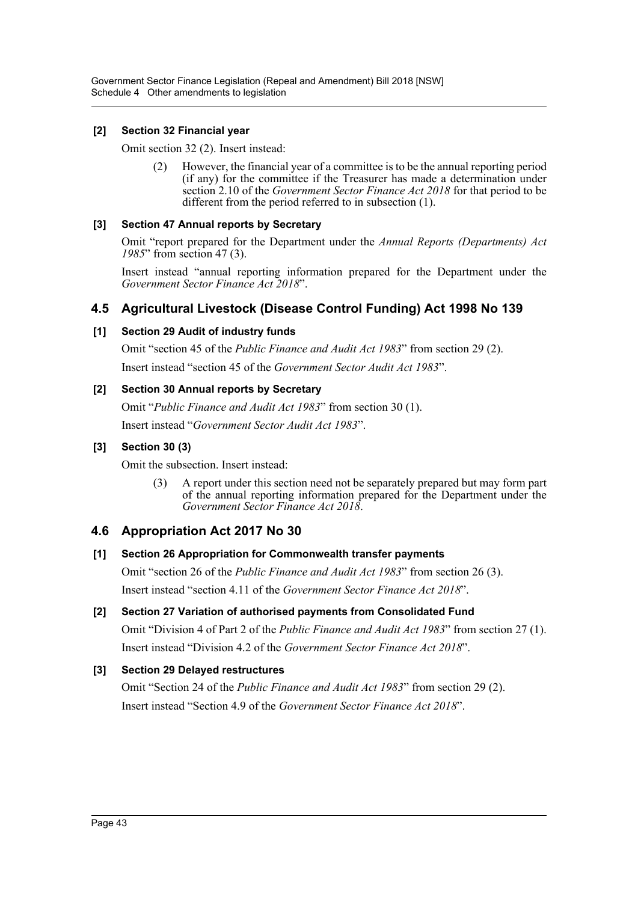Government Sector Finance Legislation (Repeal and Amendment) Bill 2018 [NSW] Schedule 4 Other amendments to legislation

#### **[2] Section 32 Financial year**

Omit section 32 (2). Insert instead:

(2) However, the financial year of a committee is to be the annual reporting period (if any) for the committee if the Treasurer has made a determination under section 2.10 of the *Government Sector Finance Act 2018* for that period to be different from the period referred to in subsection (1).

### **[3] Section 47 Annual reports by Secretary**

Omit "report prepared for the Department under the *Annual Reports (Departments) Act 1985*" from section 47 (3).

Insert instead "annual reporting information prepared for the Department under the *Government Sector Finance Act 2018*".

# **4.5 Agricultural Livestock (Disease Control Funding) Act 1998 No 139**

### **[1] Section 29 Audit of industry funds**

Omit "section 45 of the *Public Finance and Audit Act 1983*" from section 29 (2).

Insert instead "section 45 of the *Government Sector Audit Act 1983*".

### **[2] Section 30 Annual reports by Secretary**

Omit "*Public Finance and Audit Act 1983*" from section 30 (1).

Insert instead "*Government Sector Audit Act 1983*".

### **[3] Section 30 (3)**

Omit the subsection. Insert instead:

(3) A report under this section need not be separately prepared but may form part of the annual reporting information prepared for the Department under the *Government Sector Finance Act 2018*.

## **4.6 Appropriation Act 2017 No 30**

#### **[1] Section 26 Appropriation for Commonwealth transfer payments**

Omit "section 26 of the *Public Finance and Audit Act 1983*" from section 26 (3). Insert instead "section 4.11 of the *Government Sector Finance Act 2018*".

# **[2] Section 27 Variation of authorised payments from Consolidated Fund**

Omit "Division 4 of Part 2 of the *Public Finance and Audit Act 1983*" from section 27 (1). Insert instead "Division 4.2 of the *Government Sector Finance Act 2018*".

## **[3] Section 29 Delayed restructures**

Omit "Section 24 of the *Public Finance and Audit Act 1983*" from section 29 (2). Insert instead "Section 4.9 of the *Government Sector Finance Act 2018*".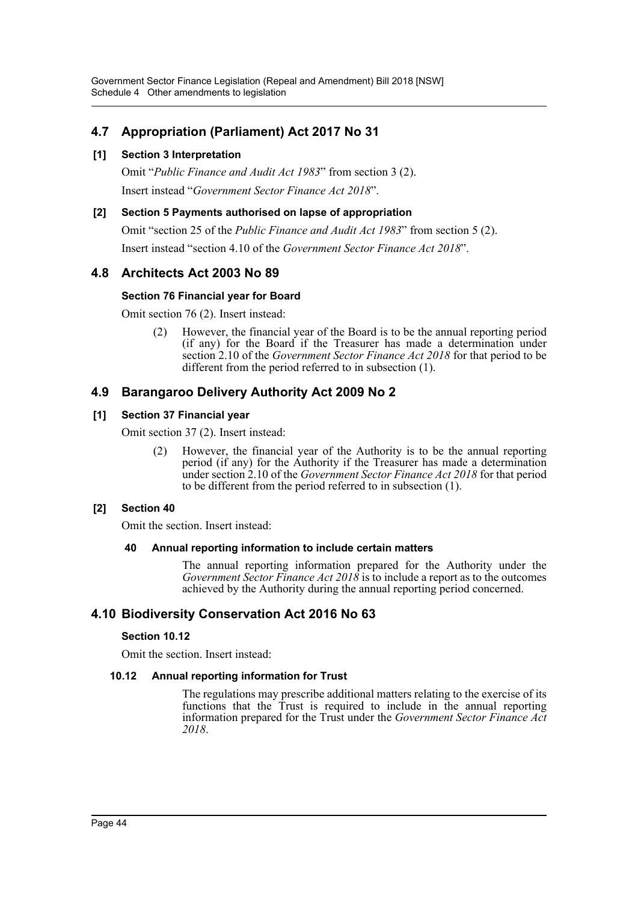Government Sector Finance Legislation (Repeal and Amendment) Bill 2018 [NSW] Schedule 4 Other amendments to legislation

# **4.7 Appropriation (Parliament) Act 2017 No 31**

### **[1] Section 3 Interpretation**

Omit "*Public Finance and Audit Act 1983*" from section 3 (2). Insert instead "*Government Sector Finance Act 2018*".

#### **[2] Section 5 Payments authorised on lapse of appropriation**

Omit "section 25 of the *Public Finance and Audit Act 1983*" from section 5 (2). Insert instead "section 4.10 of the *Government Sector Finance Act 2018*".

# **4.8 Architects Act 2003 No 89**

### **Section 76 Financial year for Board**

Omit section 76 (2). Insert instead:

(2) However, the financial year of the Board is to be the annual reporting period (if any) for the Board if the Treasurer has made a determination under section 2.10 of the *Government Sector Finance Act 2018* for that period to be different from the period referred to in subsection (1).

# **4.9 Barangaroo Delivery Authority Act 2009 No 2**

#### **[1] Section 37 Financial year**

Omit section 37 (2). Insert instead:

(2) However, the financial year of the Authority is to be the annual reporting period (if any) for the Authority if the Treasurer has made a determination under section 2.10 of the *Government Sector Finance Act 2018* for that period to be different from the period referred to in subsection (1).

#### **[2] Section 40**

Omit the section. Insert instead:

#### **40 Annual reporting information to include certain matters**

The annual reporting information prepared for the Authority under the *Government Sector Finance Act 2018* is to include a report as to the outcomes achieved by the Authority during the annual reporting period concerned.

# **4.10 Biodiversity Conservation Act 2016 No 63**

#### **Section 10.12**

Omit the section. Insert instead:

#### **10.12 Annual reporting information for Trust**

The regulations may prescribe additional matters relating to the exercise of its functions that the Trust is required to include in the annual reporting information prepared for the Trust under the *Government Sector Finance Act 2018*.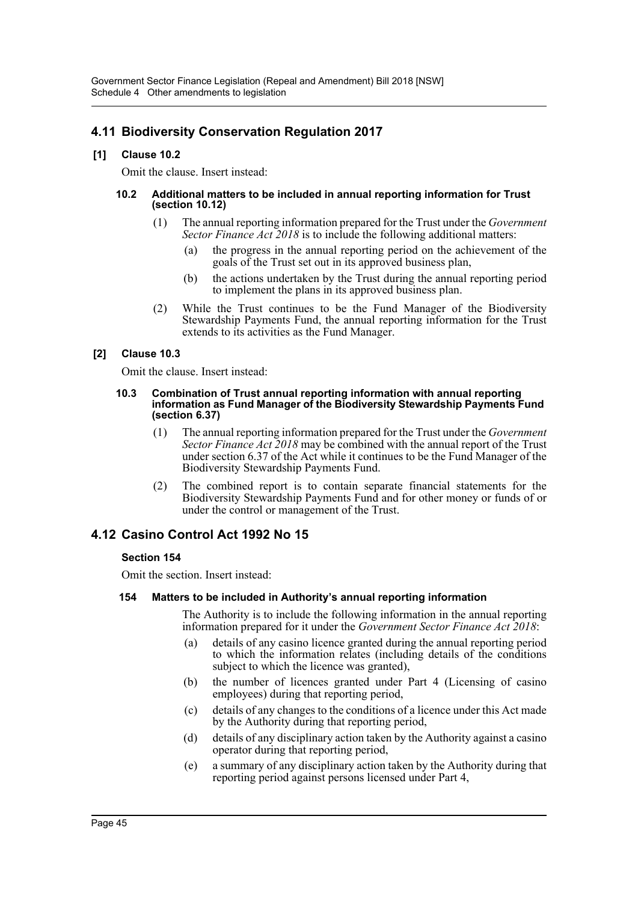# **4.11 Biodiversity Conservation Regulation 2017**

## **[1] Clause 10.2**

Omit the clause. Insert instead:

#### **10.2 Additional matters to be included in annual reporting information for Trust (section 10.12)**

- (1) The annual reporting information prepared for the Trust under the *Government Sector Finance Act 2018* is to include the following additional matters:
	- (a) the progress in the annual reporting period on the achievement of the goals of the Trust set out in its approved business plan,
	- (b) the actions undertaken by the Trust during the annual reporting period to implement the plans in its approved business plan.
- (2) While the Trust continues to be the Fund Manager of the Biodiversity Stewardship Payments Fund, the annual reporting information for the Trust extends to its activities as the Fund Manager.

## **[2] Clause 10.3**

Omit the clause. Insert instead:

#### **10.3 Combination of Trust annual reporting information with annual reporting information as Fund Manager of the Biodiversity Stewardship Payments Fund (section 6.37)**

- (1) The annual reporting information prepared for the Trust under the *Government Sector Finance Act 2018* may be combined with the annual report of the Trust under section 6.37 of the Act while it continues to be the Fund Manager of the Biodiversity Stewardship Payments Fund.
- (2) The combined report is to contain separate financial statements for the Biodiversity Stewardship Payments Fund and for other money or funds of or under the control or management of the Trust.

# **4.12 Casino Control Act 1992 No 15**

## **Section 154**

Omit the section. Insert instead:

## **154 Matters to be included in Authority's annual reporting information**

The Authority is to include the following information in the annual reporting information prepared for it under the *Government Sector Finance Act 2018*:

- (a) details of any casino licence granted during the annual reporting period to which the information relates (including details of the conditions subject to which the licence was granted),
- (b) the number of licences granted under Part 4 (Licensing of casino employees) during that reporting period,
- (c) details of any changes to the conditions of a licence under this Act made by the Authority during that reporting period,
- (d) details of any disciplinary action taken by the Authority against a casino operator during that reporting period,
- (e) a summary of any disciplinary action taken by the Authority during that reporting period against persons licensed under Part 4,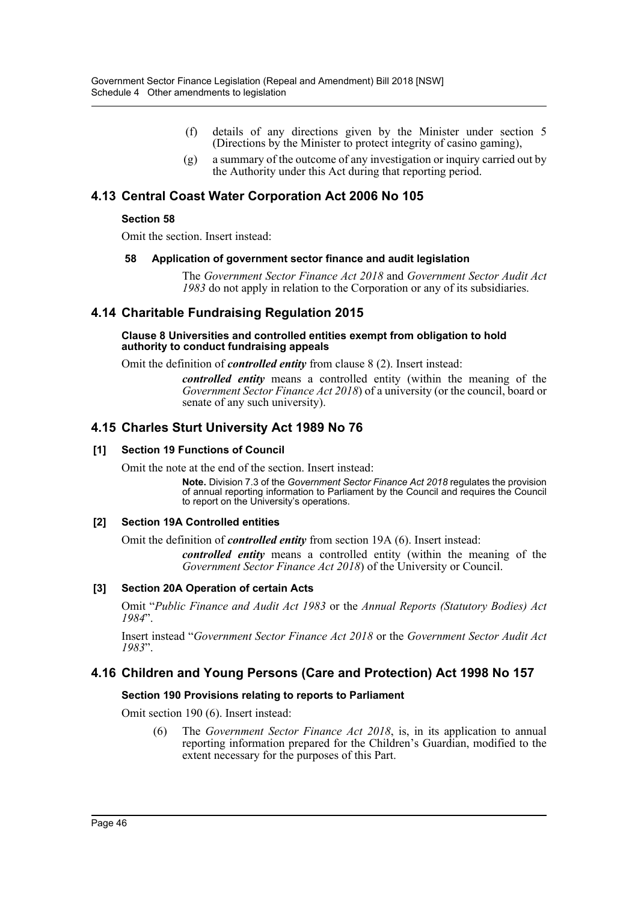- (f) details of any directions given by the Minister under section 5 (Directions by the Minister to protect integrity of casino gaming),
- $(g)$  a summary of the outcome of any investigation or inquiry carried out by the Authority under this Act during that reporting period.

# **4.13 Central Coast Water Corporation Act 2006 No 105**

#### **Section 58**

Omit the section. Insert instead:

#### **58 Application of government sector finance and audit legislation**

The *Government Sector Finance Act 2018* and *Government Sector Audit Act 1983* do not apply in relation to the Corporation or any of its subsidiaries.

# **4.14 Charitable Fundraising Regulation 2015**

#### **Clause 8 Universities and controlled entities exempt from obligation to hold authority to conduct fundraising appeals**

Omit the definition of *controlled entity* from clause 8 (2). Insert instead:

*controlled entity* means a controlled entity (within the meaning of the *Government Sector Finance Act 2018*) of a university (or the council, board or senate of any such university).

# **4.15 Charles Sturt University Act 1989 No 76**

### **[1] Section 19 Functions of Council**

Omit the note at the end of the section. Insert instead:

**Note.** Division 7.3 of the *Government Sector Finance Act 2018* regulates the provision of annual reporting information to Parliament by the Council and requires the Council to report on the University's operations.

#### **[2] Section 19A Controlled entities**

Omit the definition of *controlled entity* from section 19A (6). Insert instead:

*controlled entity* means a controlled entity (within the meaning of the *Government Sector Finance Act 2018*) of the University or Council.

## **[3] Section 20A Operation of certain Acts**

Omit "*Public Finance and Audit Act 1983* or the *Annual Reports (Statutory Bodies) Act 1984*".

Insert instead "*Government Sector Finance Act 2018* or the *Government Sector Audit Act 1983*".

## **4.16 Children and Young Persons (Care and Protection) Act 1998 No 157**

#### **Section 190 Provisions relating to reports to Parliament**

Omit section 190 (6). Insert instead:

(6) The *Government Sector Finance Act 2018*, is, in its application to annual reporting information prepared for the Children's Guardian, modified to the extent necessary for the purposes of this Part.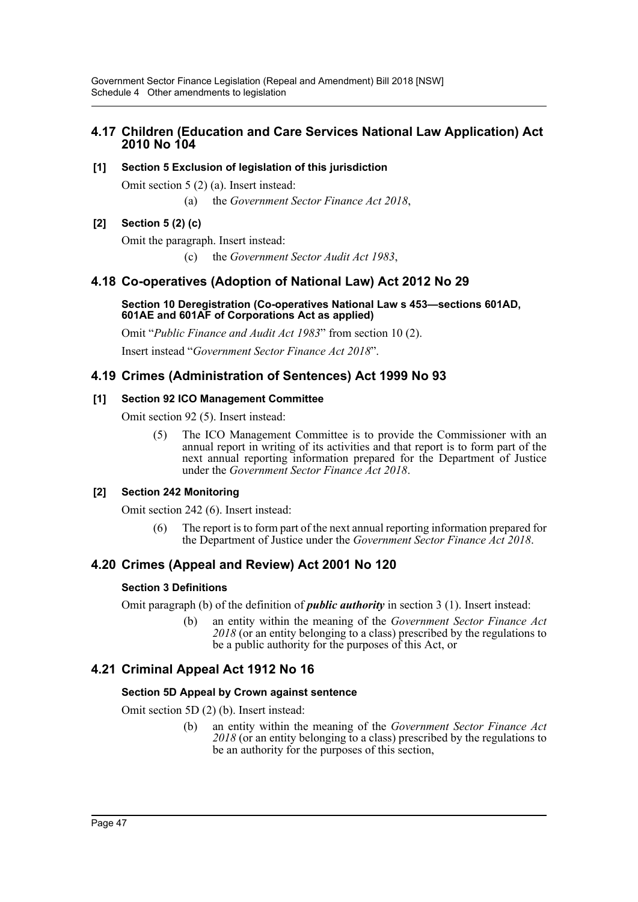# **4.17 Children (Education and Care Services National Law Application) Act 2010 No 104**

## **[1] Section 5 Exclusion of legislation of this jurisdiction**

Omit section 5 (2) (a). Insert instead:

(a) the *Government Sector Finance Act 2018*,

# **[2] Section 5 (2) (c)**

Omit the paragraph. Insert instead:

(c) the *Government Sector Audit Act 1983*,

# **4.18 Co-operatives (Adoption of National Law) Act 2012 No 29**

#### **Section 10 Deregistration (Co-operatives National Law s 453—sections 601AD, 601AE and 601AF of Corporations Act as applied)**

Omit "*Public Finance and Audit Act 1983*" from section 10 (2).

Insert instead "*Government Sector Finance Act 2018*".

# **4.19 Crimes (Administration of Sentences) Act 1999 No 93**

## **[1] Section 92 ICO Management Committee**

Omit section 92 (5). Insert instead:

(5) The ICO Management Committee is to provide the Commissioner with an annual report in writing of its activities and that report is to form part of the next annual reporting information prepared for the Department of Justice under the *Government Sector Finance Act 2018*.

# **[2] Section 242 Monitoring**

Omit section 242 (6). Insert instead:

(6) The report is to form part of the next annual reporting information prepared for the Department of Justice under the *Government Sector Finance Act 2018*.

# **4.20 Crimes (Appeal and Review) Act 2001 No 120**

## **Section 3 Definitions**

Omit paragraph (b) of the definition of *public authority* in section 3 (1). Insert instead:

(b) an entity within the meaning of the *Government Sector Finance Act 2018* (or an entity belonging to a class) prescribed by the regulations to be a public authority for the purposes of this Act, or

# **4.21 Criminal Appeal Act 1912 No 16**

## **Section 5D Appeal by Crown against sentence**

Omit section 5D (2) (b). Insert instead:

(b) an entity within the meaning of the *Government Sector Finance Act 2018* (or an entity belonging to a class) prescribed by the regulations to be an authority for the purposes of this section,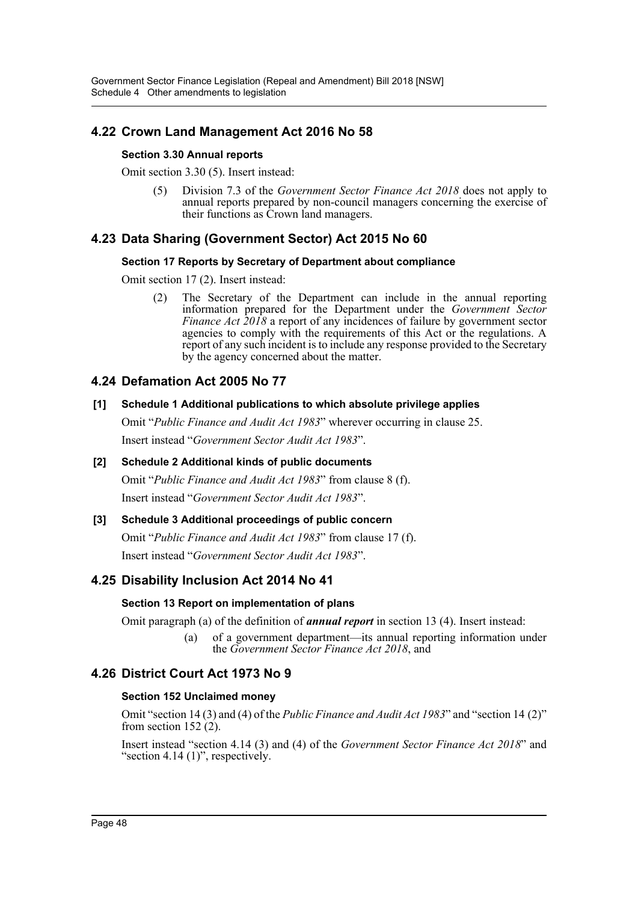# **4.22 Crown Land Management Act 2016 No 58**

## **Section 3.30 Annual reports**

Omit section 3.30 (5). Insert instead:

(5) Division 7.3 of the *Government Sector Finance Act 2018* does not apply to annual reports prepared by non-council managers concerning the exercise of their functions as Crown land managers.

# **4.23 Data Sharing (Government Sector) Act 2015 No 60**

## **Section 17 Reports by Secretary of Department about compliance**

Omit section 17 (2). Insert instead:

(2) The Secretary of the Department can include in the annual reporting information prepared for the Department under the *Government Sector Finance Act 2018* a report of any incidences of failure by government sector agencies to comply with the requirements of this Act or the regulations. A report of any such incident is to include any response provided to the Secretary by the agency concerned about the matter.

# **4.24 Defamation Act 2005 No 77**

# **[1] Schedule 1 Additional publications to which absolute privilege applies**

Omit "*Public Finance and Audit Act 1983*" wherever occurring in clause 25. Insert instead "*Government Sector Audit Act 1983*".

# **[2] Schedule 2 Additional kinds of public documents** Omit "*Public Finance and Audit Act 1983*" from clause 8 (f). Insert instead "*Government Sector Audit Act 1983*".

# **[3] Schedule 3 Additional proceedings of public concern** Omit "*Public Finance and Audit Act 1983*" from clause 17 (f).

Insert instead "*Government Sector Audit Act 1983*".

# **4.25 Disability Inclusion Act 2014 No 41**

# **Section 13 Report on implementation of plans**

Omit paragraph (a) of the definition of *annual report* in section 13 (4). Insert instead:

(a) of a government department—its annual reporting information under the *Government Sector Finance Act 2018*, and

# **4.26 District Court Act 1973 No 9**

# **Section 152 Unclaimed money**

Omit "section 14 (3) and (4) of the *Public Finance and Audit Act 1983*" and "section 14 (2)" from section  $152(2)$ .

Insert instead "section 4.14 (3) and (4) of the *Government Sector Finance Act 2018*" and "section 4.14 (1)", respectively.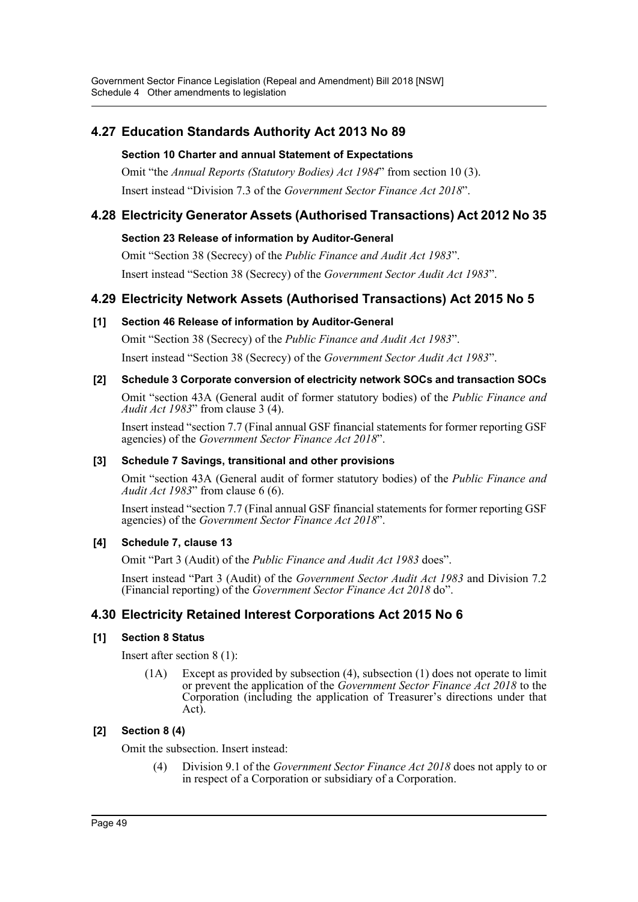# **4.27 Education Standards Authority Act 2013 No 89**

## **Section 10 Charter and annual Statement of Expectations**

Omit "the *Annual Reports (Statutory Bodies) Act 1984*" from section 10 (3). Insert instead "Division 7.3 of the *Government Sector Finance Act 2018*".

# **4.28 Electricity Generator Assets (Authorised Transactions) Act 2012 No 35**

## **Section 23 Release of information by Auditor-General**

Omit "Section 38 (Secrecy) of the *Public Finance and Audit Act 1983*". Insert instead "Section 38 (Secrecy) of the *Government Sector Audit Act 1983*".

# **4.29 Electricity Network Assets (Authorised Transactions) Act 2015 No 5**

## **[1] Section 46 Release of information by Auditor-General**

Omit "Section 38 (Secrecy) of the *Public Finance and Audit Act 1983*". Insert instead "Section 38 (Secrecy) of the *Government Sector Audit Act 1983*".

## **[2] Schedule 3 Corporate conversion of electricity network SOCs and transaction SOCs**

Omit "section 43A (General audit of former statutory bodies) of the *Public Finance and Audit Act 1983*" from clause 3 (4).

Insert instead "section 7.7 (Final annual GSF financial statements for former reporting GSF agencies) of the *Government Sector Finance Act 2018*".

## **[3] Schedule 7 Savings, transitional and other provisions**

Omit "section 43A (General audit of former statutory bodies) of the *Public Finance and Audit Act 1983*" from clause 6 (6).

Insert instead "section 7.7 (Final annual GSF financial statements for former reporting GSF agencies) of the *Government Sector Finance Act 2018*".

## **[4] Schedule 7, clause 13**

Omit "Part 3 (Audit) of the *Public Finance and Audit Act 1983* does".

Insert instead "Part 3 (Audit) of the *Government Sector Audit Act 1983* and Division 7.2 (Financial reporting) of the *Government Sector Finance Act 2018* do".

# **4.30 Electricity Retained Interest Corporations Act 2015 No 6**

## **[1] Section 8 Status**

Insert after section 8 (1):

(1A) Except as provided by subsection (4), subsection (1) does not operate to limit or prevent the application of the *Government Sector Finance Act 2018* to the Corporation (including the application of Treasurer's directions under that Act).

# **[2] Section 8 (4)**

Omit the subsection. Insert instead:

(4) Division 9.1 of the *Government Sector Finance Act 2018* does not apply to or in respect of a Corporation or subsidiary of a Corporation.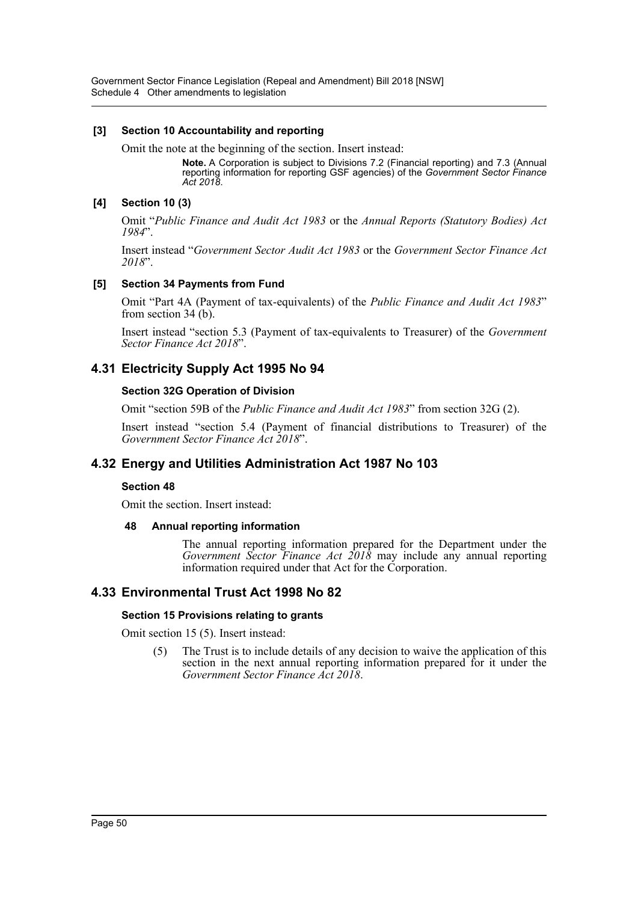Government Sector Finance Legislation (Repeal and Amendment) Bill 2018 [NSW] Schedule 4 Other amendments to legislation

#### **[3] Section 10 Accountability and reporting**

Omit the note at the beginning of the section. Insert instead:

**Note.** A Corporation is subject to Divisions 7.2 (Financial reporting) and 7.3 (Annual reporting information for reporting GSF agencies) of the *Government Sector Finance Act 2018*.

### **[4] Section 10 (3)**

Omit "*Public Finance and Audit Act 1983* or the *Annual Reports (Statutory Bodies) Act 1984*".

Insert instead "*Government Sector Audit Act 1983* or the *Government Sector Finance Act 2018*".

#### **[5] Section 34 Payments from Fund**

Omit "Part 4A (Payment of tax-equivalents) of the *Public Finance and Audit Act 1983*" from section 34 (b).

Insert instead "section 5.3 (Payment of tax-equivalents to Treasurer) of the *Government Sector Finance Act 2018*".

# **4.31 Electricity Supply Act 1995 No 94**

### **Section 32G Operation of Division**

Omit "section 59B of the *Public Finance and Audit Act 1983*" from section 32G (2).

Insert instead "section 5.4 (Payment of financial distributions to Treasurer) of the *Government Sector Finance Act 2018*".

# **4.32 Energy and Utilities Administration Act 1987 No 103**

#### **Section 48**

Omit the section. Insert instead:

#### **48 Annual reporting information**

The annual reporting information prepared for the Department under the *Government Sector Finance Act 2018* may include any annual reporting information required under that Act for the Corporation.

# **4.33 Environmental Trust Act 1998 No 82**

#### **Section 15 Provisions relating to grants**

Omit section 15 (5). Insert instead:

(5) The Trust is to include details of any decision to waive the application of this section in the next annual reporting information prepared for it under the *Government Sector Finance Act 2018*.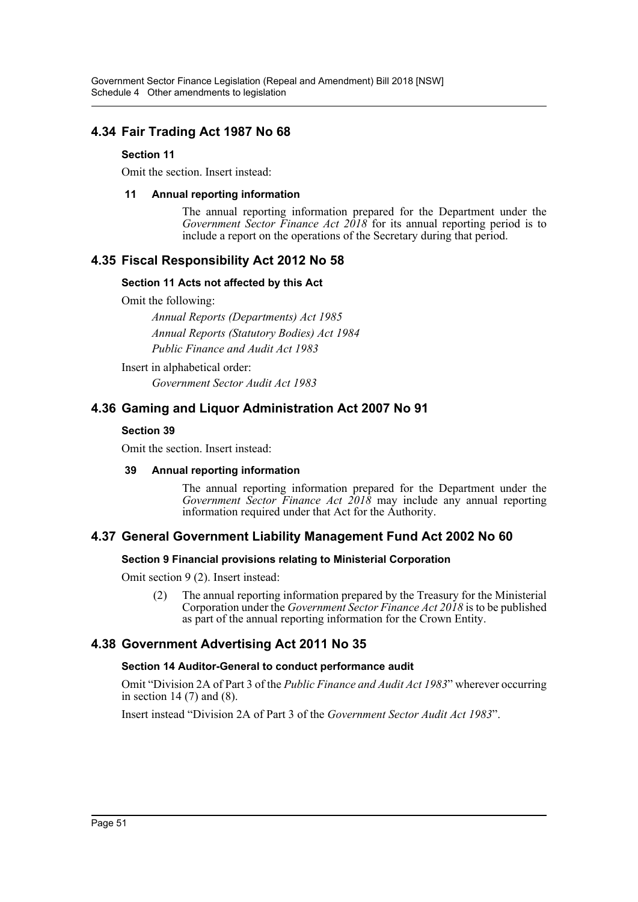# **4.34 Fair Trading Act 1987 No 68**

## **Section 11**

Omit the section. Insert instead:

## **11 Annual reporting information**

The annual reporting information prepared for the Department under the *Government Sector Finance Act 2018* for its annual reporting period is to include a report on the operations of the Secretary during that period.

# **4.35 Fiscal Responsibility Act 2012 No 58**

## **Section 11 Acts not affected by this Act**

Omit the following:

*Annual Reports (Departments) Act 1985 Annual Reports (Statutory Bodies) Act 1984 Public Finance and Audit Act 1983*

Insert in alphabetical order:

*Government Sector Audit Act 1983*

# **4.36 Gaming and Liquor Administration Act 2007 No 91**

## **Section 39**

Omit the section. Insert instead:

## **39 Annual reporting information**

The annual reporting information prepared for the Department under the *Government Sector Finance Act 2018* may include any annual reporting information required under that Act for the Authority.

# **4.37 General Government Liability Management Fund Act 2002 No 60**

## **Section 9 Financial provisions relating to Ministerial Corporation**

Omit section 9 (2). Insert instead:

(2) The annual reporting information prepared by the Treasury for the Ministerial Corporation under the *Government Sector Finance Act 2018* is to be published as part of the annual reporting information for the Crown Entity.

# **4.38 Government Advertising Act 2011 No 35**

## **Section 14 Auditor-General to conduct performance audit**

Omit "Division 2A of Part 3 of the *Public Finance and Audit Act 1983*" wherever occurring in section 14 (7) and (8).

Insert instead "Division 2A of Part 3 of the *Government Sector Audit Act 1983*".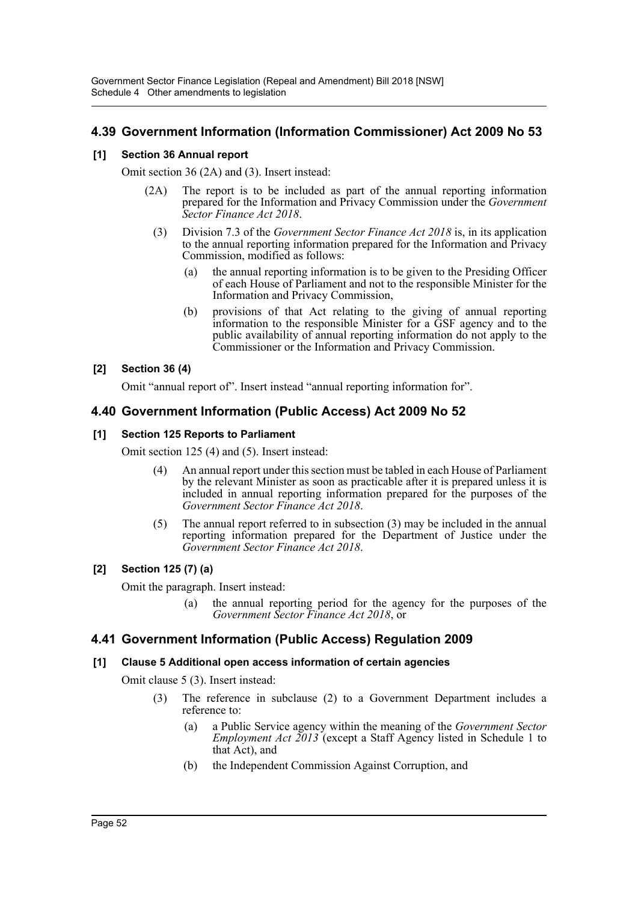# **4.39 Government Information (Information Commissioner) Act 2009 No 53**

## **[1] Section 36 Annual report**

Omit section 36 (2A) and (3). Insert instead:

- (2A) The report is to be included as part of the annual reporting information prepared for the Information and Privacy Commission under the *Government Sector Finance Act 2018*.
	- (3) Division 7.3 of the *Government Sector Finance Act 2018* is, in its application to the annual reporting information prepared for the Information and Privacy Commission, modified as follows:
		- (a) the annual reporting information is to be given to the Presiding Officer of each House of Parliament and not to the responsible Minister for the Information and Privacy Commission,
		- (b) provisions of that Act relating to the giving of annual reporting information to the responsible Minister for a GSF agency and to the public availability of annual reporting information do not apply to the Commissioner or the Information and Privacy Commission.

## **[2] Section 36 (4)**

Omit "annual report of". Insert instead "annual reporting information for".

# **4.40 Government Information (Public Access) Act 2009 No 52**

## **[1] Section 125 Reports to Parliament**

Omit section 125 (4) and (5). Insert instead:

- (4) An annual report under this section must be tabled in each House of Parliament by the relevant Minister as soon as practicable after it is prepared unless it is included in annual reporting information prepared for the purposes of the *Government Sector Finance Act 2018*.
- (5) The annual report referred to in subsection (3) may be included in the annual reporting information prepared for the Department of Justice under the *Government Sector Finance Act 2018*.

# **[2] Section 125 (7) (a)**

Omit the paragraph. Insert instead:

(a) the annual reporting period for the agency for the purposes of the *Government Sector Finance Act 2018*, or

# **4.41 Government Information (Public Access) Regulation 2009**

## **[1] Clause 5 Additional open access information of certain agencies**

Omit clause 5 (3). Insert instead:

- (3) The reference in subclause (2) to a Government Department includes a reference to:
	- (a) a Public Service agency within the meaning of the *Government Sector Employment Act 2013* (except a Staff Agency listed in Schedule 1 to that Act), and
	- (b) the Independent Commission Against Corruption, and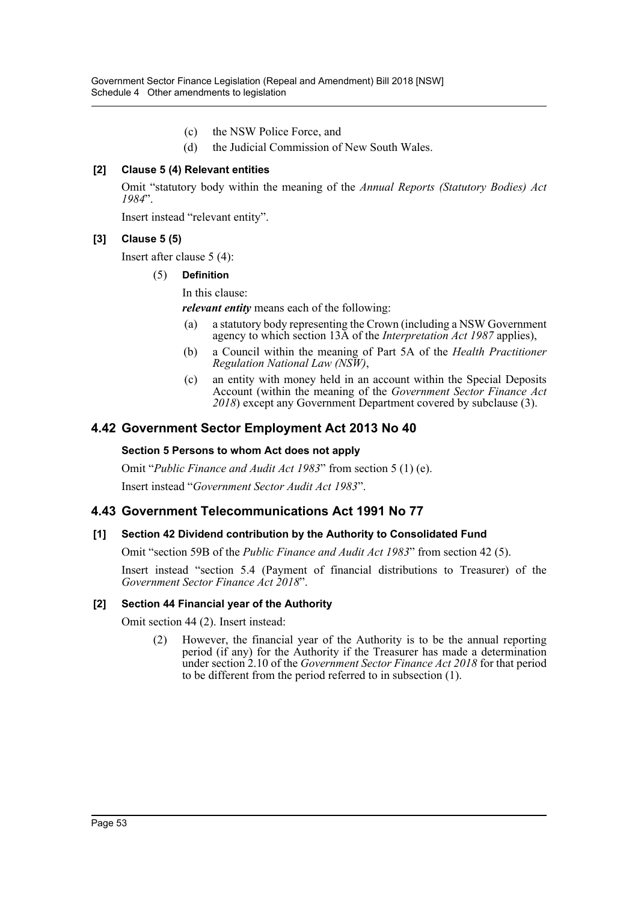- (c) the NSW Police Force, and
- (d) the Judicial Commission of New South Wales.

## **[2] Clause 5 (4) Relevant entities**

Omit "statutory body within the meaning of the *Annual Reports (Statutory Bodies) Act 1984*".

Insert instead "relevant entity".

### **[3] Clause 5 (5)**

Insert after clause 5 (4):

#### (5) **Definition**

In this clause:

*relevant entity* means each of the following:

- (a) a statutory body representing the Crown (including a NSW Government agency to which section 13A of the *Interpretation Act 1987* applies),
- (b) a Council within the meaning of Part 5A of the *Health Practitioner Regulation National Law (NSW)*,
- (c) an entity with money held in an account within the Special Deposits Account (within the meaning of the *Government Sector Finance Act 2018*) except any Government Department covered by subclause (3).

## **4.42 Government Sector Employment Act 2013 No 40**

#### **Section 5 Persons to whom Act does not apply**

Omit "*Public Finance and Audit Act 1983*" from section 5 (1) (e).

Insert instead "*Government Sector Audit Act 1983*".

## **4.43 Government Telecommunications Act 1991 No 77**

#### **[1] Section 42 Dividend contribution by the Authority to Consolidated Fund**

Omit "section 59B of the *Public Finance and Audit Act 1983*" from section 42 (5).

Insert instead "section 5.4 (Payment of financial distributions to Treasurer) of the *Government Sector Finance Act 2018*".

#### **[2] Section 44 Financial year of the Authority**

Omit section 44 (2). Insert instead:

(2) However, the financial year of the Authority is to be the annual reporting period (if any) for the Authority if the Treasurer has made a determination under section 2.10 of the *Government Sector Finance Act 2018* for that period to be different from the period referred to in subsection (1).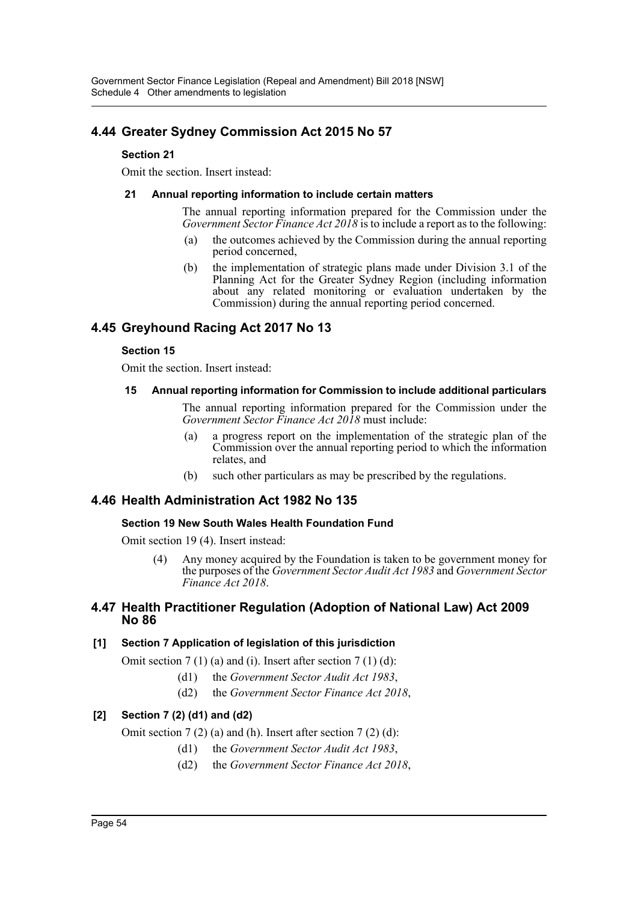# **4.44 Greater Sydney Commission Act 2015 No 57**

## **Section 21**

Omit the section. Insert instead:

## **21 Annual reporting information to include certain matters**

The annual reporting information prepared for the Commission under the *Government Sector Finance Act 2018* is to include a report as to the following:

- (a) the outcomes achieved by the Commission during the annual reporting period concerned,
- (b) the implementation of strategic plans made under Division 3.1 of the Planning Act for the Greater Sydney Region (including information about any related monitoring or evaluation undertaken by the Commission) during the annual reporting period concerned.

# **4.45 Greyhound Racing Act 2017 No 13**

### **Section 15**

Omit the section. Insert instead:

### **15 Annual reporting information for Commission to include additional particulars**

The annual reporting information prepared for the Commission under the *Government Sector Finance Act 2018* must include:

- (a) a progress report on the implementation of the strategic plan of the Commission over the annual reporting period to which the information relates, and
- (b) such other particulars as may be prescribed by the regulations.

# **4.46 Health Administration Act 1982 No 135**

## **Section 19 New South Wales Health Foundation Fund**

Omit section 19 (4). Insert instead:

(4) Any money acquired by the Foundation is taken to be government money for the purposes of the *Government Sector Audit Act 1983* and *Government Sector Finance Act 2018*.

## **4.47 Health Practitioner Regulation (Adoption of National Law) Act 2009 No 86**

## **[1] Section 7 Application of legislation of this jurisdiction**

Omit section  $7(1)(a)$  and (i). Insert after section  $7(1)(d)$ :

- (d1) the *Government Sector Audit Act 1983*,
- (d2) the *Government Sector Finance Act 2018*,

# **[2] Section 7 (2) (d1) and (d2)**

Omit section 7 (2) (a) and (h). Insert after section 7 (2) (d):

- (d1) the *Government Sector Audit Act 1983*,
- (d2) the *Government Sector Finance Act 2018*,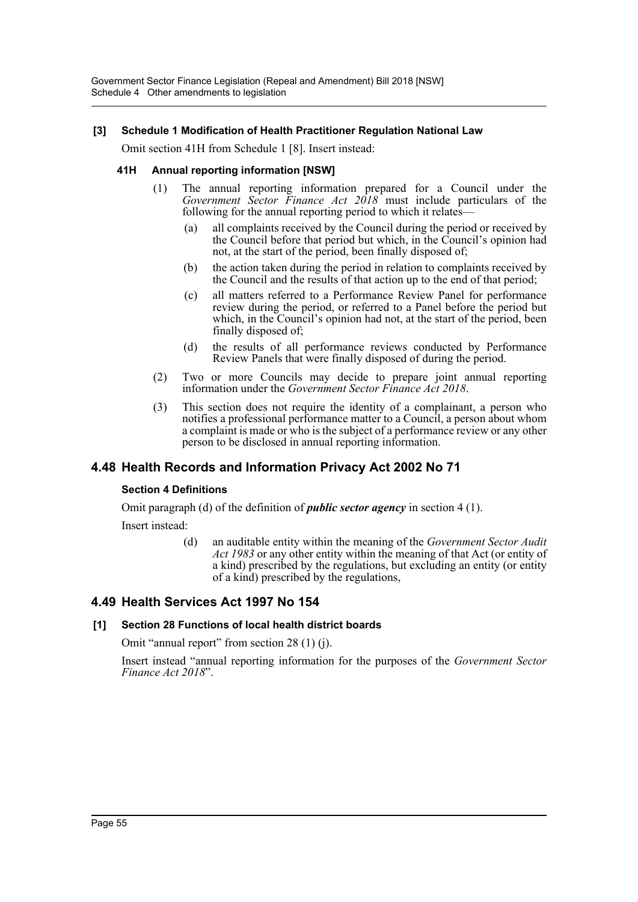Government Sector Finance Legislation (Repeal and Amendment) Bill 2018 [NSW] Schedule 4 Other amendments to legislation

## **[3] Schedule 1 Modification of Health Practitioner Regulation National Law**

Omit section 41H from Schedule 1 [8]. Insert instead:

#### **41H Annual reporting information [NSW]**

- (1) The annual reporting information prepared for a Council under the *Government Sector Finance Act 2018* must include particulars of the following for the annual reporting period to which it relates—
	- (a) all complaints received by the Council during the period or received by the Council before that period but which, in the Council's opinion had not, at the start of the period, been finally disposed of;
	- (b) the action taken during the period in relation to complaints received by the Council and the results of that action up to the end of that period;
	- (c) all matters referred to a Performance Review Panel for performance review during the period, or referred to a Panel before the period but which, in the Council's opinion had not, at the start of the period, been finally disposed of;
	- (d) the results of all performance reviews conducted by Performance Review Panels that were finally disposed of during the period.
- (2) Two or more Councils may decide to prepare joint annual reporting information under the *Government Sector Finance Act 2018*.
- (3) This section does not require the identity of a complainant, a person who notifies a professional performance matter to a Council, a person about whom a complaint is made or who is the subject of a performance review or any other person to be disclosed in annual reporting information.

## **4.48 Health Records and Information Privacy Act 2002 No 71**

#### **Section 4 Definitions**

Omit paragraph (d) of the definition of *public sector agency* in section 4 (1). Insert instead:

> (d) an auditable entity within the meaning of the *Government Sector Audit Act 1983* or any other entity within the meaning of that Act (or entity of a kind) prescribed by the regulations, but excluding an entity (or entity of a kind) prescribed by the regulations,

## **4.49 Health Services Act 1997 No 154**

## **[1] Section 28 Functions of local health district boards**

Omit "annual report" from section 28 (1) (j).

Insert instead "annual reporting information for the purposes of the *Government Sector Finance Act 2018*".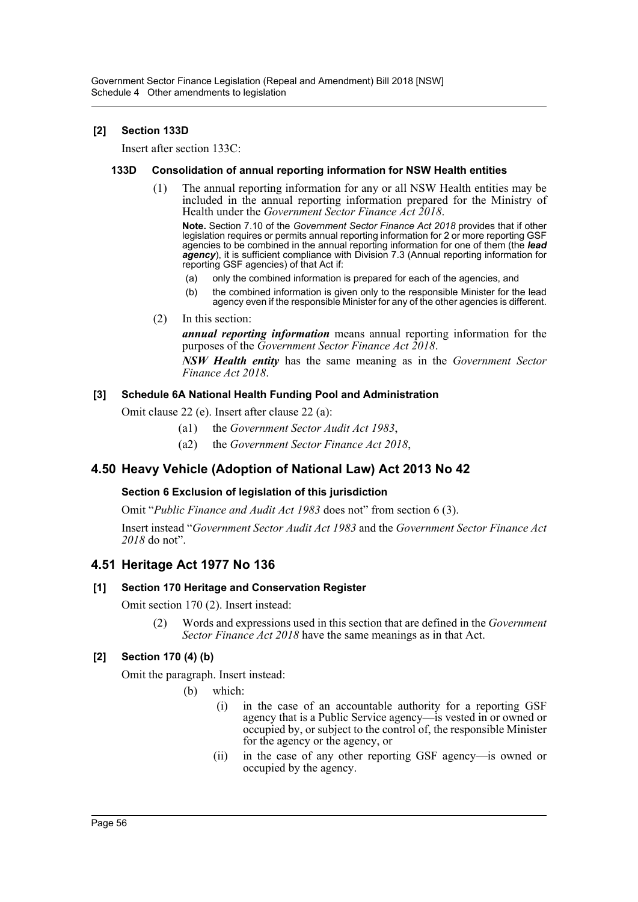## **[2] Section 133D**

Insert after section 133C:

## **133D Consolidation of annual reporting information for NSW Health entities**

(1) The annual reporting information for any or all NSW Health entities may be included in the annual reporting information prepared for the Ministry of Health under the *Government Sector Finance Act 2018*.

**Note.** Section 7.10 of the *Government Sector Finance Act 2018* provides that if other legislation requires or permits annual reporting information for 2 or more reporting GSF agencies to be combined in the annual reporting information for one of them (the *lead agency*), it is sufficient compliance with Division 7.3 (Annual reporting information for reporting GSF agencies) of that Act if:

- (a) only the combined information is prepared for each of the agencies, and
- (b) the combined information is given only to the responsible Minister for the lead agency even if the responsible Minister for any of the other agencies is different.
- (2) In this section:

*annual reporting information* means annual reporting information for the purposes of the *Government Sector Finance Act 2018*.

*NSW Health entity* has the same meaning as in the *Government Sector Finance Act 2018*.

## **[3] Schedule 6A National Health Funding Pool and Administration**

Omit clause 22 (e). Insert after clause 22 (a):

- (a1) the *Government Sector Audit Act 1983*,
- (a2) the *Government Sector Finance Act 2018*,

# **4.50 Heavy Vehicle (Adoption of National Law) Act 2013 No 42**

## **Section 6 Exclusion of legislation of this jurisdiction**

Omit "*Public Finance and Audit Act 1983* does not" from section 6 (3).

Insert instead "*Government Sector Audit Act 1983* and the *Government Sector Finance Act 2018* do not".

# **4.51 Heritage Act 1977 No 136**

## **[1] Section 170 Heritage and Conservation Register**

Omit section 170 (2). Insert instead:

(2) Words and expressions used in this section that are defined in the *Government Sector Finance Act 2018* have the same meanings as in that Act.

## **[2] Section 170 (4) (b)**

Omit the paragraph. Insert instead:

- (b) which:
	- (i) in the case of an accountable authority for a reporting GSF agency that is a Public Service agency—is vested in or owned or occupied by, or subject to the control of, the responsible Minister for the agency or the agency, or
	- (ii) in the case of any other reporting GSF agency—is owned or occupied by the agency.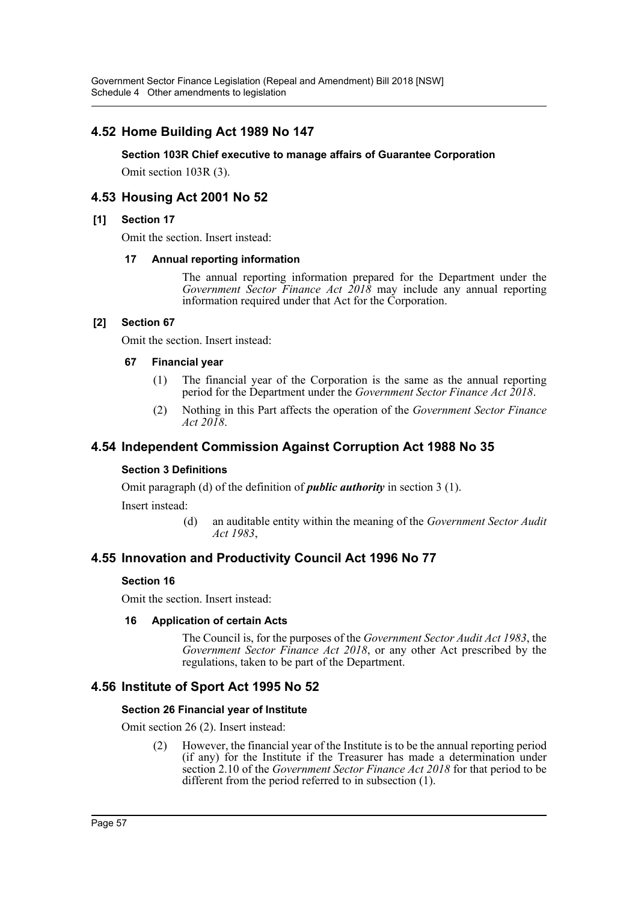Government Sector Finance Legislation (Repeal and Amendment) Bill 2018 [NSW] Schedule 4 Other amendments to legislation

# **4.52 Home Building Act 1989 No 147**

#### **Section 103R Chief executive to manage affairs of Guarantee Corporation**

Omit section 103R (3).

# **4.53 Housing Act 2001 No 52**

#### **[1] Section 17**

Omit the section. Insert instead:

#### **17 Annual reporting information**

The annual reporting information prepared for the Department under the *Government Sector Finance Act 2018* may include any annual reporting information required under that Act for the Corporation.

### **[2] Section 67**

Omit the section. Insert instead:

#### **67 Financial year**

- (1) The financial year of the Corporation is the same as the annual reporting period for the Department under the *Government Sector Finance Act 2018*.
- (2) Nothing in this Part affects the operation of the *Government Sector Finance Act 2018*.

## **4.54 Independent Commission Against Corruption Act 1988 No 35**

#### **Section 3 Definitions**

Omit paragraph (d) of the definition of *public authority* in section 3 (1).

Insert instead:

(d) an auditable entity within the meaning of the *Government Sector Audit Act 1983*,

# **4.55 Innovation and Productivity Council Act 1996 No 77**

#### **Section 16**

Omit the section. Insert instead:

#### **16 Application of certain Acts**

The Council is, for the purposes of the *Government Sector Audit Act 1983*, the *Government Sector Finance Act 2018*, or any other Act prescribed by the regulations, taken to be part of the Department.

## **4.56 Institute of Sport Act 1995 No 52**

#### **Section 26 Financial year of Institute**

Omit section 26 (2). Insert instead:

(2) However, the financial year of the Institute is to be the annual reporting period (if any) for the Institute if the Treasurer has made a determination under section 2.10 of the *Government Sector Finance Act 2018* for that period to be different from the period referred to in subsection (1).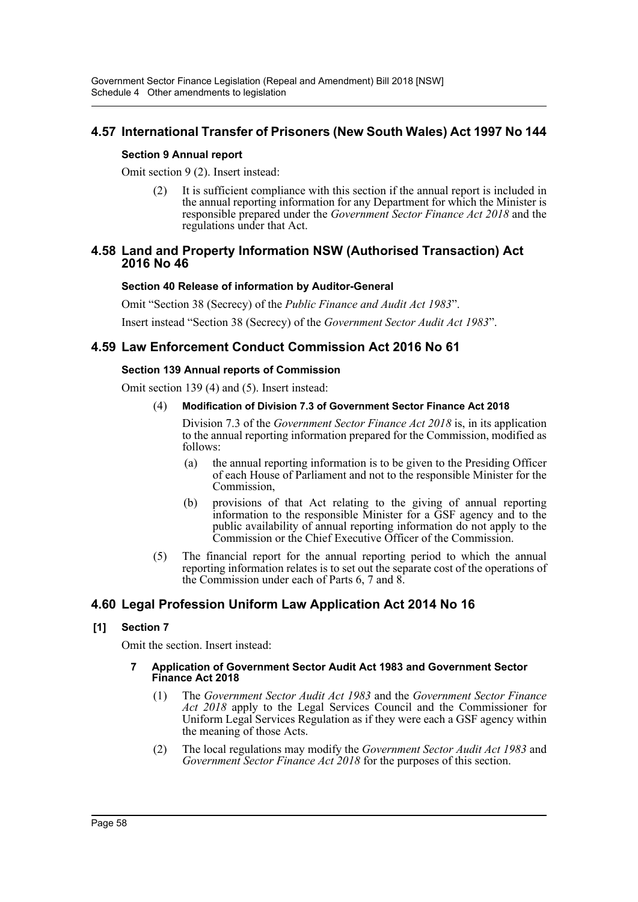# **4.57 International Transfer of Prisoners (New South Wales) Act 1997 No 144**

### **Section 9 Annual report**

Omit section 9 (2). Insert instead:

(2) It is sufficient compliance with this section if the annual report is included in the annual reporting information for any Department for which the Minister is responsible prepared under the *Government Sector Finance Act 2018* and the regulations under that Act.

## **4.58 Land and Property Information NSW (Authorised Transaction) Act 2016 No 46**

### **Section 40 Release of information by Auditor-General**

Omit "Section 38 (Secrecy) of the *Public Finance and Audit Act 1983*".

Insert instead "Section 38 (Secrecy) of the *Government Sector Audit Act 1983*".

# **4.59 Law Enforcement Conduct Commission Act 2016 No 61**

### **Section 139 Annual reports of Commission**

Omit section 139 (4) and (5). Insert instead:

#### (4) **Modification of Division 7.3 of Government Sector Finance Act 2018**

Division 7.3 of the *Government Sector Finance Act 2018* is, in its application to the annual reporting information prepared for the Commission, modified as follows:

- (a) the annual reporting information is to be given to the Presiding Officer of each House of Parliament and not to the responsible Minister for the Commission,
- (b) provisions of that Act relating to the giving of annual reporting information to the responsible Minister for a GSF agency and to the public availability of annual reporting information do not apply to the Commission or the Chief Executive Officer of the Commission.
- (5) The financial report for the annual reporting period to which the annual reporting information relates is to set out the separate cost of the operations of the Commission under each of Parts 6, 7 and 8.

# **4.60 Legal Profession Uniform Law Application Act 2014 No 16**

## **[1] Section 7**

Omit the section. Insert instead:

#### **7 Application of Government Sector Audit Act 1983 and Government Sector Finance Act 2018**

- (1) The *Government Sector Audit Act 1983* and the *Government Sector Finance Act 2018* apply to the Legal Services Council and the Commissioner for Uniform Legal Services Regulation as if they were each a GSF agency within the meaning of those Acts.
- (2) The local regulations may modify the *Government Sector Audit Act 1983* and *Government Sector Finance Act 2018* for the purposes of this section.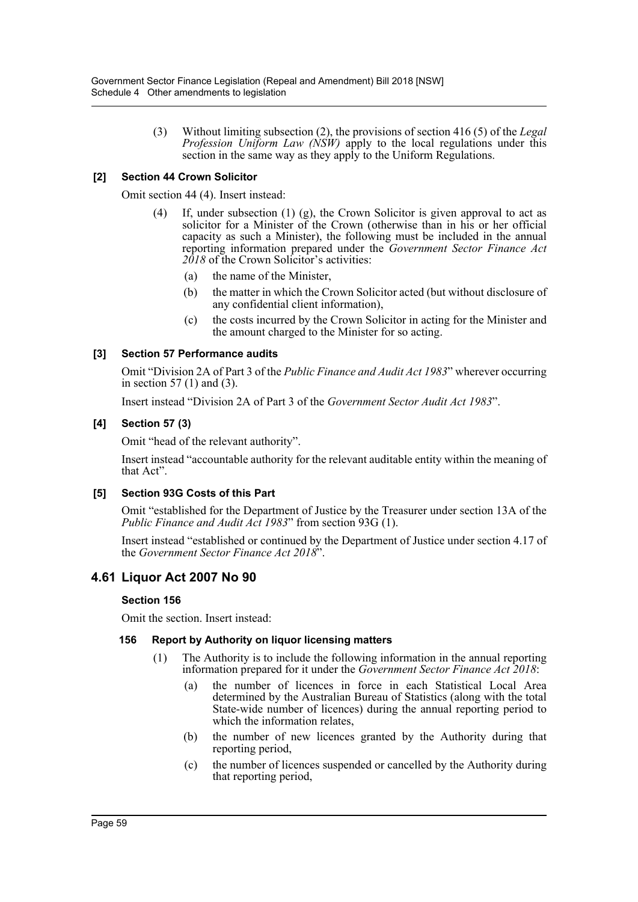(3) Without limiting subsection (2), the provisions of section 416 (5) of the *Legal Profession Uniform Law (NSW)* apply to the local regulations under this section in the same way as they apply to the Uniform Regulations.

## **[2] Section 44 Crown Solicitor**

Omit section 44 (4). Insert instead:

- (4) If, under subsection (1) (g), the Crown Solicitor is given approval to act as solicitor for a Minister of the Crown (otherwise than in his or her official capacity as such a Minister), the following must be included in the annual reporting information prepared under the *Government Sector Finance Act 2018* of the Crown Solicitor's activities:
	- (a) the name of the Minister,
	- (b) the matter in which the Crown Solicitor acted (but without disclosure of any confidential client information),
	- (c) the costs incurred by the Crown Solicitor in acting for the Minister and the amount charged to the Minister for so acting.

## **[3] Section 57 Performance audits**

Omit "Division 2A of Part 3 of the *Public Finance and Audit Act 1983*" wherever occurring in section 57 (1) and (3).

Insert instead "Division 2A of Part 3 of the *Government Sector Audit Act 1983*".

## **[4] Section 57 (3)**

Omit "head of the relevant authority".

Insert instead "accountable authority for the relevant auditable entity within the meaning of that Act".

## **[5] Section 93G Costs of this Part**

Omit "established for the Department of Justice by the Treasurer under section 13A of the *Public Finance and Audit Act 1983*" from section 93G (1).

Insert instead "established or continued by the Department of Justice under section 4.17 of the *Government Sector Finance Act 2018*".

# **4.61 Liquor Act 2007 No 90**

## **Section 156**

Omit the section. Insert instead:

## **156 Report by Authority on liquor licensing matters**

- (1) The Authority is to include the following information in the annual reporting information prepared for it under the *Government Sector Finance Act 2018*:
	- (a) the number of licences in force in each Statistical Local Area determined by the Australian Bureau of Statistics (along with the total State-wide number of licences) during the annual reporting period to which the information relates,
	- (b) the number of new licences granted by the Authority during that reporting period,
	- (c) the number of licences suspended or cancelled by the Authority during that reporting period,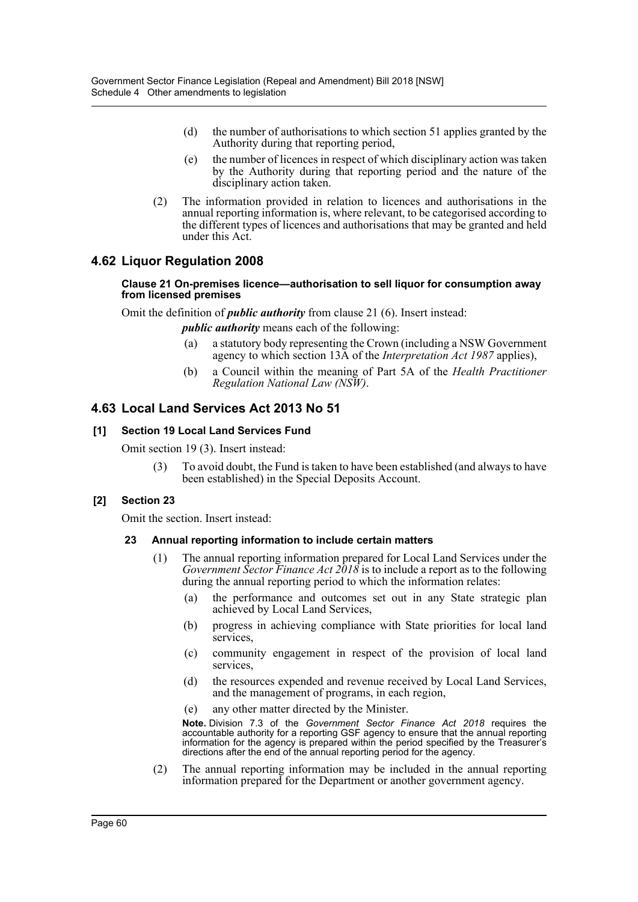- (d) the number of authorisations to which section 51 applies granted by the Authority during that reporting period,
- (e) the number of licences in respect of which disciplinary action was taken by the Authority during that reporting period and the nature of the disciplinary action taken.
- (2) The information provided in relation to licences and authorisations in the annual reporting information is, where relevant, to be categorised according to the different types of licences and authorisations that may be granted and held under this Act.

# **4.62 Liquor Regulation 2008**

#### **Clause 21 On-premises licence—authorisation to sell liquor for consumption away from licensed premises**

Omit the definition of *public authority* from clause 21 (6). Insert instead:

*public authority* means each of the following:

- (a) a statutory body representing the Crown (including a NSW Government agency to which section 13A of the *Interpretation Act 1987* applies),
- (b) a Council within the meaning of Part 5A of the *Health Practitioner Regulation National Law (NSW)*.

## **4.63 Local Land Services Act 2013 No 51**

### **[1] Section 19 Local Land Services Fund**

Omit section 19 (3). Insert instead:

(3) To avoid doubt, the Fund is taken to have been established (and always to have been established) in the Special Deposits Account.

#### **[2] Section 23**

Omit the section. Insert instead:

#### **23 Annual reporting information to include certain matters**

- (1) The annual reporting information prepared for Local Land Services under the *Government Sector Finance Act 2018* is to include a report as to the following during the annual reporting period to which the information relates:
	- (a) the performance and outcomes set out in any State strategic plan achieved by Local Land Services,
	- (b) progress in achieving compliance with State priorities for local land services,
	- (c) community engagement in respect of the provision of local land services,
	- (d) the resources expended and revenue received by Local Land Services, and the management of programs, in each region,
	- (e) any other matter directed by the Minister.

**Note.** Division 7.3 of the *Government Sector Finance Act 2018* requires the accountable authority for a reporting GSF agency to ensure that the annual reporting information for the agency is prepared within the period specified by the Treasurer's directions after the end of the annual reporting period for the agency.

(2) The annual reporting information may be included in the annual reporting information prepared for the Department or another government agency.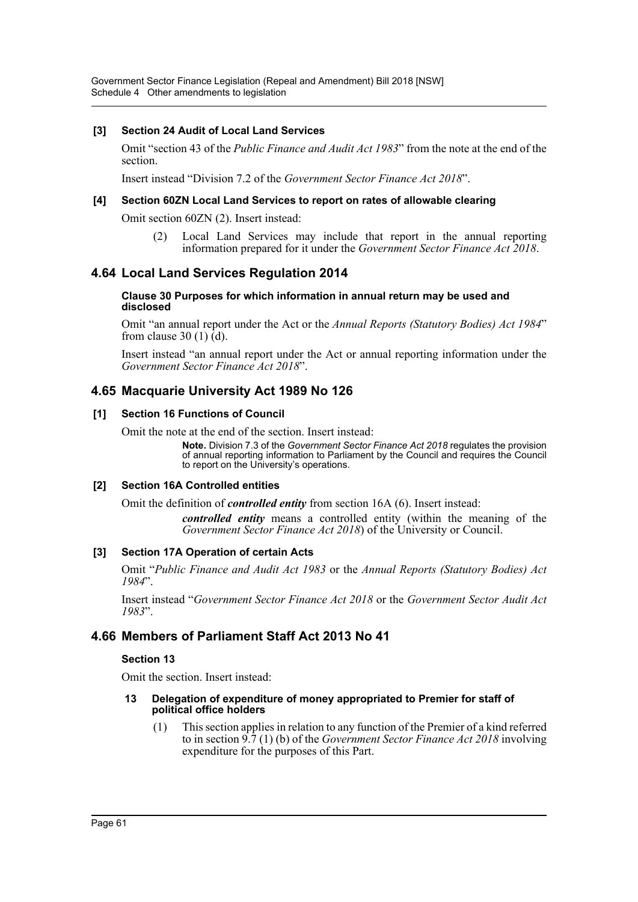Government Sector Finance Legislation (Repeal and Amendment) Bill 2018 [NSW] Schedule 4 Other amendments to legislation

#### **[3] Section 24 Audit of Local Land Services**

Omit "section 43 of the *Public Finance and Audit Act 1983*" from the note at the end of the section.

Insert instead "Division 7.2 of the *Government Sector Finance Act 2018*".

#### **[4] Section 60ZN Local Land Services to report on rates of allowable clearing**

Omit section 60ZN (2). Insert instead:

(2) Local Land Services may include that report in the annual reporting information prepared for it under the *Government Sector Finance Act 2018*.

# **4.64 Local Land Services Regulation 2014**

#### **Clause 30 Purposes for which information in annual return may be used and disclosed**

Omit "an annual report under the Act or the *Annual Reports (Statutory Bodies) Act 1984*" from clause 30 (1)  $\bar{d}$ .

Insert instead "an annual report under the Act or annual reporting information under the *Government Sector Finance Act 2018*".

# **4.65 Macquarie University Act 1989 No 126**

### **[1] Section 16 Functions of Council**

Omit the note at the end of the section. Insert instead:

**Note.** Division 7.3 of the *Government Sector Finance Act 2018* regulates the provision of annual reporting information to Parliament by the Council and requires the Council to report on the University's operations.

#### **[2] Section 16A Controlled entities**

Omit the definition of *controlled entity* from section 16A (6). Insert instead:

*controlled entity* means a controlled entity (within the meaning of the *Government Sector Finance Act 2018*) of the University or Council.

#### **[3] Section 17A Operation of certain Acts**

Omit "*Public Finance and Audit Act 1983* or the *Annual Reports (Statutory Bodies) Act 1984*".

Insert instead "*Government Sector Finance Act 2018* or the *Government Sector Audit Act 1983*".

# **4.66 Members of Parliament Staff Act 2013 No 41**

#### **Section 13**

Omit the section. Insert instead:

#### **13 Delegation of expenditure of money appropriated to Premier for staff of political office holders**

(1) This section applies in relation to any function of the Premier of a kind referred to in section 9.7 (1) (b) of the *Government Sector Finance Act 2018* involving expenditure for the purposes of this Part.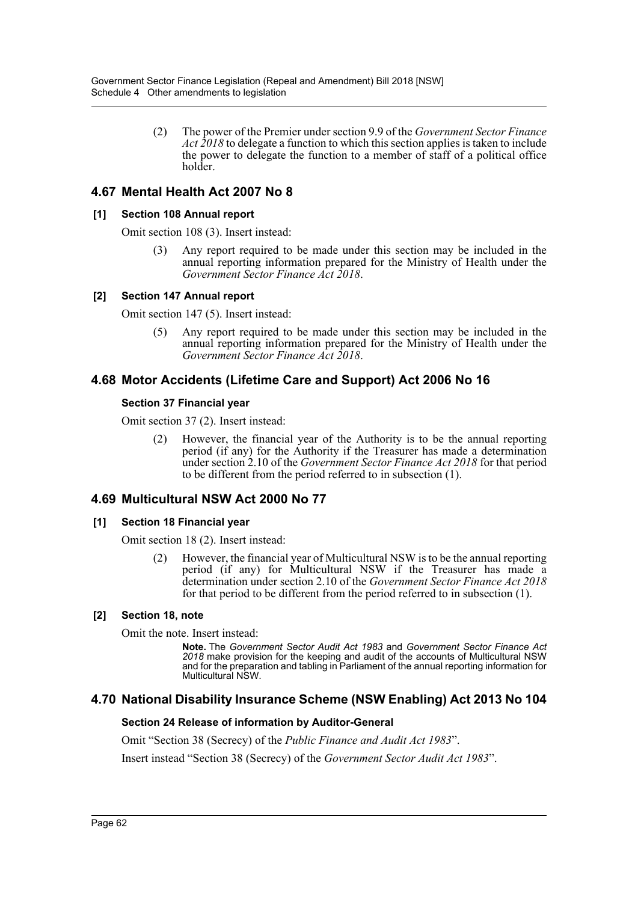(2) The power of the Premier under section 9.9 of the *Government Sector Finance Act 2018* to delegate a function to which this section applies is taken to include the power to delegate the function to a member of staff of a political office holder.

# **4.67 Mental Health Act 2007 No 8**

## **[1] Section 108 Annual report**

Omit section 108 (3). Insert instead:

Any report required to be made under this section may be included in the annual reporting information prepared for the Ministry of Health under the *Government Sector Finance Act 2018*.

### **[2] Section 147 Annual report**

Omit section 147 (5). Insert instead:

(5) Any report required to be made under this section may be included in the annual reporting information prepared for the Ministry of Health under the *Government Sector Finance Act 2018*.

# **4.68 Motor Accidents (Lifetime Care and Support) Act 2006 No 16**

### **Section 37 Financial year**

Omit section 37 (2). Insert instead:

(2) However, the financial year of the Authority is to be the annual reporting period (if any) for the Authority if the Treasurer has made a determination under section 2.10 of the *Government Sector Finance Act 2018* for that period to be different from the period referred to in subsection (1).

# **4.69 Multicultural NSW Act 2000 No 77**

## **[1] Section 18 Financial year**

Omit section 18 (2). Insert instead:

(2) However, the financial year of Multicultural NSW is to be the annual reporting period (if any) for Multicultural NSW if the Treasurer has made a determination under section 2.10 of the *Government Sector Finance Act 2018* for that period to be different from the period referred to in subsection (1).

## **[2] Section 18, note**

Omit the note. Insert instead:

**Note.** The *Government Sector Audit Act 1983* and *Government Sector Finance Act 2018* make provision for the keeping and audit of the accounts of Multicultural NSW and for the preparation and tabling in Parliament of the annual reporting information for Multicultural NSW.

# **4.70 National Disability Insurance Scheme (NSW Enabling) Act 2013 No 104**

## **Section 24 Release of information by Auditor-General**

Omit "Section 38 (Secrecy) of the *Public Finance and Audit Act 1983*".

Insert instead "Section 38 (Secrecy) of the *Government Sector Audit Act 1983*".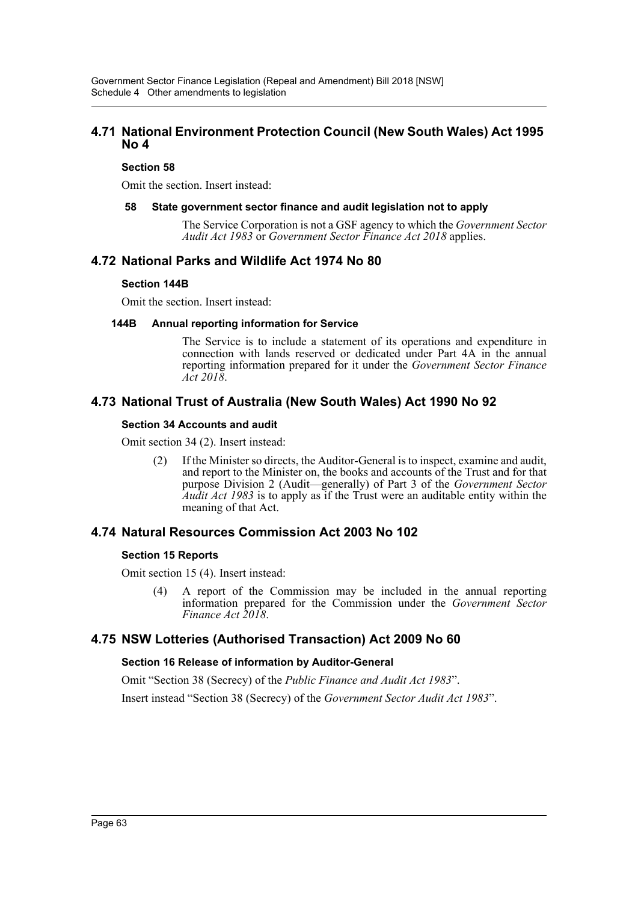## **4.71 National Environment Protection Council (New South Wales) Act 1995 No 4**

### **Section 58**

Omit the section. Insert instead:

#### **58 State government sector finance and audit legislation not to apply**

The Service Corporation is not a GSF agency to which the *Government Sector Audit Act 1983* or *Government Sector Finance Act 2018* applies.

## **4.72 National Parks and Wildlife Act 1974 No 80**

### **Section 144B**

Omit the section. Insert instead:

#### **144B Annual reporting information for Service**

The Service is to include a statement of its operations and expenditure in connection with lands reserved or dedicated under Part 4A in the annual reporting information prepared for it under the *Government Sector Finance Act 2018*.

# **4.73 National Trust of Australia (New South Wales) Act 1990 No 92**

#### **Section 34 Accounts and audit**

Omit section 34 (2). Insert instead:

(2) If the Minister so directs, the Auditor-General is to inspect, examine and audit, and report to the Minister on, the books and accounts of the Trust and for that purpose Division 2 (Audit—generally) of Part 3 of the *Government Sector Audit Act 1983* is to apply as if the Trust were an auditable entity within the meaning of that Act.

# **4.74 Natural Resources Commission Act 2003 No 102**

#### **Section 15 Reports**

Omit section 15 (4). Insert instead:

(4) A report of the Commission may be included in the annual reporting information prepared for the Commission under the *Government Sector Finance Act 2018*.

# **4.75 NSW Lotteries (Authorised Transaction) Act 2009 No 60**

#### **Section 16 Release of information by Auditor-General**

Omit "Section 38 (Secrecy) of the *Public Finance and Audit Act 1983*".

Insert instead "Section 38 (Secrecy) of the *Government Sector Audit Act 1983*".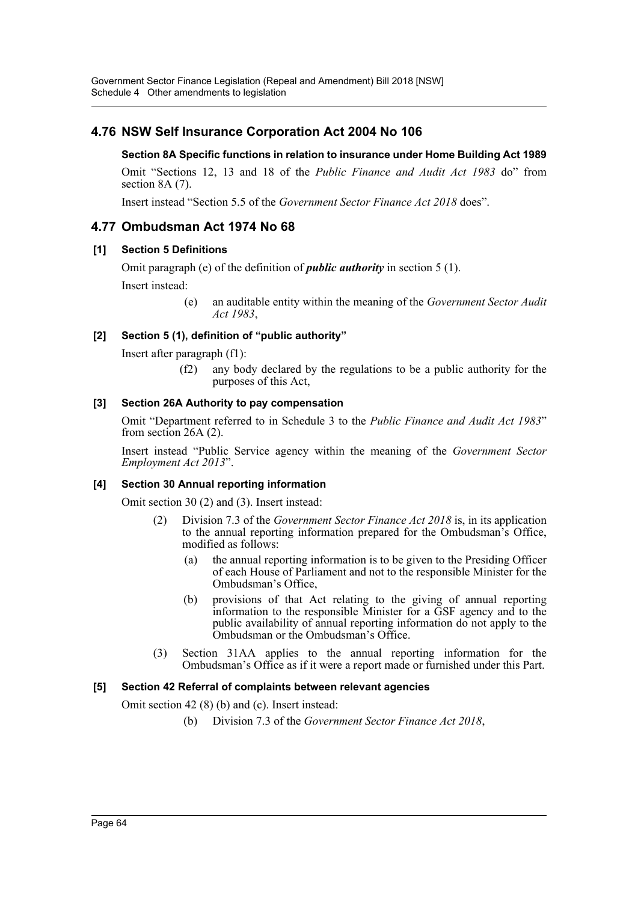# **4.76 NSW Self Insurance Corporation Act 2004 No 106**

## **Section 8A Specific functions in relation to insurance under Home Building Act 1989**

Omit "Sections 12, 13 and 18 of the *Public Finance and Audit Act 1983* do" from section 8A (7).

Insert instead "Section 5.5 of the *Government Sector Finance Act 2018* does".

# **4.77 Ombudsman Act 1974 No 68**

## **[1] Section 5 Definitions**

Omit paragraph (e) of the definition of *public authority* in section 5 (1).

Insert instead:

(e) an auditable entity within the meaning of the *Government Sector Audit Act 1983*,

# **[2] Section 5 (1), definition of "public authority"**

Insert after paragraph (f1):

(f2) any body declared by the regulations to be a public authority for the purposes of this Act,

## **[3] Section 26A Authority to pay compensation**

Omit "Department referred to in Schedule 3 to the *Public Finance and Audit Act 1983*" from section 26A (2).

Insert instead "Public Service agency within the meaning of the *Government Sector Employment Act 2013*".

## **[4] Section 30 Annual reporting information**

Omit section 30 (2) and (3). Insert instead:

- (2) Division 7.3 of the *Government Sector Finance Act 2018* is, in its application to the annual reporting information prepared for the Ombudsman's Office, modified as follows:
	- (a) the annual reporting information is to be given to the Presiding Officer of each House of Parliament and not to the responsible Minister for the Ombudsman's Office,
	- (b) provisions of that Act relating to the giving of annual reporting information to the responsible Minister for a GSF agency and to the public availability of annual reporting information do not apply to the Ombudsman or the Ombudsman's Office.
- (3) Section 31AA applies to the annual reporting information for the Ombudsman's Office as if it were a report made or furnished under this Part.

## **[5] Section 42 Referral of complaints between relevant agencies**

Omit section 42 (8) (b) and (c). Insert instead:

(b) Division 7.3 of the *Government Sector Finance Act 2018*,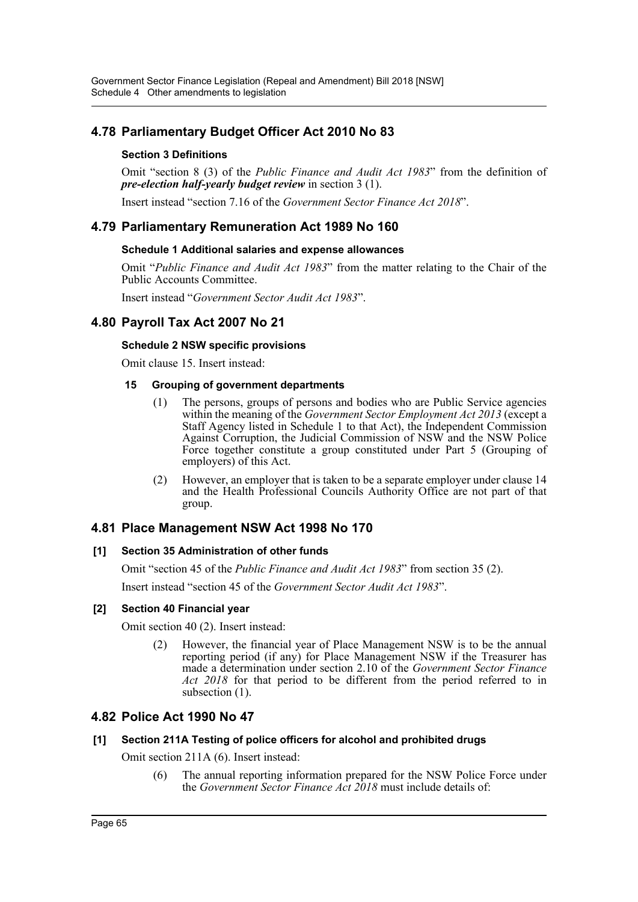# **4.78 Parliamentary Budget Officer Act 2010 No 83**

## **Section 3 Definitions**

Omit "section 8 (3) of the *Public Finance and Audit Act 1983*" from the definition of *pre-election half-yearly budget review* in section 3 (1).

Insert instead "section 7.16 of the *Government Sector Finance Act 2018*".

# **4.79 Parliamentary Remuneration Act 1989 No 160**

### **Schedule 1 Additional salaries and expense allowances**

Omit "*Public Finance and Audit Act 1983*" from the matter relating to the Chair of the Public Accounts Committee.

Insert instead "*Government Sector Audit Act 1983*".

# **4.80 Payroll Tax Act 2007 No 21**

## **Schedule 2 NSW specific provisions**

Omit clause 15. Insert instead:

### **15 Grouping of government departments**

- (1) The persons, groups of persons and bodies who are Public Service agencies within the meaning of the *Government Sector Employment Act 2013* (except a Staff Agency listed in Schedule 1 to that Act), the Independent Commission Against Corruption, the Judicial Commission of NSW and the NSW Police Force together constitute a group constituted under Part 5 (Grouping of employers) of this Act.
- (2) However, an employer that is taken to be a separate employer under clause 14 and the Health Professional Councils Authority Office are not part of that group.

# **4.81 Place Management NSW Act 1998 No 170**

## **[1] Section 35 Administration of other funds**

Omit "section 45 of the *Public Finance and Audit Act 1983*" from section 35 (2).

Insert instead "section 45 of the *Government Sector Audit Act 1983*".

## **[2] Section 40 Financial year**

Omit section 40 (2). Insert instead:

(2) However, the financial year of Place Management NSW is to be the annual reporting period (if any) for Place Management NSW if the Treasurer has made a determination under section 2.10 of the *Government Sector Finance Act 2018* for that period to be different from the period referred to in subsection (1).

# **4.82 Police Act 1990 No 47**

#### **[1] Section 211A Testing of police officers for alcohol and prohibited drugs**

Omit section 211A (6). Insert instead:

(6) The annual reporting information prepared for the NSW Police Force under the *Government Sector Finance Act 2018* must include details of: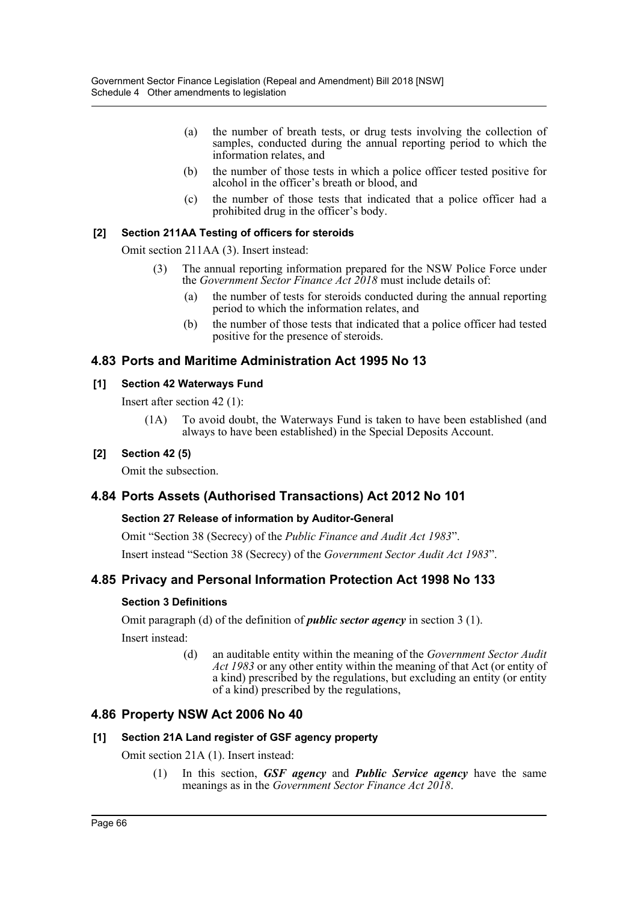- (a) the number of breath tests, or drug tests involving the collection of samples, conducted during the annual reporting period to which the information relates, and
- (b) the number of those tests in which a police officer tested positive for alcohol in the officer's breath or blood, and
- (c) the number of those tests that indicated that a police officer had a prohibited drug in the officer's body.

## **[2] Section 211AA Testing of officers for steroids**

Omit section 211AA (3). Insert instead:

- (3) The annual reporting information prepared for the NSW Police Force under the *Government Sector Finance Act 2018* must include details of:
	- (a) the number of tests for steroids conducted during the annual reporting period to which the information relates, and
	- (b) the number of those tests that indicated that a police officer had tested positive for the presence of steroids.

# **4.83 Ports and Maritime Administration Act 1995 No 13**

## **[1] Section 42 Waterways Fund**

Insert after section 42 (1):

(1A) To avoid doubt, the Waterways Fund is taken to have been established (and always to have been established) in the Special Deposits Account.

## **[2] Section 42 (5)**

Omit the subsection.

# **4.84 Ports Assets (Authorised Transactions) Act 2012 No 101**

## **Section 27 Release of information by Auditor-General**

Omit "Section 38 (Secrecy) of the *Public Finance and Audit Act 1983*".

Insert instead "Section 38 (Secrecy) of the *Government Sector Audit Act 1983*".

# **4.85 Privacy and Personal Information Protection Act 1998 No 133**

## **Section 3 Definitions**

Omit paragraph (d) of the definition of *public sector agency* in section 3 (1). Insert instead:

> (d) an auditable entity within the meaning of the *Government Sector Audit Act 1983* or any other entity within the meaning of that Act (or entity of a kind) prescribed by the regulations, but excluding an entity (or entity of a kind) prescribed by the regulations,

# **4.86 Property NSW Act 2006 No 40**

## **[1] Section 21A Land register of GSF agency property**

Omit section 21A (1). Insert instead:

(1) In this section, *GSF agency* and *Public Service agency* have the same meanings as in the *Government Sector Finance Act 2018*.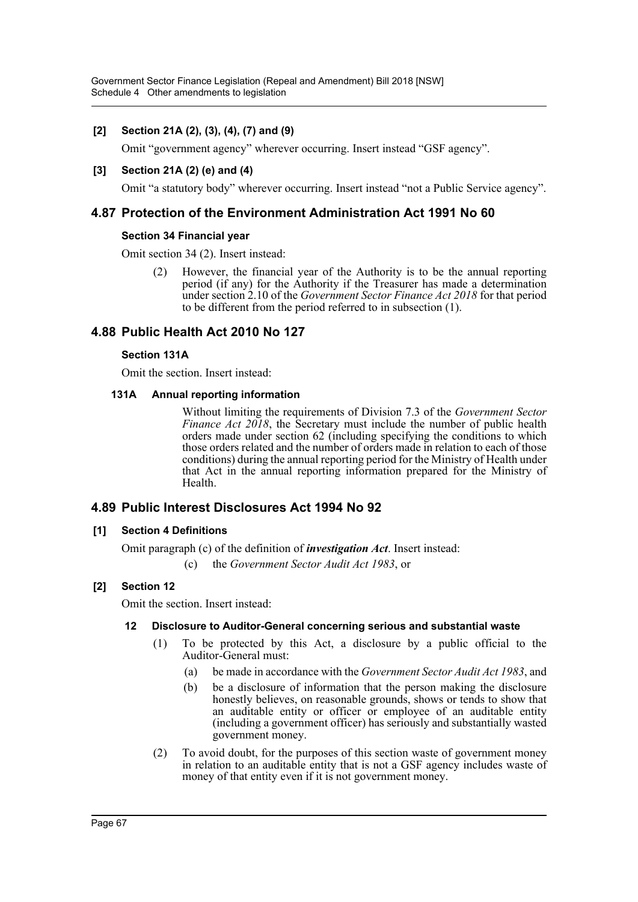## **[2] Section 21A (2), (3), (4), (7) and (9)**

Omit "government agency" wherever occurring. Insert instead "GSF agency".

## **[3] Section 21A (2) (e) and (4)**

Omit "a statutory body" wherever occurring. Insert instead "not a Public Service agency".

## **4.87 Protection of the Environment Administration Act 1991 No 60**

### **Section 34 Financial year**

Omit section 34 (2). Insert instead:

(2) However, the financial year of the Authority is to be the annual reporting period (if any) for the Authority if the Treasurer has made a determination under section 2.10 of the *Government Sector Finance Act 2018* for that period to be different from the period referred to in subsection (1).

# **4.88 Public Health Act 2010 No 127**

### **Section 131A**

Omit the section. Insert instead:

### **131A Annual reporting information**

Without limiting the requirements of Division 7.3 of the *Government Sector Finance Act 2018*, the Secretary must include the number of public health orders made under section 62 (including specifying the conditions to which those orders related and the number of orders made in relation to each of those conditions) during the annual reporting period for the Ministry of Health under that Act in the annual reporting information prepared for the Ministry of Health.

## **4.89 Public Interest Disclosures Act 1994 No 92**

## **[1] Section 4 Definitions**

Omit paragraph (c) of the definition of *investigation Act*. Insert instead:

(c) the *Government Sector Audit Act 1983*, or

## **[2] Section 12**

Omit the section. Insert instead:

## **12 Disclosure to Auditor-General concerning serious and substantial waste**

- (1) To be protected by this Act, a disclosure by a public official to the Auditor-General must:
	- (a) be made in accordance with the *Government Sector Audit Act 1983*, and
	- (b) be a disclosure of information that the person making the disclosure honestly believes, on reasonable grounds, shows or tends to show that an auditable entity or officer or employee of an auditable entity (including a government officer) has seriously and substantially wasted government money.
- (2) To avoid doubt, for the purposes of this section waste of government money in relation to an auditable entity that is not a GSF agency includes waste of money of that entity even if it is not government money.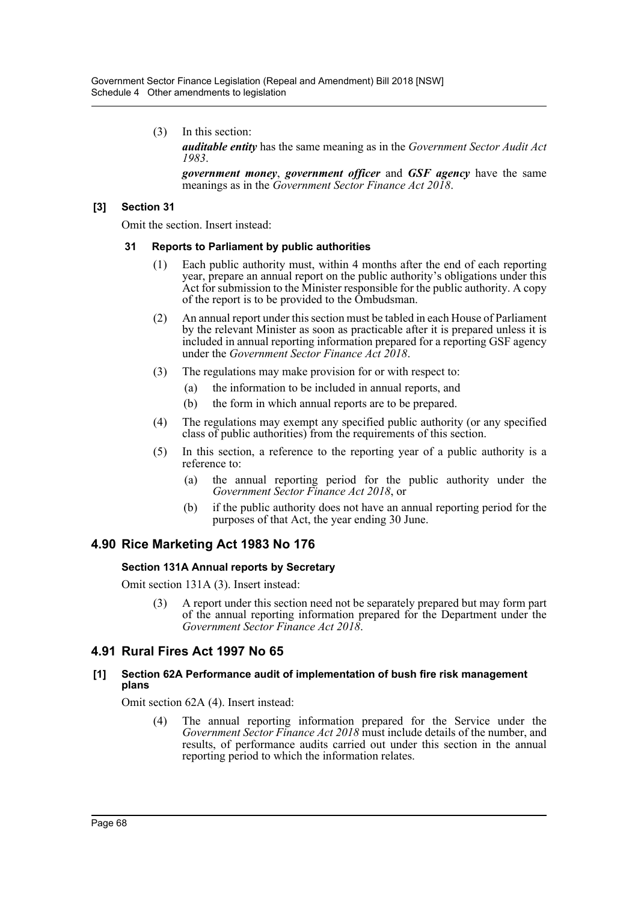(3) In this section:

*auditable entity* has the same meaning as in the *Government Sector Audit Act 1983*.

*government money*, *government officer* and *GSF agency* have the same meanings as in the *Government Sector Finance Act 2018*.

### **[3] Section 31**

Omit the section. Insert instead:

#### **31 Reports to Parliament by public authorities**

- (1) Each public authority must, within 4 months after the end of each reporting year, prepare an annual report on the public authority's obligations under this Act for submission to the Minister responsible for the public authority. A copy of the report is to be provided to the Ombudsman.
- (2) An annual report under this section must be tabled in each House of Parliament by the relevant Minister as soon as practicable after it is prepared unless it is included in annual reporting information prepared for a reporting GSF agency under the *Government Sector Finance Act 2018*.
- (3) The regulations may make provision for or with respect to:
	- (a) the information to be included in annual reports, and
	- (b) the form in which annual reports are to be prepared.
- (4) The regulations may exempt any specified public authority (or any specified class of public authorities) from the requirements of this section.
- (5) In this section, a reference to the reporting year of a public authority is a reference to:
	- (a) the annual reporting period for the public authority under the *Government Sector Finance Act 2018*, or
	- (b) if the public authority does not have an annual reporting period for the purposes of that Act, the year ending 30 June.

# **4.90 Rice Marketing Act 1983 No 176**

#### **Section 131A Annual reports by Secretary**

Omit section 131A (3). Insert instead:

(3) A report under this section need not be separately prepared but may form part of the annual reporting information prepared for the Department under the *Government Sector Finance Act 2018*.

# **4.91 Rural Fires Act 1997 No 65**

#### **[1] Section 62A Performance audit of implementation of bush fire risk management plans**

Omit section 62A (4). Insert instead:

(4) The annual reporting information prepared for the Service under the *Government Sector Finance Act 2018* must include details of the number, and results, of performance audits carried out under this section in the annual reporting period to which the information relates.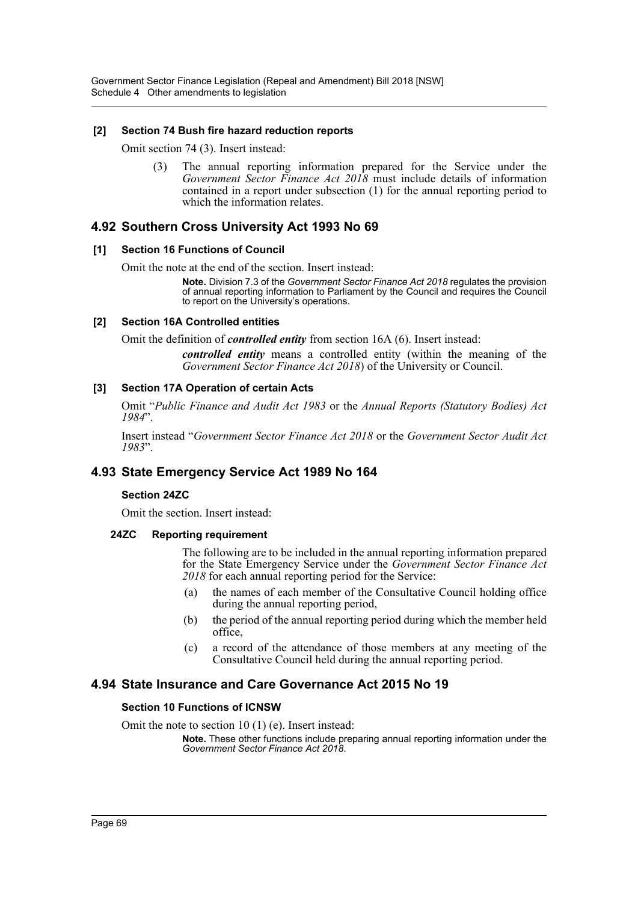#### **[2] Section 74 Bush fire hazard reduction reports**

Omit section 74 (3). Insert instead:

(3) The annual reporting information prepared for the Service under the *Government Sector Finance Act 2018* must include details of information contained in a report under subsection (1) for the annual reporting period to which the information relates.

# **4.92 Southern Cross University Act 1993 No 69**

### **[1] Section 16 Functions of Council**

Omit the note at the end of the section. Insert instead:

**Note.** Division 7.3 of the *Government Sector Finance Act 2018* regulates the provision of annual reporting information to Parliament by the Council and requires the Council to report on the University's operations.

### **[2] Section 16A Controlled entities**

Omit the definition of *controlled entity* from section 16A (6). Insert instead:

*controlled entity* means a controlled entity (within the meaning of the *Government Sector Finance Act 2018*) of the University or Council.

### **[3] Section 17A Operation of certain Acts**

Omit "*Public Finance and Audit Act 1983* or the *Annual Reports (Statutory Bodies) Act 1984*".

Insert instead "*Government Sector Finance Act 2018* or the *Government Sector Audit Act 1983*".

# **4.93 State Emergency Service Act 1989 No 164**

#### **Section 24ZC**

Omit the section. Insert instead:

#### **24ZC Reporting requirement**

The following are to be included in the annual reporting information prepared for the State Emergency Service under the *Government Sector Finance Act 2018* for each annual reporting period for the Service:

- (a) the names of each member of the Consultative Council holding office during the annual reporting period,
- (b) the period of the annual reporting period during which the member held office,
- (c) a record of the attendance of those members at any meeting of the Consultative Council held during the annual reporting period.

# **4.94 State Insurance and Care Governance Act 2015 No 19**

#### **Section 10 Functions of ICNSW**

Omit the note to section 10 (1) (e). Insert instead:

**Note.** These other functions include preparing annual reporting information under the *Government Sector Finance Act 2018*.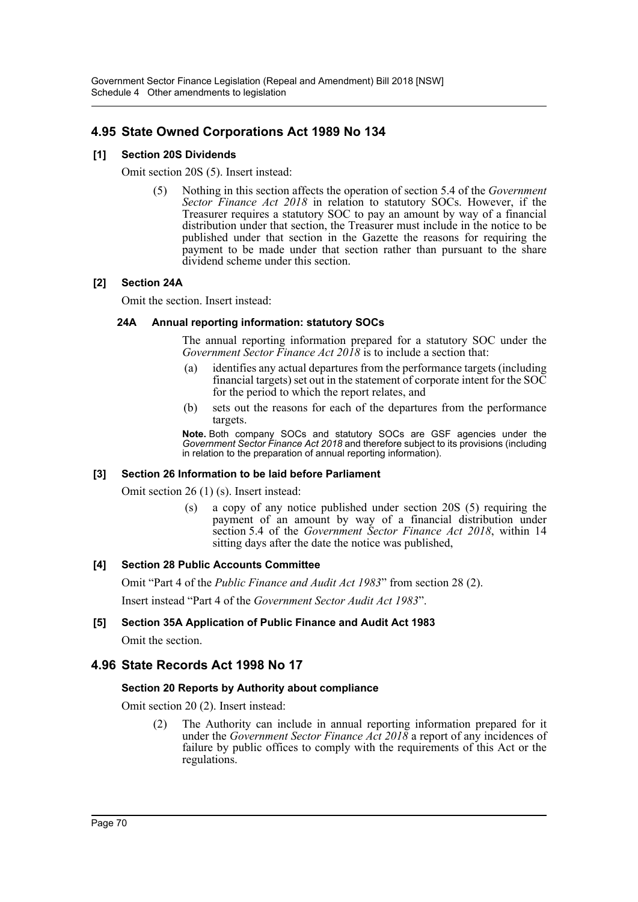# **4.95 State Owned Corporations Act 1989 No 134**

## **[1] Section 20S Dividends**

Omit section 20S (5). Insert instead:

(5) Nothing in this section affects the operation of section 5.4 of the *Government Sector Finance Act 2018* in relation to statutory SOCs. However, if the Treasurer requires a statutory SOC to pay an amount by way of a financial distribution under that section, the Treasurer must include in the notice to be published under that section in the Gazette the reasons for requiring the payment to be made under that section rather than pursuant to the share dividend scheme under this section.

### **[2] Section 24A**

Omit the section. Insert instead:

### **24A Annual reporting information: statutory SOCs**

The annual reporting information prepared for a statutory SOC under the *Government Sector Finance Act 2018* is to include a section that:

- (a) identifies any actual departures from the performance targets (including financial targets) set out in the statement of corporate intent for the  $SO\tilde{C}$ for the period to which the report relates, and
- (b) sets out the reasons for each of the departures from the performance targets.

**Note.** Both company SOCs and statutory SOCs are GSF agencies under the *Government Sector Finance Act 2018* and therefore subject to its provisions (including in relation to the preparation of annual reporting information).

#### **[3] Section 26 Information to be laid before Parliament**

Omit section 26 (1) (s). Insert instead:

(s) a copy of any notice published under section 20S (5) requiring the payment of an amount by way of a financial distribution under section 5.4 of the *Government Sector Finance Act 2018*, within 14 sitting days after the date the notice was published,

#### **[4] Section 28 Public Accounts Committee**

Omit "Part 4 of the *Public Finance and Audit Act 1983*" from section 28 (2).

Insert instead "Part 4 of the *Government Sector Audit Act 1983*".

#### **[5] Section 35A Application of Public Finance and Audit Act 1983**

Omit the section.

# **4.96 State Records Act 1998 No 17**

#### **Section 20 Reports by Authority about compliance**

Omit section 20 (2). Insert instead:

(2) The Authority can include in annual reporting information prepared for it under the *Government Sector Finance Act 2018* a report of any incidences of failure by public offices to comply with the requirements of this Act or the regulations.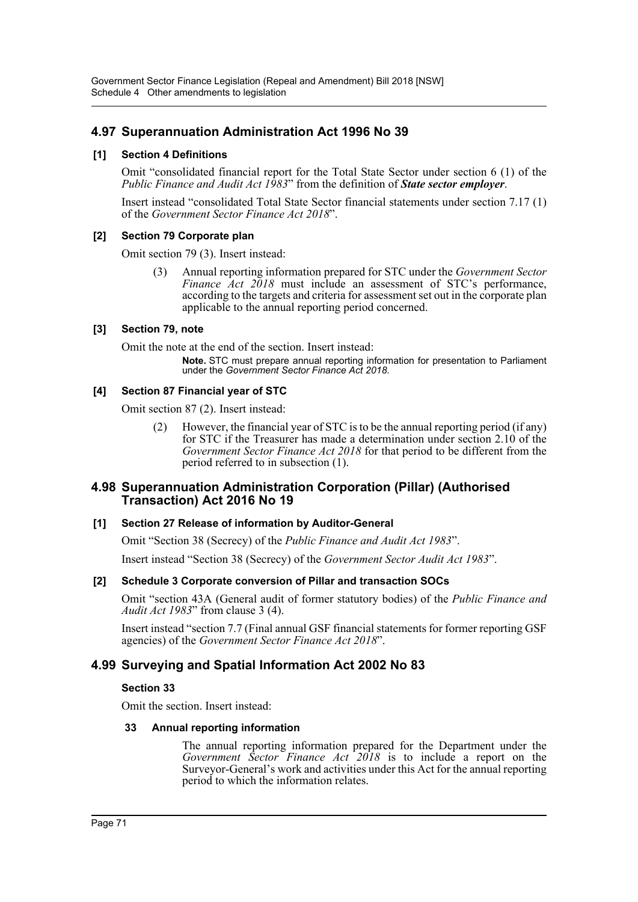# **4.97 Superannuation Administration Act 1996 No 39**

## **[1] Section 4 Definitions**

Omit "consolidated financial report for the Total State Sector under section 6 (1) of the *Public Finance and Audit Act 1983*" from the definition of *State sector employer*.

Insert instead "consolidated Total State Sector financial statements under section 7.17 (1) of the *Government Sector Finance Act 2018*".

### **[2] Section 79 Corporate plan**

Omit section 79 (3). Insert instead:

(3) Annual reporting information prepared for STC under the *Government Sector Finance Act 2018* must include an assessment of STC's performance, according to the targets and criteria for assessment set out in the corporate plan applicable to the annual reporting period concerned.

### **[3] Section 79, note**

Omit the note at the end of the section. Insert instead:

**Note.** STC must prepare annual reporting information for presentation to Parliament under the *Government Sector Finance Act 2018*.

### **[4] Section 87 Financial year of STC**

Omit section 87 (2). Insert instead:

(2) However, the financial year of STC is to be the annual reporting period (if any) for STC if the Treasurer has made a determination under section 2.10 of the *Government Sector Finance Act 2018* for that period to be different from the period referred to in subsection (1).

## **4.98 Superannuation Administration Corporation (Pillar) (Authorised Transaction) Act 2016 No 19**

## **[1] Section 27 Release of information by Auditor-General**

Omit "Section 38 (Secrecy) of the *Public Finance and Audit Act 1983*".

Insert instead "Section 38 (Secrecy) of the *Government Sector Audit Act 1983*".

#### **[2] Schedule 3 Corporate conversion of Pillar and transaction SOCs**

Omit "section 43A (General audit of former statutory bodies) of the *Public Finance and Audit Act 1983*" from clause 3 (4).

Insert instead "section 7.7 (Final annual GSF financial statements for former reporting GSF agencies) of the *Government Sector Finance Act 2018*".

# **4.99 Surveying and Spatial Information Act 2002 No 83**

#### **Section 33**

Omit the section. Insert instead:

#### **33 Annual reporting information**

The annual reporting information prepared for the Department under the *Government Sector Finance Act 2018* is to include a report on the Surveyor-General's work and activities under this Act for the annual reporting period to which the information relates.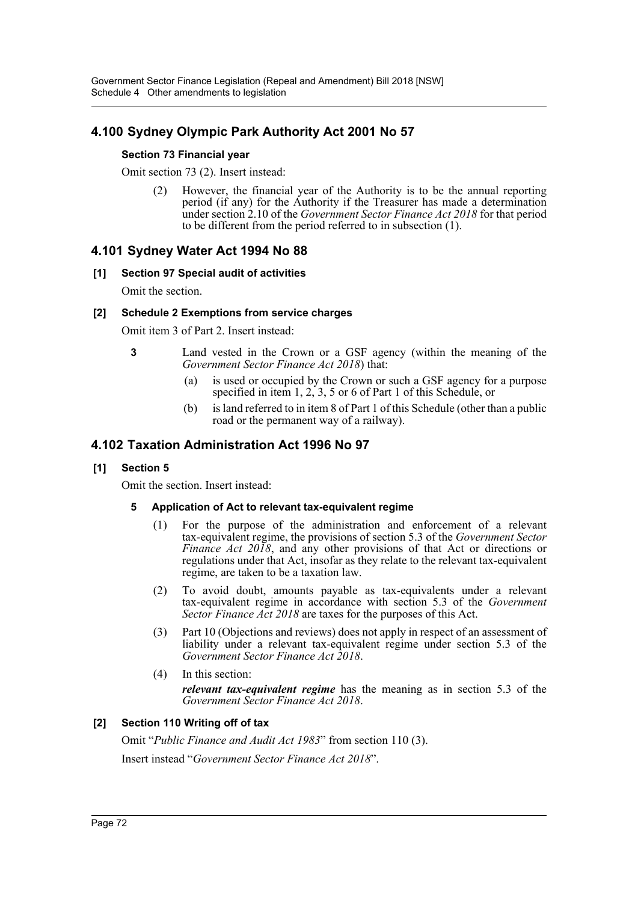# **4.100 Sydney Olympic Park Authority Act 2001 No 57**

## **Section 73 Financial year**

Omit section 73 (2). Insert instead:

(2) However, the financial year of the Authority is to be the annual reporting period (if any) for the Authority if the Treasurer has made a determination under section 2.10 of the *Government Sector Finance Act 2018* for that period to be different from the period referred to in subsection (1).

# **4.101 Sydney Water Act 1994 No 88**

## **[1] Section 97 Special audit of activities**

Omit the section.

## **[2] Schedule 2 Exemptions from service charges**

Omit item 3 of Part 2. Insert instead:

- **3** Land vested in the Crown or a GSF agency (within the meaning of the *Government Sector Finance Act 2018*) that:
	- (a) is used or occupied by the Crown or such a GSF agency for a purpose specified in item 1, 2, 3, 5 or 6 of Part 1 of this Schedule, or
	- (b) is land referred to in item 8 of Part 1 of this Schedule (other than a public road or the permanent way of a railway).

# **4.102 Taxation Administration Act 1996 No 97**

## **[1] Section 5**

Omit the section. Insert instead:

### **5 Application of Act to relevant tax-equivalent regime**

- (1) For the purpose of the administration and enforcement of a relevant tax-equivalent regime, the provisions of section 5.3 of the *Government Sector Finance Act 2018*, and any other provisions of that Act or directions or regulations under that Act, insofar as they relate to the relevant tax-equivalent regime, are taken to be a taxation law.
- (2) To avoid doubt, amounts payable as tax-equivalents under a relevant tax-equivalent regime in accordance with section 5.3 of the *Government Sector Finance Act 2018* are taxes for the purposes of this Act.
- (3) Part 10 (Objections and reviews) does not apply in respect of an assessment of liability under a relevant tax-equivalent regime under section 5.3 of the *Government Sector Finance Act 2018*.
- (4) In this section:

*relevant tax-equivalent regime* has the meaning as in section 5.3 of the *Government Sector Finance Act 2018*.

## **[2] Section 110 Writing off of tax**

Omit "*Public Finance and Audit Act 1983*" from section 110 (3). Insert instead "*Government Sector Finance Act 2018*".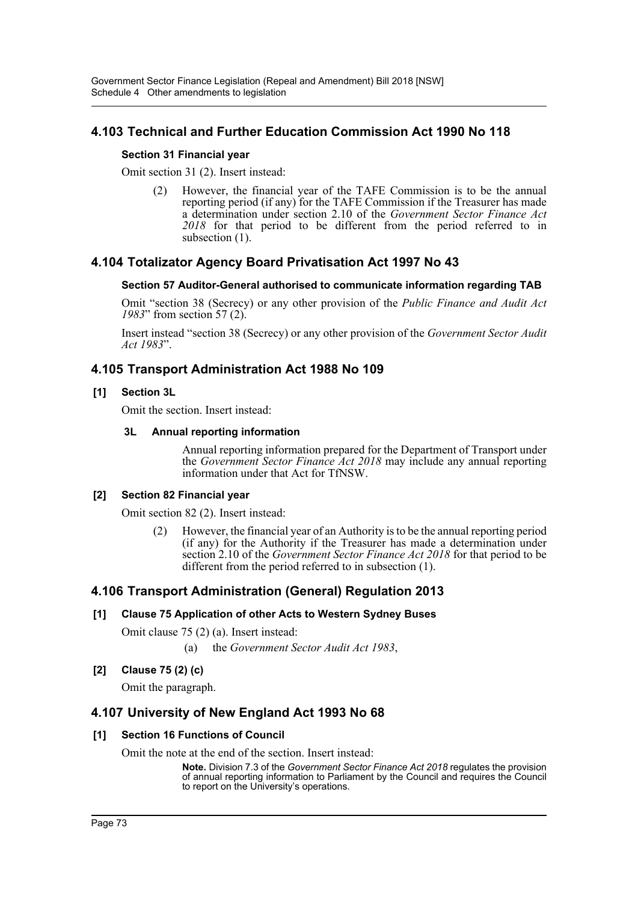# **4.103 Technical and Further Education Commission Act 1990 No 118**

## **Section 31 Financial year**

Omit section 31 (2). Insert instead:

(2) However, the financial year of the TAFE Commission is to be the annual reporting period (if any) for the TAFE Commission if the Treasurer has made a determination under section 2.10 of the *Government Sector Finance Act 2018* for that period to be different from the period referred to in subsection  $(1)$ .

# **4.104 Totalizator Agency Board Privatisation Act 1997 No 43**

## **Section 57 Auditor-General authorised to communicate information regarding TAB**

Omit "section 38 (Secrecy) or any other provision of the *Public Finance and Audit Act 1983*" from section 57 (2).

Insert instead "section 38 (Secrecy) or any other provision of the *Government Sector Audit Act 1983*".

# **4.105 Transport Administration Act 1988 No 109**

## **[1] Section 3L**

Omit the section. Insert instead:

### **3L Annual reporting information**

Annual reporting information prepared for the Department of Transport under the *Government Sector Finance Act 2018* may include any annual reporting information under that Act for TfNSW.

### **[2] Section 82 Financial year**

Omit section 82 (2). Insert instead:

(2) However, the financial year of an Authority is to be the annual reporting period (if any) for the Authority if the Treasurer has made a determination under section 2.10 of the *Government Sector Finance Act 2018* for that period to be different from the period referred to in subsection (1).

# **4.106 Transport Administration (General) Regulation 2013**

## **[1] Clause 75 Application of other Acts to Western Sydney Buses**

Omit clause 75 (2) (a). Insert instead:

(a) the *Government Sector Audit Act 1983*,

## **[2] Clause 75 (2) (c)**

Omit the paragraph.

# **4.107 University of New England Act 1993 No 68**

### **[1] Section 16 Functions of Council**

Omit the note at the end of the section. Insert instead:

**Note.** Division 7.3 of the *Government Sector Finance Act 2018* regulates the provision of annual reporting information to Parliament by the Council and requires the Council to report on the University's operations.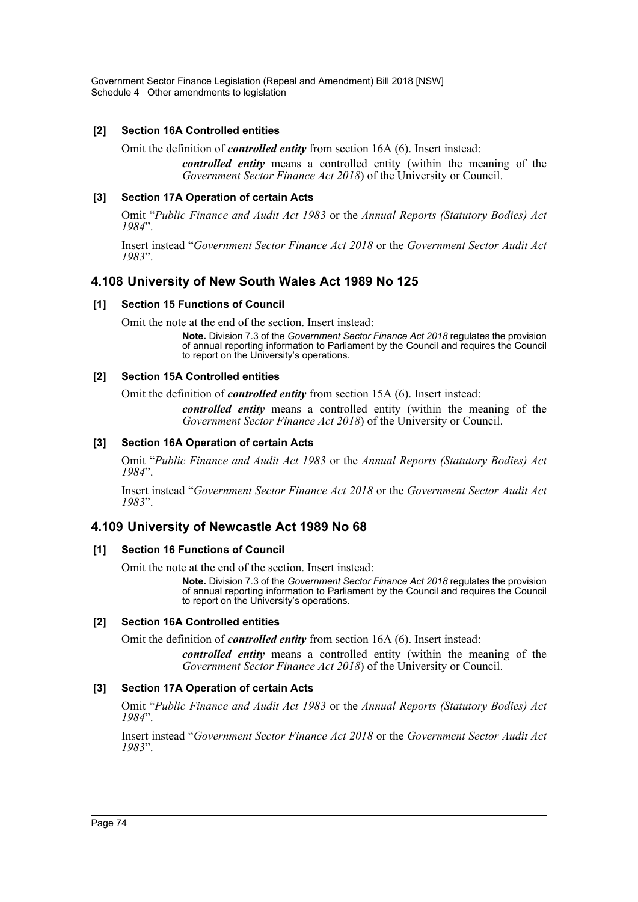## **[2] Section 16A Controlled entities**

Omit the definition of *controlled entity* from section 16A (6). Insert instead:

*controlled entity* means a controlled entity (within the meaning of the *Government Sector Finance Act 2018*) of the University or Council.

## **[3] Section 17A Operation of certain Acts**

Omit "*Public Finance and Audit Act 1983* or the *Annual Reports (Statutory Bodies) Act 1984*".

Insert instead "*Government Sector Finance Act 2018* or the *Government Sector Audit Act 1983*".

# **4.108 University of New South Wales Act 1989 No 125**

### **[1] Section 15 Functions of Council**

Omit the note at the end of the section. Insert instead:

**Note.** Division 7.3 of the *Government Sector Finance Act 2018* regulates the provision of annual reporting information to Parliament by the Council and requires the Council to report on the University's operations.

### **[2] Section 15A Controlled entities**

Omit the definition of *controlled entity* from section 15A (6). Insert instead:

*controlled entity* means a controlled entity (within the meaning of the *Government Sector Finance Act 2018*) of the University or Council.

## **[3] Section 16A Operation of certain Acts**

Omit "*Public Finance and Audit Act 1983* or the *Annual Reports (Statutory Bodies) Act 1984*".

Insert instead "*Government Sector Finance Act 2018* or the *Government Sector Audit Act 1983*".

## **4.109 University of Newcastle Act 1989 No 68**

### **[1] Section 16 Functions of Council**

Omit the note at the end of the section. Insert instead:

**Note.** Division 7.3 of the *Government Sector Finance Act 2018* regulates the provision of annual reporting information to Parliament by the Council and requires the Council to report on the University's operations.

### **[2] Section 16A Controlled entities**

Omit the definition of *controlled entity* from section 16A (6). Insert instead:

*controlled entity* means a controlled entity (within the meaning of the *Government Sector Finance Act 2018*) of the University or Council.

### **[3] Section 17A Operation of certain Acts**

Omit "*Public Finance and Audit Act 1983* or the *Annual Reports (Statutory Bodies) Act 1984*".

Insert instead "*Government Sector Finance Act 2018* or the *Government Sector Audit Act 1983*".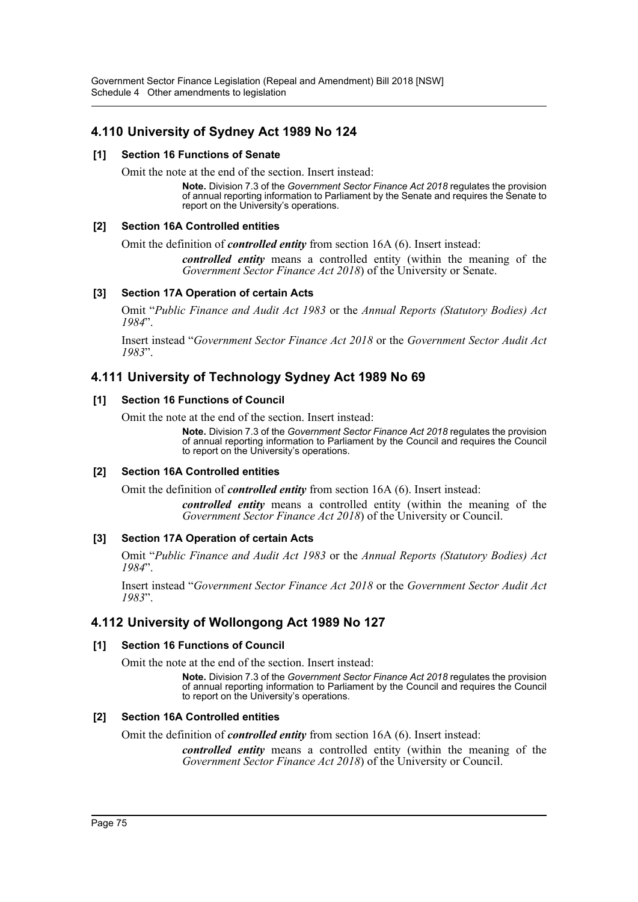# **4.110 University of Sydney Act 1989 No 124**

### **[1] Section 16 Functions of Senate**

Omit the note at the end of the section. Insert instead:

**Note.** Division 7.3 of the *Government Sector Finance Act 2018* regulates the provision of annual reporting information to Parliament by the Senate and requires the Senate to report on the University's operations.

## **[2] Section 16A Controlled entities**

Omit the definition of *controlled entity* from section 16A (6). Insert instead:

*controlled entity* means a controlled entity (within the meaning of the *Government Sector Finance Act 2018*) of the University or Senate.

## **[3] Section 17A Operation of certain Acts**

Omit "*Public Finance and Audit Act 1983* or the *Annual Reports (Statutory Bodies) Act 1984*".

Insert instead "*Government Sector Finance Act 2018* or the *Government Sector Audit Act 1983*".

# **4.111 University of Technology Sydney Act 1989 No 69**

### **[1] Section 16 Functions of Council**

Omit the note at the end of the section. Insert instead:

**Note.** Division 7.3 of the *Government Sector Finance Act 2018* regulates the provision of annual reporting information to Parliament by the Council and requires the Council to report on the University's operations.

### **[2] Section 16A Controlled entities**

Omit the definition of *controlled entity* from section 16A (6). Insert instead:

*controlled entity* means a controlled entity (within the meaning of the *Government Sector Finance Act 2018*) of the University or Council.

### **[3] Section 17A Operation of certain Acts**

Omit "*Public Finance and Audit Act 1983* or the *Annual Reports (Statutory Bodies) Act 1984*".

Insert instead "*Government Sector Finance Act 2018* or the *Government Sector Audit Act 1983*".

# **4.112 University of Wollongong Act 1989 No 127**

### **[1] Section 16 Functions of Council**

Omit the note at the end of the section. Insert instead:

**Note.** Division 7.3 of the *Government Sector Finance Act 2018* regulates the provision of annual reporting information to Parliament by the Council and requires the Council to report on the University's operations.

### **[2] Section 16A Controlled entities**

Omit the definition of *controlled entity* from section 16A (6). Insert instead:

*controlled entity* means a controlled entity (within the meaning of the *Government Sector Finance Act 2018*) of the University or Council.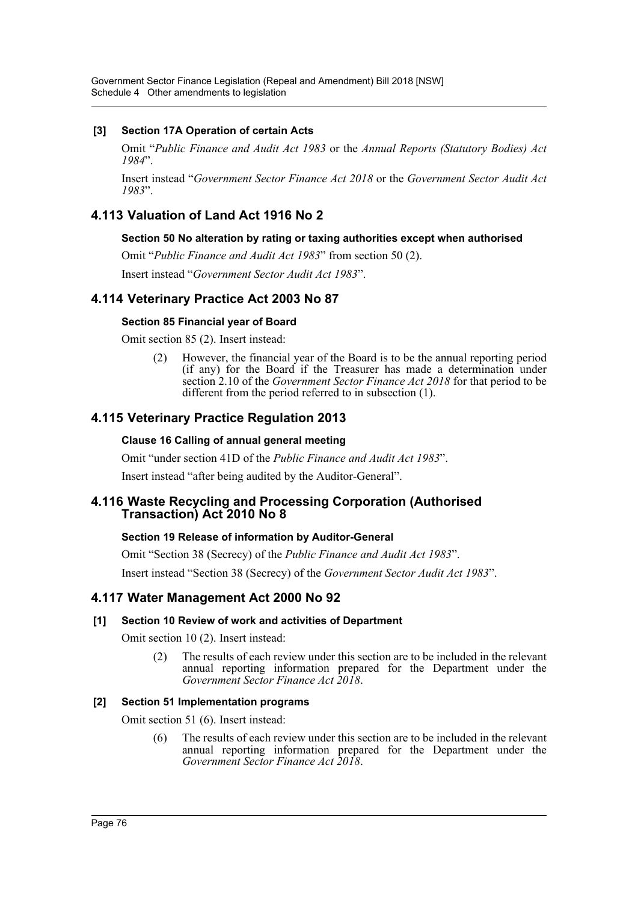## **[3] Section 17A Operation of certain Acts**

Omit "*Public Finance and Audit Act 1983* or the *Annual Reports (Statutory Bodies) Act 1984*".

Insert instead "*Government Sector Finance Act 2018* or the *Government Sector Audit Act 1983*".

# **4.113 Valuation of Land Act 1916 No 2**

### **Section 50 No alteration by rating or taxing authorities except when authorised**

Omit "*Public Finance and Audit Act 1983*" from section 50 (2).

Insert instead "*Government Sector Audit Act 1983*".

## **4.114 Veterinary Practice Act 2003 No 87**

#### **Section 85 Financial year of Board**

Omit section 85 (2). Insert instead:

(2) However, the financial year of the Board is to be the annual reporting period (if any) for the Board if the Treasurer has made a determination under section 2.10 of the *Government Sector Finance Act 2018* for that period to be different from the period referred to in subsection (1).

# **4.115 Veterinary Practice Regulation 2013**

### **Clause 16 Calling of annual general meeting**

Omit "under section 41D of the *Public Finance and Audit Act 1983*".

Insert instead "after being audited by the Auditor-General".

## **4.116 Waste Recycling and Processing Corporation (Authorised Transaction) Act 2010 No 8**

### **Section 19 Release of information by Auditor-General**

Omit "Section 38 (Secrecy) of the *Public Finance and Audit Act 1983*".

Insert instead "Section 38 (Secrecy) of the *Government Sector Audit Act 1983*".

### **4.117 Water Management Act 2000 No 92**

### **[1] Section 10 Review of work and activities of Department**

Omit section 10 (2). Insert instead:

(2) The results of each review under this section are to be included in the relevant annual reporting information prepared for the Department under the *Government Sector Finance Act 2018*.

### **[2] Section 51 Implementation programs**

Omit section 51 (6). Insert instead:

(6) The results of each review under this section are to be included in the relevant annual reporting information prepared for the Department under the *Government Sector Finance Act 2018*.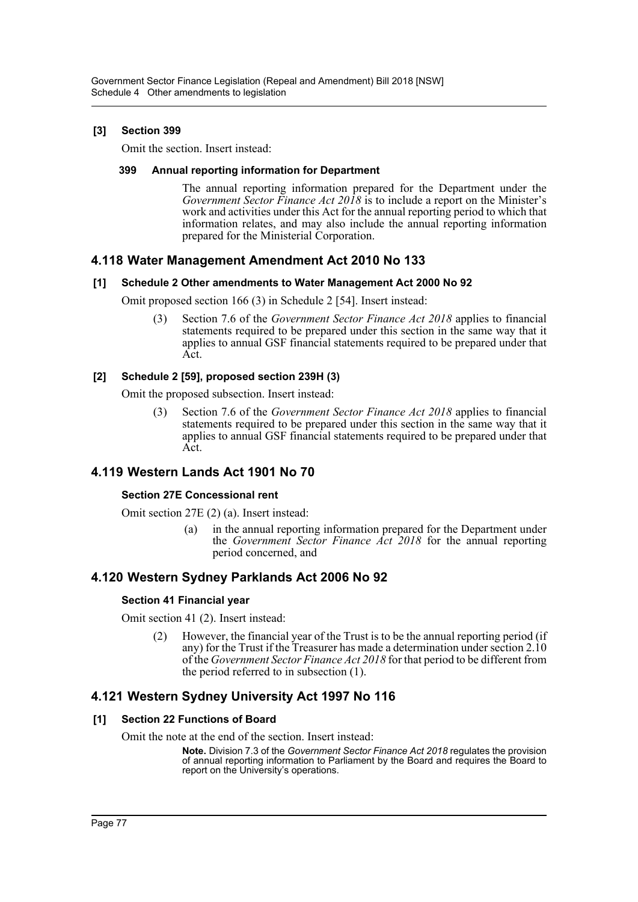## **[3] Section 399**

Omit the section. Insert instead:

## **399 Annual reporting information for Department**

The annual reporting information prepared for the Department under the *Government Sector Finance Act 2018* is to include a report on the Minister's work and activities under this Act for the annual reporting period to which that information relates, and may also include the annual reporting information prepared for the Ministerial Corporation.

# **4.118 Water Management Amendment Act 2010 No 133**

## **[1] Schedule 2 Other amendments to Water Management Act 2000 No 92**

Omit proposed section 166 (3) in Schedule 2 [54]. Insert instead:

(3) Section 7.6 of the *Government Sector Finance Act 2018* applies to financial statements required to be prepared under this section in the same way that it applies to annual GSF financial statements required to be prepared under that Act.

## **[2] Schedule 2 [59], proposed section 239H (3)**

Omit the proposed subsection. Insert instead:

(3) Section 7.6 of the *Government Sector Finance Act 2018* applies to financial statements required to be prepared under this section in the same way that it applies to annual GSF financial statements required to be prepared under that Act.

# **4.119 Western Lands Act 1901 No 70**

## **Section 27E Concessional rent**

Omit section 27E (2) (a). Insert instead:

(a) in the annual reporting information prepared for the Department under the *Government Sector Finance Act 2018* for the annual reporting period concerned, and

# **4.120 Western Sydney Parklands Act 2006 No 92**

## **Section 41 Financial year**

Omit section 41 (2). Insert instead:

(2) However, the financial year of the Trust is to be the annual reporting period (if any) for the Trust if the Treasurer has made a determination under section 2.10 of the *Government Sector Finance Act 2018* for that period to be different from the period referred to in subsection (1).

# **4.121 Western Sydney University Act 1997 No 116**

## **[1] Section 22 Functions of Board**

Omit the note at the end of the section. Insert instead:

**Note.** Division 7.3 of the *Government Sector Finance Act 2018* regulates the provision of annual reporting information to Parliament by the Board and requires the Board to report on the University's operations.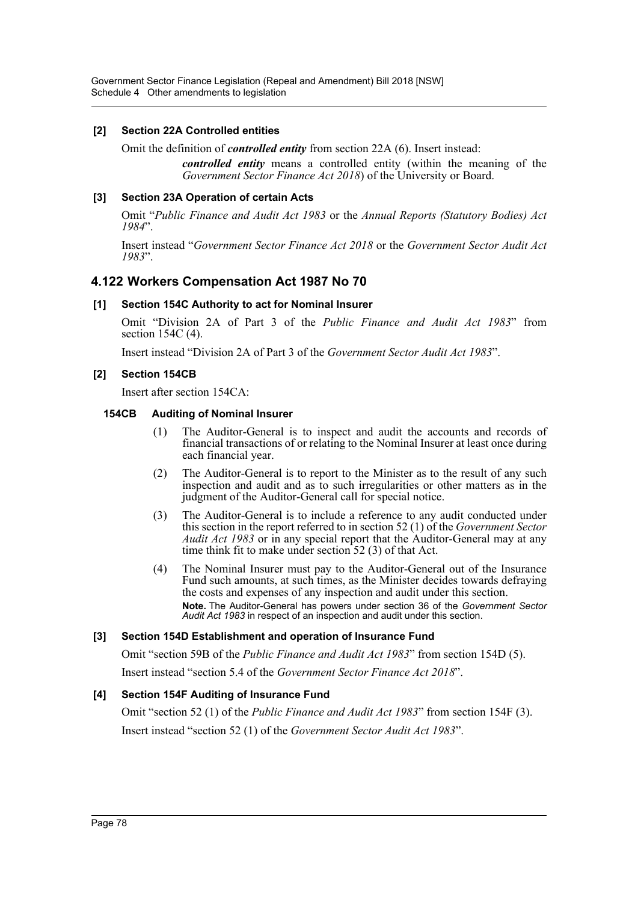## **[2] Section 22A Controlled entities**

Omit the definition of *controlled entity* from section 22A (6). Insert instead:

*controlled entity* means a controlled entity (within the meaning of the *Government Sector Finance Act 2018*) of the University or Board.

## **[3] Section 23A Operation of certain Acts**

Omit "*Public Finance and Audit Act 1983* or the *Annual Reports (Statutory Bodies) Act 1984*".

Insert instead "*Government Sector Finance Act 2018* or the *Government Sector Audit Act 1983*".

# **4.122 Workers Compensation Act 1987 No 70**

## **[1] Section 154C Authority to act for Nominal Insurer**

Omit "Division 2A of Part 3 of the *Public Finance and Audit Act 1983*" from section 154C (4).

Insert instead "Division 2A of Part 3 of the *Government Sector Audit Act 1983*".

## **[2] Section 154CB**

Insert after section 154CA:

### **154CB Auditing of Nominal Insurer**

- (1) The Auditor-General is to inspect and audit the accounts and records of financial transactions of or relating to the Nominal Insurer at least once during each financial year.
- (2) The Auditor-General is to report to the Minister as to the result of any such inspection and audit and as to such irregularities or other matters as in the judgment of the Auditor-General call for special notice.
- (3) The Auditor-General is to include a reference to any audit conducted under this section in the report referred to in section 52 (1) of the *Government Sector Audit Act 1983* or in any special report that the Auditor-General may at any time think fit to make under section 52 (3) of that Act.
- (4) The Nominal Insurer must pay to the Auditor-General out of the Insurance Fund such amounts, at such times, as the Minister decides towards defraying the costs and expenses of any inspection and audit under this section. **Note.** The Auditor-General has powers under section 36 of the *Government Sector Audit Act 1983* in respect of an inspection and audit under this section.

### **[3] Section 154D Establishment and operation of Insurance Fund**

Omit "section 59B of the *Public Finance and Audit Act 1983*" from section 154D (5). Insert instead "section 5.4 of the *Government Sector Finance Act 2018*".

### **[4] Section 154F Auditing of Insurance Fund**

Omit "section 52 (1) of the *Public Finance and Audit Act 1983*" from section 154F (3). Insert instead "section 52 (1) of the *Government Sector Audit Act 1983*".